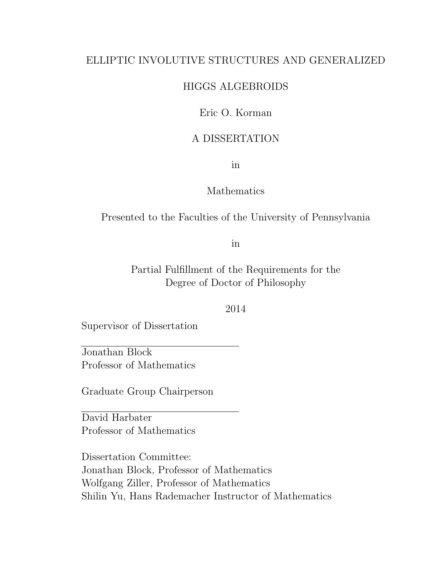### ELLIPTIC INVOLUTIVE STRUCTURES AND GENERALIZED

### HIGGS ALGEBROIDS

### Eric O. Korman

### A DISSERTATION

in

### Mathematics

Presented to the Faculties of the University of Pennsylvania

in

Partial Fulfillment of the Requirements for the Degree of Doctor of Philosophy

2014

Supervisor of Dissertation

Jonathan Block Professor of Mathematics

Graduate Group Chairperson

David Harbater Professor of Mathematics

Dissertation Committee: Jonathan Block, Professor of Mathematics Wolfgang Ziller, Professor of Mathematics Shilin Yu, Hans Rademacher Instructor of Mathematics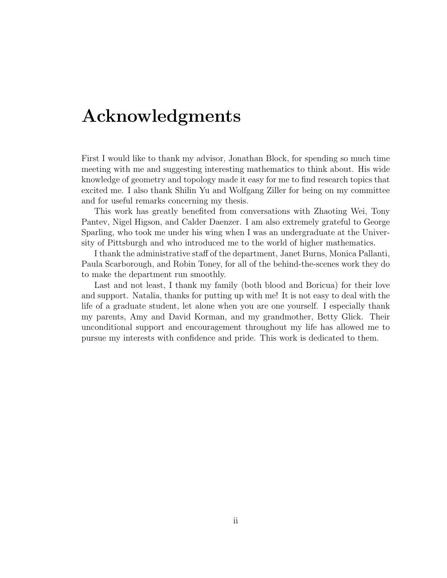### Acknowledgments

First I would like to thank my advisor, Jonathan Block, for spending so much time meeting with me and suggesting interesting mathematics to think about. His wide knowledge of geometry and topology made it easy for me to find research topics that excited me. I also thank Shilin Yu and Wolfgang Ziller for being on my committee and for useful remarks concerning my thesis.

This work has greatly benefited from conversations with Zhaoting Wei, Tony Pantev, Nigel Higson, and Calder Daenzer. I am also extremely grateful to George Sparling, who took me under his wing when I was an undergraduate at the University of Pittsburgh and who introduced me to the world of higher mathematics.

I thank the administrative staff of the department, Janet Burns, Monica Pallanti, Paula Scarborough, and Robin Toney, for all of the behind-the-scenes work they do to make the department run smoothly.

Last and not least, I thank my family (both blood and Boricua) for their love and support. Natalia, thanks for putting up with me! It is not easy to deal with the life of a graduate student, let alone when you are one yourself. I especially thank my parents, Amy and David Korman, and my grandmother, Betty Glick. Their unconditional support and encouragement throughout my life has allowed me to pursue my interests with confidence and pride. This work is dedicated to them.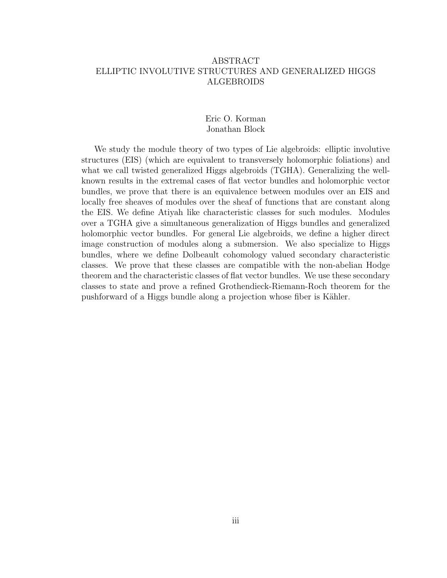### ABSTRACT ELLIPTIC INVOLUTIVE STRUCTURES AND GENERALIZED HIGGS ALGEBROIDS

### Eric O. Korman Jonathan Block

We study the module theory of two types of Lie algebroids: elliptic involutive structures (EIS) (which are equivalent to transversely holomorphic foliations) and what we call twisted generalized Higgs algebroids (TGHA). Generalizing the wellknown results in the extremal cases of flat vector bundles and holomorphic vector bundles, we prove that there is an equivalence between modules over an EIS and locally free sheaves of modules over the sheaf of functions that are constant along the EIS. We define Atiyah like characteristic classes for such modules. Modules over a TGHA give a simultaneous generalization of Higgs bundles and generalized holomorphic vector bundles. For general Lie algebroids, we define a higher direct image construction of modules along a submersion. We also specialize to Higgs bundles, where we define Dolbeault cohomology valued secondary characteristic classes. We prove that these classes are compatible with the non-abelian Hodge theorem and the characteristic classes of flat vector bundles. We use these secondary classes to state and prove a refined Grothendieck-Riemann-Roch theorem for the pushforward of a Higgs bundle along a projection whose fiber is Kähler.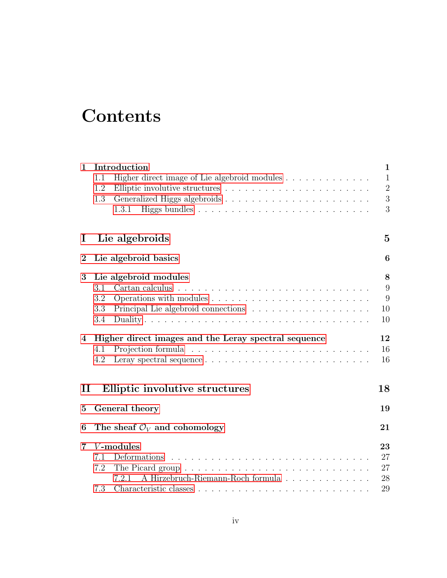## **Contents**

| 1                | Introduction                                                                  | $\mathbf{1}$   |
|------------------|-------------------------------------------------------------------------------|----------------|
|                  | Higher direct image of Lie algebroid modules $\dots \dots \dots \dots$<br>1.1 | $\mathbf{1}$   |
|                  | 1.2                                                                           | $\overline{2}$ |
|                  | 1.3                                                                           | $\mathfrak{Z}$ |
|                  | 1.3.1                                                                         | 3              |
| $\bf{l}$         | Lie algebroids                                                                | $\bf{5}$       |
| $\boldsymbol{2}$ | Lie algebroid basics                                                          | 6              |
| 3                | Lie algebroid modules                                                         | 8              |
|                  | Cartan calculus<br>3.1                                                        | 9              |
|                  | 3.2                                                                           | 9              |
|                  | 3.3                                                                           | 10             |
|                  | 3.4                                                                           | 10             |
| 4                | Higher direct images and the Leray spectral sequence                          | 12             |
|                  | 4.1                                                                           | 16             |
|                  | 4.2                                                                           | 16             |
| $\mathbf{I}$     | Elliptic involutive structures                                                | 18             |
|                  |                                                                               |                |
| 5                | General theory                                                                | 19             |
| 6                | The sheaf $\mathcal{O}_V$ and cohomology                                      | 21             |
| 7                | V-modules                                                                     | 23             |
|                  | Deformations<br>7.1                                                           | 27             |
|                  | 7.2                                                                           | 27             |
|                  | A Hirzebruch-Riemann-Roch formula<br>7.2.1                                    | 28             |
|                  | 7.3                                                                           | 29             |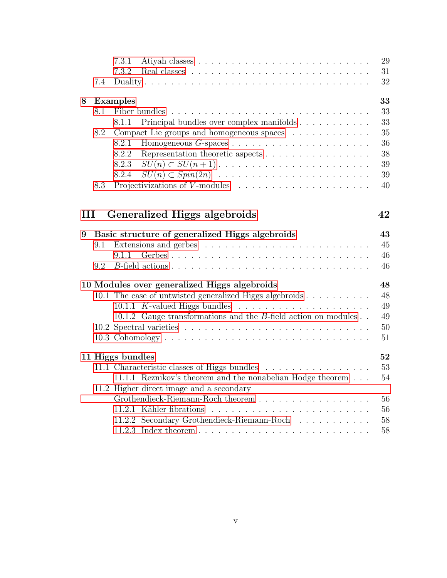|   |     | 7.3.1                                                                                | 29     |
|---|-----|--------------------------------------------------------------------------------------|--------|
|   |     | 7.3.2                                                                                | 31     |
|   | 7.4 |                                                                                      | 32     |
| 8 |     | <b>Examples</b>                                                                      | 33     |
|   | 8.1 | Fiber bundles                                                                        | 33     |
|   |     | Principal bundles over complex manifolds<br>8.1.1                                    | 33     |
|   | 8.2 | Compact Lie groups and homogeneous spaces                                            | 35     |
|   |     | 8.2.1                                                                                | 36     |
|   |     | 8.2.2                                                                                | 38     |
|   |     | 8.2.3                                                                                | 39     |
|   |     | 8.2.4<br>$SU(n) \subset Spin(2n)$                                                    | 39     |
|   | 8.3 | Projectivizations of $V$ -modules $\ldots \ldots \ldots \ldots \ldots \ldots \ldots$ | 40     |
| Ш |     | Generalized Higgs algebroids                                                         | 42     |
| 9 |     | Basic structure of generalized Higgs algebroids                                      | 43     |
|   | 9.1 |                                                                                      | 45     |
|   |     | 9.1.1                                                                                | 46     |
|   | 9.2 |                                                                                      | 46     |
|   |     | 10 Modules over generalized Higgs algebroids                                         | 48     |
|   |     | 10.1 The case of untwisted generalized Higgs algebroids                              | 48     |
|   |     | 10.1.1 K-valued Higgs bundles $\ldots \ldots \ldots \ldots \ldots \ldots$            | 49     |
|   |     | 10.1.2 Gauge transformations and the $B$ -field action on modules                    | 49     |
|   |     |                                                                                      | $50\,$ |
|   |     |                                                                                      | 51     |
|   |     | 11 Higgs bundles                                                                     | 52     |
|   |     | 11.1 Characteristic classes of Higgs bundles                                         | $53\,$ |
|   |     | 11.1.1 Reznikov's theorem and the nonabelian Hodge theorem                           | 54     |
|   |     | 11.2 Higher direct image and a secondary                                             |        |
|   |     | Grothendieck-Riemann-Roch theorem                                                    | 56     |
|   |     |                                                                                      | 56     |
|   |     | 11.2.2 Secondary Grothendieck-Riemann-Roch                                           | 58     |
|   |     |                                                                                      | 58     |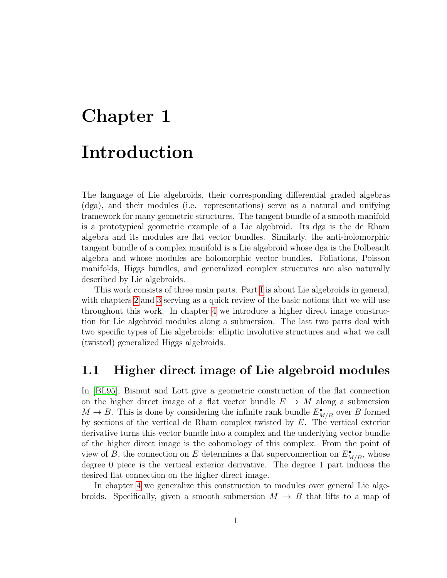# <span id="page-5-0"></span>Chapter 1 Introduction

The language of Lie algebroids, their corresponding differential graded algebras (dga), and their modules (i.e. representations) serve as a natural and unifying framework for many geometric structures. The tangent bundle of a smooth manifold is a prototypical geometric example of a Lie algebroid. Its dga is the de Rham algebra and its modules are flat vector bundles. Similarly, the anti-holomorphic tangent bundle of a complex manifold is a Lie algebroid whose dga is the Dolbeault algebra and whose modules are holomorphic vector bundles. Foliations, Poisson manifolds, Higgs bundles, and generalized complex structures are also naturally described by Lie algebroids.

This work consists of three main parts. Part [I](#page-9-0) is about Lie algebroids in general, with chapters [2](#page-10-0) and [3](#page-12-0) serving as a quick review of the basic notions that we will use throughout this work. In chapter [4](#page-16-0) we introduce a higher direct image construction for Lie algebroid modules along a submersion. The last two parts deal with two specific types of Lie algebroids: elliptic involutive structures and what we call (twisted) generalized Higgs algebroids.

### <span id="page-5-1"></span>1.1 Higher direct image of Lie algebroid modules

In [\[BL95\]](#page-68-0), Bismut and Lott give a geometric construction of the flat connection on the higher direct image of a flat vector bundle  $E \to M$  along a submersion  $M \to B$ . This is done by considering the infinite rank bundle  $E_{M/B}^{\bullet}$  over B formed by sections of the vertical de Rham complex twisted by E. The vertical exterior derivative turns this vector bundle into a complex and the underlying vector bundle of the higher direct image is the cohomology of this complex. From the point of view of B, the connection on E determines a flat superconnection on  $E_{M/B}^{\bullet}$ , whose degree 0 piece is the vertical exterior derivative. The degree 1 part induces the desired flat connection on the higher direct image.

In chapter [4](#page-16-0) we generalize this construction to modules over general Lie algebroids. Specifically, given a smooth submersion  $M \to B$  that lifts to a map of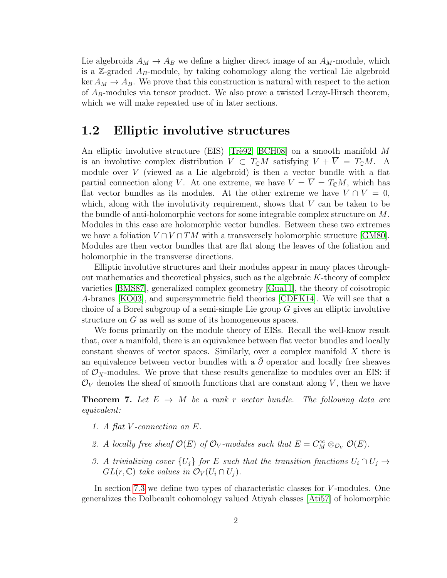Lie algebroids  $A_M \to A_B$  we define a higher direct image of an  $A_M$ -module, which is a  $\mathbb{Z}$ -graded  $A_B$ -module, by taking cohomology along the vertical Lie algebroid ker  $A_M \rightarrow A_B$ . We prove that this construction is natural with respect to the action of  $A_B$ -modules via tensor product. We also prove a twisted Leray-Hirsch theorem, which we will make repeated use of in later sections.

### <span id="page-6-0"></span>1.2 Elliptic involutive structures

An elliptic involutive structure (EIS) [Trè92, [BCH08\]](#page-68-1) on a smooth manifold  $M$ is an involutive complex distribution  $V \subset T_{\mathbb{C}}M$  satisfying  $V + \overline{V} = T_{\mathbb{C}}M$ . A module over  $V$  (viewed as a Lie algebroid) is then a vector bundle with a flat partial connection along V. At one extreme, we have  $V = \overline{V} = T_{\mathbb{C}}M$ , which has flat vector bundles as its modules. At the other extreme we have  $V \cap \overline{V} = 0$ , which, along with the involutivity requirement, shows that  $V$  can be taken to be the bundle of anti-holomorphic vectors for some integrable complex structure on M. Modules in this case are holomorphic vector bundles. Between these two extremes we have a foliation  $V \cap \overline{V} \cap TM$  with a transversely holomorphic structure [\[GM80\]](#page-69-0). Modules are then vector bundles that are flat along the leaves of the foliation and holomorphic in the transverse directions.

Elliptic involutive structures and their modules appear in many places throughout mathematics and theoretical physics, such as the algebraic K-theory of complex varieties [\[BMS87\]](#page-68-2), generalized complex geometry [\[Gua11\]](#page-69-1), the theory of coisotropic A-branes [\[KO03\]](#page-70-1), and supersymmetric field theories [\[CDFK14\]](#page-69-2). We will see that a choice of a Borel subgroup of a semi-simple Lie group  $G$  gives an elliptic involutive structure on G as well as some of its homogeneous spaces.

We focus primarily on the module theory of EISs. Recall the well-know result that, over a manifold, there is an equivalence between flat vector bundles and locally constant sheaves of vector spaces. Similarly, over a complex manifold X there is an equivalence between vector bundles with a  $\overline{\partial}$  operator and locally free sheaves of  $\mathcal{O}_X$ -modules. We prove that these results generalize to modules over an EIS: if  $\mathcal{O}_V$  denotes the sheaf of smooth functions that are constant along V, then we have

**Theorem 7.** Let  $E \rightarrow M$  be a rank r vector bundle. The following data are equivalent:

- 1. A flat V -connection on E.
- 2. A locally free sheaf  $\mathcal{O}(E)$  of  $\mathcal{O}_V$ -modules such that  $E = C_M^{\infty} \otimes_{\mathcal{O}_V} \mathcal{O}(E)$ .
- 3. A trivializing cover  $\{U_i\}$  for E such that the transition functions  $U_i \cap U_j \rightarrow$  $GL(r, \mathbb{C})$  take values in  $\mathcal{O}_V(U_i \cap U_j)$ .

In section [7.3](#page-33-0) we define two types of characteristic classes for V -modules. One generalizes the Dolbeault cohomology valued Atiyah classes [\[Ati57\]](#page-68-3) of holomorphic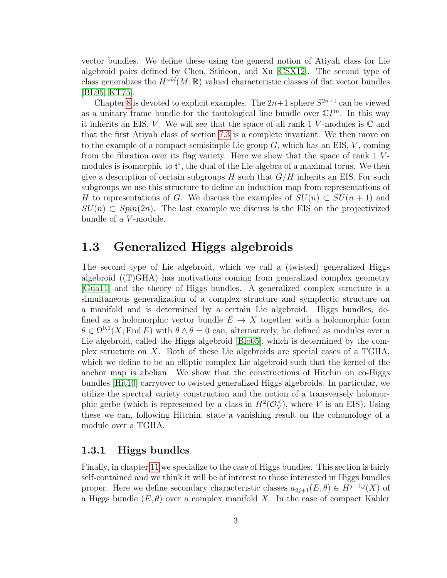vector bundles. We define these using the general notion of Atiyah class for Lie algebroid pairs defined by Chen, Stineon, and Xu [\[CSX12\]](#page-69-3). The second type of class generalizes the  $H^{odd}(M;\mathbb{R})$  valued characteristic classes of flat vector bundles [\[BL95,](#page-68-0) [KT75\]](#page-70-2).

Chapter [8](#page-37-0) is devoted to explicit examples. The  $2n+1$  sphere  $S^{2n+1}$  can be viewed as a unitary frame bundle for the tautological line bundle over  $\mathbb{C}P^n$ . In this way it inherits an EIS, V. We will see that the space of all rank 1 V-modules is  $\mathbb C$  and that the first Atiyah class of section [7.3](#page-33-0) is a complete invariant. We then move on to the example of a compact semisimple Lie group  $G$ , which has an EIS,  $V$ , coming from the fibration over its flag variety. Here we show that the space of rank 1 Vmodules is isomorphic to  $\mathfrak{t}^*$ , the dual of the Lie algebra of a maximal torus. We then give a description of certain subgroups H such that  $G/H$  inherits an EIS. For such subgroups we use this structure to define an induction map from representations of H to representations of G. We discuss the examples of  $SU(n) \subset SU(n+1)$  and  $SU(n) \subset Spin(2n)$ . The last example we discuss is the EIS on the projectivized bundle of a *V*-module.

### <span id="page-7-0"></span>1.3 Generalized Higgs algebroids

The second type of Lie algebroid, which we call a (twisted) generalized Higgs algebroid ((T)GHA) has motivations coming from generalized complex geometry [\[Gua11\]](#page-69-1) and the theory of Higgs bundles. A generalized complex structure is a simultaneous generalization of a complex structure and symplectic structure on a manifold and is determined by a certain Lie algebroid. Higgs bundles, defined as a holomorphic vector bundle  $E \to X$  together with a holomorphic form  $\theta \in \Omega^{0,1}(X;\text{End } E)$  with  $\theta \wedge \theta = 0$  can, alternatively, be defined as modules over a Lie algebroid, called the Higgs algebroid [\[Blo05\]](#page-68-4), which is determined by the complex structure on X. Both of these Lie algebroids are special cases of a TGHA, which we define to be an elliptic complex Lie algebroid such that the kernel of the anchor map is abelian. We show that the constructions of Hitchin on co-Higgs bundles [\[Hit10\]](#page-70-3) carryover to twisted generalized Higgs algebroids. In particular, we utilize the spectral variety construction and the notion of a transversely holomorphic gerbe (which is represented by a class in  $H^2(\mathcal{O}_V^{\times})$  $V(V)$ , where V is an EIS). Using these we can, following Hitchin, state a vanishing result on the cohomology of a module over a TGHA.

### <span id="page-7-1"></span>1.3.1 Higgs bundles

Finally, in chapter [11](#page-56-0) we specialize to the case of Higgs bundles. This section is fairly self-contained and we think it will be of interest to those interested in Higgs bundles proper. Here we define secondary characteristic classes  $a_{2i+1}(E, \theta) \in H^{j+1,j}(X)$  of a Higgs bundle  $(E, \theta)$  over a complex manifold X. In the case of compact Kähler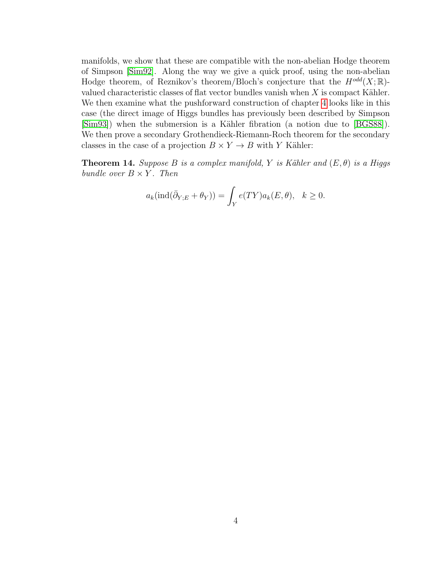manifolds, we show that these are compatible with the non-abelian Hodge theorem of Simpson [\[Sim92\]](#page-70-4). Along the way we give a quick proof, using the non-abelian Hodge theorem, of Reznikov's theorem/Bloch's conjecture that the  $H^{odd}(X;\mathbb{R})$ valued characteristic classes of flat vector bundles vanish when  $X$  is compact Kähler. We then examine what the pushforward construction of chapter [4](#page-16-0) looks like in this case (the direct image of Higgs bundles has previously been described by Simpson [\[Sim93\]](#page-70-5)) when the submersion is a Kähler fibration (a notion due to [\[BGS88\]](#page-68-5)). We then prove a secondary Grothendieck-Riemann-Roch theorem for the secondary classes in the case of a projection  $B \times Y \to B$  with Y Kähler:

**Theorem 14.** Suppose B is a complex manifold, Y is Kähler and  $(E, \theta)$  is a Higgs bundle over  $B \times Y$ . Then

$$
a_k(\text{ind}(\bar{\partial}_{Y,E} + \theta_Y)) = \int_Y e(TY)a_k(E, \theta), \quad k \ge 0.
$$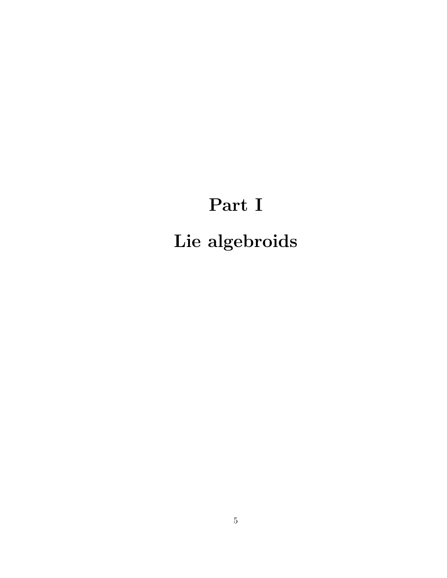# <span id="page-9-0"></span>Part I Lie algebroids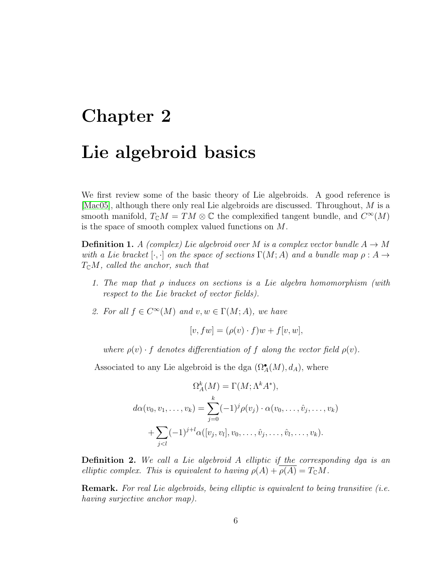# <span id="page-10-0"></span>Chapter 2 Lie algebroid basics

We first review some of the basic theory of Lie algebroids. A good reference is [\[Mac05\]](#page-70-6), although there only real Lie algebroids are discussed. Throughout, M is a smooth manifold,  $T_{\mathbb{C}}M = TM \otimes \mathbb{C}$  the complexified tangent bundle, and  $C^{\infty}(M)$ is the space of smooth complex valued functions on M.

**Definition 1.** A (complex) Lie algebroid over M is a complex vector bundle  $A \rightarrow M$ with a Lie bracket  $[\cdot, \cdot]$  on the space of sections  $\Gamma(M; A)$  and a bundle map  $\rho: A \to$  $T_{\mathcal{C}}M$ , called the anchor, such that

- 1. The map that  $\rho$  induces on sections is a Lie algebra homomorphism (with respect to the Lie bracket of vector fields).
- 2. For all  $f \in C^{\infty}(M)$  and  $v, w \in \Gamma(M; A)$ , we have

$$
[v, fw] = (\rho(v) \cdot f)w + f[v, w],
$$

where  $\rho(v) \cdot f$  denotes differentiation of f along the vector field  $\rho(v)$ .

Associated to any Lie algebroid is the dga  $(\Omega^{\bullet}_{A}(M), d_{A})$ , where

$$
\Omega_A^k(M) = \Gamma(M; \Lambda^k A^*),
$$
  

$$
d\alpha(v_0, v_1, \dots, v_k) = \sum_{j=0}^k (-1)^j \rho(v_j) \cdot \alpha(v_0, \dots, \hat{v}_j, \dots, v_k)
$$
  

$$
+ \sum_{j
$$

Definition 2. We call a Lie algebroid A elliptic if the corresponding dga is an elliptic complex. This is equivalent to having  $\rho(A) + \rho(A) = T_{\mathbb{C}}M$ .

Remark. For real Lie algebroids, being elliptic is equivalent to being transitive (i.e. having surjective anchor map).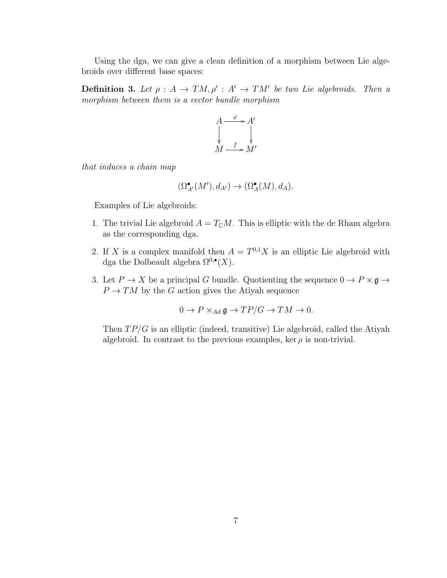Using the dga, we can give a clean definition of a morphism between Lie algebroids over different base spaces:

**Definition 3.** Let  $\rho : A \to TM$ ,  $\rho' : A' \to TM'$  be two Lie algebroids. Then a morphism between them is a vector bundle morphism



that induces a chain map

$$
(\Omega^\bullet_{A'}(M'), d_{A'}) \to (\Omega^\bullet_A(M), d_A).
$$

Examples of Lie algebroids:

- 1. The trivial Lie algebroid  $A = T_{\mathbb{C}}M$ . This is elliptic with the de Rham algebra as the corresponding dga.
- 2. If X is a complex manifold then  $A = T^{0,1}X$  is an elliptic Lie algebroid with dga the Dolbeault algebra  $\Omega^{0,\bullet}(X)$ .
- 3. Let  $P \to X$  be a principal G bundle. Quotienting the sequence  $0 \to P \times \mathfrak{g} \to Y$  $P \to TM$  by the G action gives the Atiyah sequence

$$
0 \to P \times_{Ad} \mathfrak{g} \to TP/G \to TM \to 0.
$$

Then  $TP/G$  is an elliptic (indeed, transitive) Lie algebroid, called the Atiyah algebroid. In contrast to the previous examples, ker  $\rho$  is non-trivial.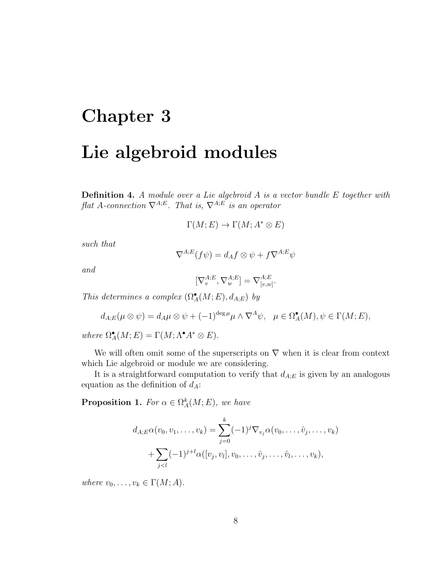# <span id="page-12-0"></span>Chapter 3 Lie algebroid modules

**Definition 4.** A module over a Lie algebroid  $A$  is a vector bundle  $E$  together with flat A-connection  $\nabla^{A,E}$ . That is,  $\nabla^{A;E}$  is an operator

$$
\Gamma(M;E) \to \Gamma(M;A^* \otimes E)
$$

such that

$$
\nabla^{A;E}(f\psi) = d_A f \otimes \psi + f \nabla^{A;E} \psi
$$

and

$$
[\nabla^{A;E}_v,\nabla^{A;E}_w]=\nabla^{A;E}_{[v,w]}.
$$

This determines a complex  $(\Omega^{\bullet}_{A}(M;E), d_{A;E})$  by

$$
d_{A;E}(\mu \otimes \psi) = d_A \mu \otimes \psi + (-1)^{\deg \mu} \mu \wedge \nabla^A \psi, \quad \mu \in \Omega^{\bullet}_A(M), \psi \in \Gamma(M;E),
$$

where  $\Omega^{\bullet}_A(M;E) = \Gamma(M; \Lambda^{\bullet} A^* \otimes E).$ 

We will often omit some of the superscripts on  $\nabla$  when it is clear from context which Lie algebroid or module we are considering.

It is a straightforward computation to verify that  $d_{A;E}$  is given by an analogous equation as the definition of  $d_A$ :

**Proposition 1.** For  $\alpha \in \Omega_A^k(M; E)$ , we have

$$
d_{A;E}\alpha(v_0, v_1, \dots, v_k) = \sum_{j=0}^k (-1)^j \nabla_{v_j} \alpha(v_0, \dots, \hat{v}_j, \dots, v_k) + \sum_{j < l} (-1)^{j+l} \alpha([v_j, v_l], v_0, \dots, \hat{v}_j, \dots, \hat{v}_l, \dots, v_k),
$$

where  $v_0, \ldots, v_k \in \Gamma(M; A)$ .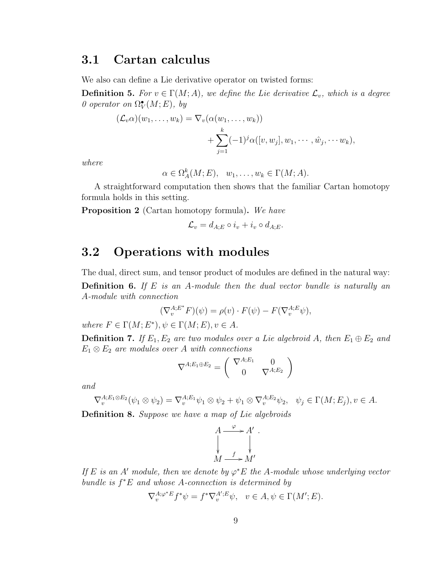### <span id="page-13-0"></span>3.1 Cartan calculus

We also can define a Lie derivative operator on twisted forms:

**Definition 5.** For  $v \in \Gamma(M; A)$ , we define the Lie derivative  $\mathcal{L}_v$ , which is a degree 0 operator on  $\Omega^{\bullet}_V(M; E)$ , by

$$
(\mathcal{L}_v \alpha)(w_1, \dots, w_k) = \nabla_v(\alpha(w_1, \dots, w_k))
$$
  
+ 
$$
\sum_{j=1}^k (-1)^j \alpha([v, w_j], w_1, \dots, \hat{w}_j, \dots, w_k),
$$

where

$$
\alpha \in \Omega_A^k(M; E), \quad w_1, \dots, w_k \in \Gamma(M; A).
$$

A straightforward computation then shows that the familiar Cartan homotopy formula holds in this setting.

<span id="page-13-2"></span>Proposition 2 (Cartan homotopy formula). We have

$$
\mathcal{L}_v = d_{A;E} \circ i_v + i_v \circ d_{A;E}.
$$

### <span id="page-13-1"></span>3.2 Operations with modules

The dual, direct sum, and tensor product of modules are defined in the natural way: **Definition 6.** If  $E$  is an A-module then the dual vector bundle is naturally an A-module with connection

$$
(\nabla_v^{A;E^*} F)(\psi) = \rho(v) \cdot F(\psi) - F(\nabla_v^{A;E} \psi),
$$

where  $F \in \Gamma(M; E^*), \psi \in \Gamma(M; E), v \in A$ .

**Definition 7.** If  $E_1, E_2$  are two modules over a Lie algebroid A, then  $E_1 \oplus E_2$  and  $E_1 \otimes E_2$  are modules over A with connections

$$
\nabla^{A;E_1\oplus E_2} = \begin{pmatrix} \nabla^{A;E_1} & 0\\ 0 & \nabla^{A;E_2} \end{pmatrix}
$$

and

$$
\nabla_v^{A;E_1 \otimes E_2}(\psi_1 \otimes \psi_2) = \nabla_v^{A;E_1} \psi_1 \otimes \psi_2 + \psi_1 \otimes \nabla_v^{A;E_2} \psi_2, \quad \psi_j \in \Gamma(M;E_j), v \in A.
$$

Definition 8. Suppose we have a map of Lie algebroids

$$
A \xrightarrow{\varphi} A' .
$$
  
\n
$$
\downarrow \qquad \qquad \downarrow
$$
  
\n
$$
M \xrightarrow{f} M'
$$

If E is an A' module, then we denote by  $\varphi^*E$  the A-module whose underlying vector bundle is  $f^*E$  and whose A-connection is determined by

$$
\nabla_v^{A;\varphi^*E} f^*\psi = f^* \nabla_v^{A';E} \psi, \quad v \in A, \psi \in \Gamma(M';E).
$$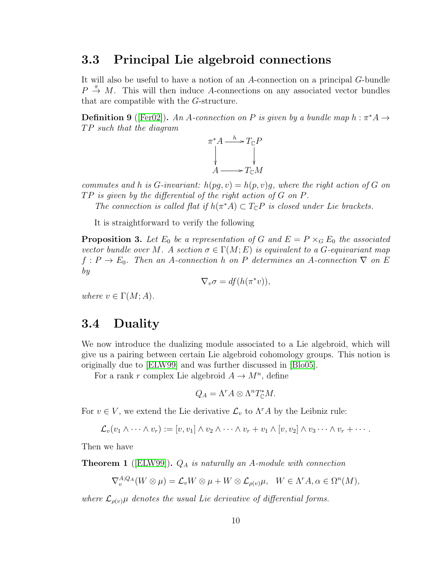### <span id="page-14-0"></span>3.3 Principal Lie algebroid connections

It will also be useful to have a notion of an A-connection on a principal G-bundle  $P \stackrel{\pi}{\rightarrow} M$ . This will then induce A-connections on any associated vector bundles that are compatible with the G-structure.

<span id="page-14-2"></span>**Definition 9** ([\[Fer02\]](#page-69-4)). An A-connection on P is given by a bundle map  $h : \pi^* A \to$  $TP \, such \, that \, the \, diagram$ 



commutes and h is G-invariant:  $h(pq, v) = h(p, v)q$ , where the right action of G on  $TP$  is given by the differential of the right action of G on P.

The connection is called flat if  $h(\pi^*A) \subset T_{\mathbb{C}}P$  is closed under Lie brackets.

It is straightforward to verify the following

<span id="page-14-3"></span>**Proposition 3.** Let  $E_0$  be a representation of G and  $E = P \times_G E_0$  the associated vector bundle over M. A section  $\sigma \in \Gamma(M; E)$  is equivalent to a G-equivariant map  $f: P \to E_0$ . Then an A-connection h on P determines an A-connection  $\nabla$  on E by

$$
\nabla_v \sigma = df(h(\pi^*v)),
$$

where  $v \in \Gamma(M; A)$ .

### <span id="page-14-1"></span>3.4 Duality

We now introduce the dualizing module associated to a Lie algebroid, which will give us a pairing between certain Lie algebroid cohomology groups. This notion is originally due to [\[ELW99\]](#page-69-5) and was further discussed in [\[Blo05\]](#page-68-4).

For a rank r complex Lie algebroid  $A \to M^n$ , define

$$
Q_A = \Lambda^r A \otimes \Lambda^n T_{\mathbb{C}}^* M.
$$

For  $v \in V$ , we extend the Lie derivative  $\mathcal{L}_v$  to  $\Lambda^r A$  by the Leibniz rule:

$$
\mathcal{L}_v(v_1 \wedge \cdots \wedge v_r) := [v, v_1] \wedge v_2 \wedge \cdots \wedge v_r + v_1 \wedge [v, v_2] \wedge v_3 \cdots \wedge v_r + \cdots
$$

Then we have

**Theorem 1** ([\[ELW99\]](#page-69-5)).  $Q_A$  is naturally an A-module with connection

$$
\nabla_v^{A;Q_A}(W\otimes \mu) = \mathcal{L}_v W \otimes \mu + W \otimes \mathcal{L}_{\rho(v)}\mu, \quad W \in \Lambda^r A, \alpha \in \Omega^n(M),
$$

where  $\mathcal{L}_{\rho(v)}\mu$  denotes the usual Lie derivative of differential forms.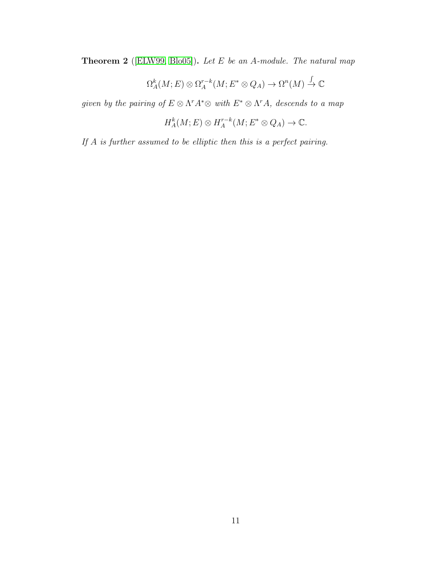<span id="page-15-0"></span>Theorem 2 ([\[ELW99,](#page-69-5) [Blo05\]](#page-68-4)). Let E be an A-module. The natural map

$$
\Omega_A^k(M; E) \otimes \Omega_A^{r-k}(M; E^* \otimes Q_A) \to \Omega^n(M) \xrightarrow{\int} \mathbb{C}
$$

given by the pairing of  $E \otimes \Lambda^r A^* \otimes \text{ with } E^* \otimes \Lambda^r A$ , descends to a map

$$
H_A^k(M; E) \otimes H_A^{r-k}(M; E^* \otimes Q_A) \to \mathbb{C}.
$$

If A is further assumed to be elliptic then this is a perfect pairing.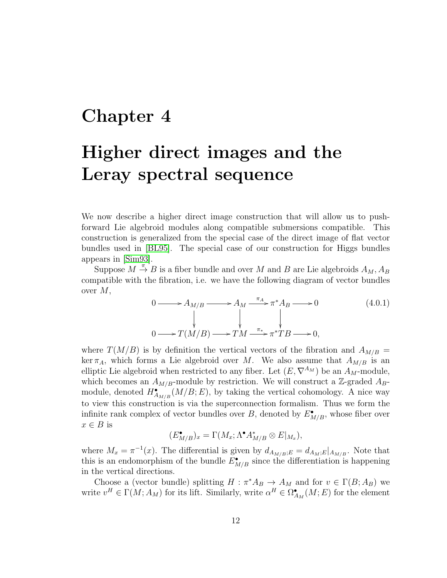### <span id="page-16-0"></span>Chapter 4

## Higher direct images and the Leray spectral sequence

We now describe a higher direct image construction that will allow us to pushforward Lie algebroid modules along compatible submersions compatible. This construction is generalized from the special case of the direct image of flat vector bundles used in [\[BL95\]](#page-68-0). The special case of our construction for Higgs bundles appears in [\[Sim93\]](#page-70-5).

Suppose  $M \stackrel{\pi}{\rightarrow} B$  is a fiber bundle and over M and B are Lie algebroids  $A_M$ ,  $A_B$ compatible with the fibration, i.e. we have the following diagram of vector bundles over  $M$ ,

<span id="page-16-1"></span>
$$
0 \longrightarrow A_{M/B} \longrightarrow A_M \xrightarrow{\pi_A} \pi^* A_B \longrightarrow 0
$$
\n
$$
\downarrow \qquad \qquad \downarrow
$$
\n
$$
0 \longrightarrow T(M/B) \longrightarrow TM \xrightarrow{\pi_*} \pi^* TB \longrightarrow 0,
$$
\n
$$
(4.0.1)
$$

where  $T(M/B)$  is by definition the vertical vectors of the fibration and  $A_{M/B}$  = ker  $\pi_A$ , which forms a Lie algebroid over M. We also assume that  $A_{M/B}$  is an elliptic Lie algebroid when restricted to any fiber. Let  $(E, \nabla^{A_M})$  be an  $A_M$ -module, which becomes an  $A_{M/B}$ -module by restriction. We will construct a Z-graded  $A_{B}$ module, denoted  $H_{A_{M/B}}^{\bullet}(M/B;E)$ , by taking the vertical cohomology. A nice way to view this construction is via the superconnection formalism. Thus we form the infinite rank complex of vector bundles over B, denoted by  $E_{M/B}^{\bullet}$ , whose fiber over  $x \in B$  is

$$
(E_{M/B}^{\bullet})_x = \Gamma(M_x; \Lambda^{\bullet} A_{M/B}^* \otimes E|_{M_x}),
$$

where  $M_x = \pi^{-1}(x)$ . The differential is given by  $d_{A_{M/B}} := d_{A_M;E}|_{A_{M/B}}$ . Note that this is an endomorphism of the bundle  $E_{M/B}^{\bullet}$  since the differentiation is happening in the vertical directions.

Choose a (vector bundle) splitting  $H : \pi^* A_B \to A_M$  and for  $v \in \Gamma(B; A_B)$  we write  $v^H \in \Gamma(M; A_M)$  for its lift. Similarly, write  $\alpha^H \in \Omega^{\bullet}_{A_M}(M; E)$  for the element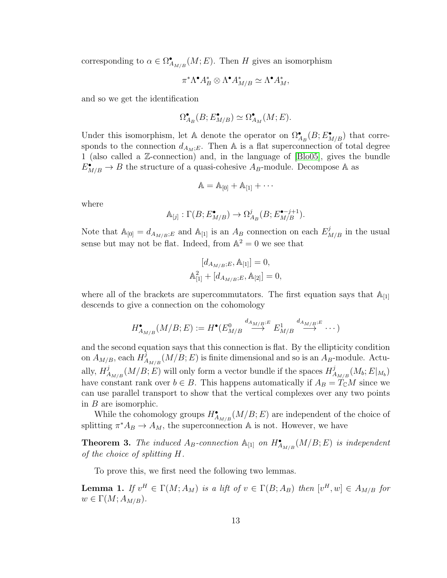corresponding to  $\alpha \in \Omega^{\bullet}_{A_{M/B}}(M;E)$ . Then H gives an isomorphism

$$
\pi^* \Lambda^{\bullet} A_B^* \otimes \Lambda^{\bullet} A_{M/B}^* \simeq \Lambda^{\bullet} A_M^*,
$$

and so we get the identification

$$
\Omega_{A_B}^\bullet(B;E_{M/B}^\bullet)\simeq \Omega_{A_M}^\bullet(M;E).
$$

Under this isomorphism, let A denote the operator on  $\Omega_{A_B}^{\bullet}(B;E_{M/B}^{\bullet})$  that corresponds to the connection  $d_{A_M;E}$ . Then A is a flat superconnection of total degree 1 (also called a Z-connection) and, in the language of [\[Blo05\]](#page-68-4), gives the bundle  $E_{M/B}^{\bullet} \to B$  the structure of a quasi-cohesive  $A_B$ -module. Decompose A as

$$
\mathbb{A} = \mathbb{A}_{[0]} + \mathbb{A}_{[1]} + \cdots
$$

where

$$
\mathbb{A}_{[j]} : \Gamma(B; E_{M/B}^{\bullet}) \to \Omega_{A_B}^j(B; E_{M/B}^{\bullet - j + 1}).
$$

Note that  $\mathbb{A}_{[0]} = d_{A_{M/B};E}$  and  $\mathbb{A}_{[1]}$  is an  $A_B$  connection on each  $E^j_{M/B}$  in the usual sense but may not be flat. Indeed, from  $\mathbb{A}^2 = 0$  we see that

$$
[d_{A_{M/B};E}, A_{[1]}] = 0,
$$
  

$$
A_{[1]}^2 + [d_{A_{M/B};E}, A_{[2]}] = 0,
$$

where all of the brackets are supercommutators. The first equation says that  $A_{[1]}$ descends to give a connection on the cohomology

$$
H_{A_{M/B}}^{\bullet}(M/B;E) := H^{\bullet}(E_{M/B}^{0} \xrightarrow{d_{A_{M/B}};E} E_{M/B}^{1} \xrightarrow{d_{A_{M/B}};E} \cdots)
$$

and the second equation says that this connection is flat. By the ellipticity condition on  $A_{M/B}$ , each  $H^{\overline{j}}_{A}$  $A_{M/B}(M/B; E)$  is finite dimensional and so is an  $A_B$ -module. Actually,  $H^j_{\neq}$  $A_{M/B}(M/B; E)$  will only form a vector bundle if the spaces  $H_A^j$  $\frac{d^{J}}{A_{M/B}} (M_b; E|_{M_b})$ have constant rank over  $b \in B$ . This happens automatically if  $A_B = T_{\mathbb{C}}M$  since we can use parallel transport to show that the vertical complexes over any two points in B are isomorphic.

While the cohomology groups  $H_{A_{M/B}}^{\bullet}(M/B;E)$  are independent of the choice of splitting  $\pi^* A_B \to A_M$ , the superconnection  $\mathbb A$  is not. However, we have

<span id="page-17-0"></span>**Theorem 3.** The induced  $A_B$ -connection  $\mathbb{A}_{[1]}$  on  $H_{A_{M/B}}^{\bullet}(M/B;E)$  is independent of the choice of splitting H.

To prove this, we first need the following two lemmas.

**Lemma 1.** If  $v^H \in \Gamma(M; A_M)$  is a lift of  $v \in \Gamma(B; A_B)$  then  $[v^H, w] \in A_{M/B}$  for  $w \in \Gamma(M; A_{M/B}).$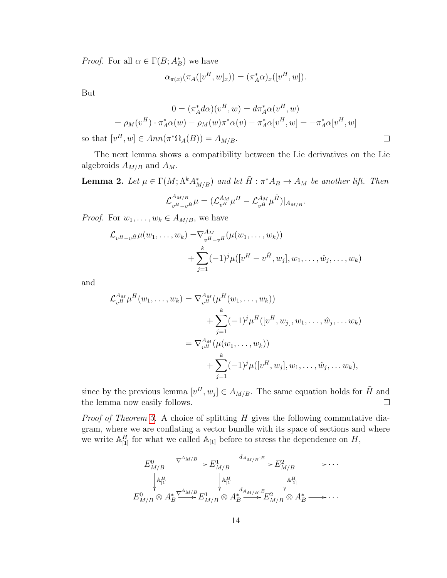*Proof.* For all  $\alpha \in \Gamma(B; A_B^*)$  we have

$$
\alpha_{\pi(x)}(\pi_A([v^H,w]_x)) = (\pi_A^*\alpha)_x([v^H,w]).
$$

But

$$
0 = (\pi_A^* d\alpha)(v^H, w) = d\pi_A^* \alpha(v^H, w)
$$
  
=  $\rho_M(v^H) \cdot \pi_A^* \alpha(w) - \rho_M(w) \pi^* \alpha(v) - \pi_A^* \alpha[v^H, w] = -\pi_A^* \alpha[v^H, w]$   

$$
[v^H, w] \in Ann(\pi^* \Omega_A(B)) = A_{M/B}.
$$

so that  $\lceil$  $^{\prime}$ ,  $w$   $\vert$  $n(\pi^*\Omega_A(B))=A_{M/B}.$ 

The next lemma shows a compatibility between the Lie derivatives on the Lie algebroids  $A_{M/B}$  and  $A_M$ .

**Lemma 2.** Let  $\mu \in \Gamma(M; \Lambda^k A_{M/B}^*)$  and let  $\tilde{H}: \pi^* A_B \to A_M$  be another lift. Then

$$
\mathcal{L}_{v^H-v^{\tilde{H}}}^{A_{M/B}}\mu = (\mathcal{L}_{v^H}^{A_M} \mu^H - \mathcal{L}_{v^{\tilde{H}}}^{A_M} \mu^{\tilde{H}})|_{A_{M/B}}.
$$

*Proof.* For  $w_1, \ldots, w_k \in A_{M/B}$ , we have

$$
\mathcal{L}_{v^H-v^{\tilde{H}}}\mu(w_1,\ldots,w_k) = \nabla_{v^H-v^{\tilde{H}}}^{\Lambda_M}(\mu(w_1,\ldots,w_k)) + \sum_{j=1}^k (-1)^j \mu([v^H-v^{\tilde{H}},w_j],w_1,\ldots,\hat{w}_j,\ldots,w_k)
$$

and

$$
\mathcal{L}_{v^H}^{A_M} \mu^H(w_1, \dots, w_k) = \nabla_{v^H}^{A_M} (\mu^H(w_1, \dots, w_k)) \n+ \sum_{j=1}^k (-1)^j \mu^H([v^H, w_j], w_1, \dots, \hat{w}_j, \dots w_k) \n= \nabla_{v^H}^{A_M} (\mu(w_1, \dots, w_k)) \n+ \sum_{j=1}^k (-1)^j \mu([v^H, w_j], w_1, \dots, \hat{w}_j, \dots w_k),
$$

since by the previous lemma  $[v^H, w_j] \in A_{M/B}$ . The same equation holds for  $\tilde{H}$  and  $\Box$ the lemma now easily follows.

*Proof of Theorem [3.](#page-17-0)* A choice of splitting  $H$  gives the following commutative diagram, where we are conflating a vector bundle with its space of sections and where we write  $\mathbb{A}^H_{[1]}$  for what we called  $\mathbb{A}_{[1]}$  before to stress the dependence on  $H$ ,

$$
E_{M/B}^{0} \xrightarrow{\nabla^{A_{M/B}}} E_{M/B}^{1} \xrightarrow{d_{A_{M/B},E}} E_{M/B}^{2} \xrightarrow{\nabla^{A_{M/B}}} \cdots
$$
  
\n
$$
\downarrow_{\mathbb{A}_{[1]}^{H}}^{\nabla^{A_{M/B}}} E_{M/B}^{1} \otimes A_{B}^{*} \xrightarrow{d_{A_{M/B},E}} E_{M/B}^{2} \otimes A_{B}^{*} \xrightarrow{\nabla^{A_{M/B}}} \cdots
$$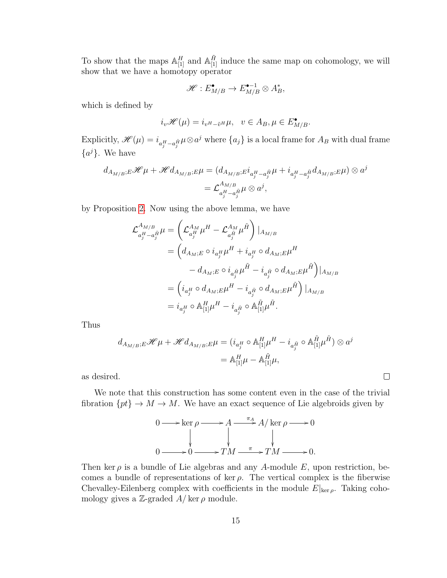To show that the maps  $\mathbb{A}_{[1]}^H$  and  $\mathbb{A}_{[1]}^{\tilde{H}}$  induce the same map on cohomology, we will show that we have a homotopy operator

$$
\mathscr{H}: E_{M/B}^{\bullet} \to E_{M/B}^{\bullet-1} \otimes A_{B}^*,
$$

which is defined by

$$
i_v \mathscr{H}(\mu) = i_{v^H - \tilde{v}^H} \mu, \quad v \in A_B, \mu \in E_{M/B}^{\bullet}.
$$

Explicitly,  $\mathscr{H}(\mu) = i_{a_j^H - a_j^H} \mu \otimes a^j$  where  $\{a_j\}$  is a local frame for  $A_B$  with dual frame  ${a<sup>j</sup>}.$  We have

$$
d_{A_{M/B};E} \mathcal{H} \mu + \mathcal{H} d_{A_{M/B};E} \mu = (d_{A_{M/B};E} i_{a_j^H - a_j^{\tilde{H}}} \mu + i_{a_j^H - a_j^{\tilde{H}}} d_{A_{M/B};E} \mu) \otimes a^j
$$
  
=  $\mathcal{L}_{a_j^H - a_j^{\tilde{H}}}^{A_{M/B}} \mu \otimes a^j$ ,

by Proposition [2.](#page-13-2) Now using the above lemma, we have

$$
\begin{split} \mathcal{L}^{A_{M/B}}_{a_j^H - a_j^{\tilde{H}}} \mu &= \left( \mathcal{L}^{A_M}_{a_j^H} \mu^H - \mathcal{L}^{A_M}_{a_j^{\tilde{H}}} \mu^{\tilde{H}} \right) |_{A_{M/B}} \\ &= \left( d_{A_M;E} \circ i_{a_j^H} \mu^H + i_{a_j^H} \circ d_{A_M;E} \mu^H \right. \\ & \left. - d_{A_M;E} \circ i_{a_j^{\tilde{H}}} \mu^{\tilde{H}} - i_{a_j^{\tilde{H}}} \circ d_{A_M;E} \mu^{\tilde{H}} \right) |_{A_{M/B}} \\ &= \left( i_{a_j^H} \circ d_{A_M;E} \mu^H - i_{a_j^{\tilde{H}}} \circ d_{A_M;E} \mu^{\tilde{H}} \right) |_{A_{M/B}} \\ &= i_{a_j^H} \circ \mathbb{A}_{[1]}^H \mu^H - i_{a_j^{\tilde{H}}} \circ \mathbb{A}_{[1]}^{\tilde{H}} \mu^{\tilde{H}}. \end{split}
$$

Thus

$$
\begin{split} d_{A_{M/B};E}\mathcal{H}\mu + \mathcal{H}d_{A_{M/B};E}\mu &= (i_{a_j^H} \circ \mathbb{A}_{[1]}^H \mu^H - i_{a_j^{\tilde{H}}} \circ \mathbb{A}_{[1]}^{\tilde{H}} \mu^{\tilde{H}}) \otimes a^j \\ &= \mathbb{A}_{[1]}^H \mu - \mathbb{A}_{[1]}^{\tilde{H}} \mu, \end{split}
$$

as desired.

We note that this construction has some content even in the case of the trivial fibration  $\{pt\} \to M \to M$ . We have an exact sequence of Lie algebroids given by

 $\Box$ 

$$
0 \longrightarrow \ker \rho \longrightarrow A \longrightarrow A/\ker \rho \longrightarrow 0
$$
  
\n
$$
\downarrow \qquad \qquad \downarrow \qquad \qquad \downarrow
$$
  
\n
$$
0 \longrightarrow 0 \longrightarrow TM \longrightarrow TM \longrightarrow 0.
$$

Then ker  $\rho$  is a bundle of Lie algebras and any A-module E, upon restriction, becomes a bundle of representations of ker  $\rho$ . The vertical complex is the fiberwise Chevalley-Eilenberg complex with coefficients in the module  $E|_{\text{ker }\rho}$ . Taking cohomology gives a Z-graded  $A/\ker \rho$  module.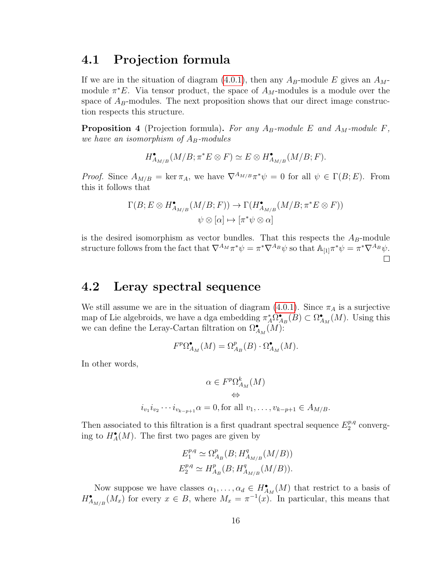### <span id="page-20-0"></span>4.1 Projection formula

If we are in the situation of diagram [\(4.0.1\)](#page-16-1), then any  $A_B$ -module E gives an  $A_M$ module  $\pi^*E$ . Via tensor product, the space of  $A_M$ -modules is a module over the space of  $A_B$ -modules. The next proposition shows that our direct image construction respects this structure.

**Proposition 4** (Projection formula). For any  $A_B$ -module E and  $A_M$ -module F, we have an isomorphism of  $A_B$ -modules

$$
H_{A_{M/B}}^{\bullet}(M/B;\pi^*E\otimes F)\simeq E\otimes H_{A_{M/B}}^{\bullet}(M/B;F).
$$

*Proof.* Since  $A_{M/B} = \ker \pi_A$ , we have  $\nabla^{A_{M/B}} \pi^* \psi = 0$  for all  $\psi \in \Gamma(B; E)$ . From this it follows that

$$
\Gamma(B; E \otimes H_{A_{M/B}}^{\bullet}(M/B; F)) \to \Gamma(H_{A_{M/B}}^{\bullet}(M/B; \pi^*E \otimes F))
$$
  

$$
\psi \otimes [\alpha] \mapsto [\pi^*\psi \otimes \alpha]
$$

is the desired isomorphism as vector bundles. That this respects the  $A_B$ -module structure follows from the fact that  $\nabla^{A_M}\pi^*\psi = \pi^*\nabla^{A_B}\psi$  so that  $\mathbb{A}_{[1]}\pi^*\psi = \pi^*\nabla^{A_B}\psi$ .  $\Box$ 

### <span id="page-20-1"></span>4.2 Leray spectral sequence

We still assume we are in the situation of diagram [\(4.0.1\)](#page-16-1). Since  $\pi_A$  is a surjective map of Lie algebroids, we have a dga embedding  $\pi_A^* \Omega_{A_B}^{\bullet}(B) \subset \Omega_{A_M}^{\bullet}(M)$ . Using this we can define the Leray-Cartan filtration on  $\Omega_{A_M}^{\bullet}(M)$ :

$$
F^p \Omega^{\bullet}_{A_M}(M) = \Omega^p_{A_B}(B) \cdot \Omega^{\bullet}_{A_M}(M).
$$

In other words,

$$
\alpha \in F^p \Omega^k_{A_M}(M)
$$
  
\n
$$
\Leftrightarrow
$$
  
\n
$$
i_{v_1} i_{v_2} \cdots i_{v_{k-p+1}} \alpha = 0, \text{for all } v_1, \dots, v_{k-p+1} \in A_{M/B}.
$$

Then associated to this filtration is a first quadrant spectral sequence  $E_2^{p,q}$  $_2^{p,q}$  converging to  $H_A^{\bullet}(M)$ . The first two pages are given by

$$
E_1^{p,q} \simeq \Omega_{A_B}^p(B; H_{A_{M/B}}^q(M/B))
$$
  

$$
E_2^{p,q} \simeq H_{A_B}^p(B; H_{A_{M/B}}^q(M/B)).
$$

Now suppose we have classes  $\alpha_1, \ldots, \alpha_d \in H_{A_M}^{\bullet}(M)$  that restrict to a basis of  $H_{A_{M/B}}^{\bullet}(M_x)$  for every  $x \in B$ , where  $M_x = \pi^{-1}(x)$ . In particular, this means that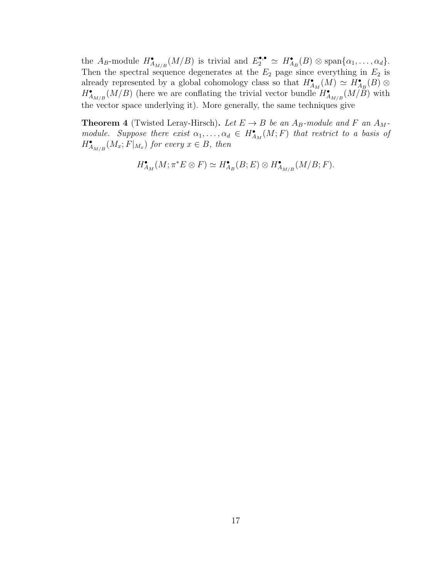the  $A_B$ -module  $H_{A_{M/B}}^{\bullet}(M/B)$  is trivial and  $E_2^{\bullet,\bullet} \simeq H_{A_B}^{\bullet}(B) \otimes \text{span}\{\alpha_1,\ldots,\alpha_d\}.$ Then the spectral sequence degenerates at the  $E_2$  page since everything in  $E_2$  is already represented by a global cohomology class so that  $H_{A_M}^{\bullet}(M) \simeq H_{A_B}^{\bullet}(B) \otimes$  $H_{A_{M/B}}^{\bullet}(M/B)$  (here we are conflating the trivial vector bundle  $H_{A_{M/B}}^{\bullet}(M/B)$  with the vector space underlying it). More generally, the same techniques give

<span id="page-21-0"></span>**Theorem 4** (Twisted Leray-Hirsch). Let  $E \rightarrow B$  be an  $A_B$ -module and F an  $A_M$ module. Suppose there exist  $\alpha_1, \ldots, \alpha_d \in H_{A_M}^{\bullet}(M;F)$  that restrict to a basis of  $H_{A_{M/B}}^{\bullet}(M_x; F|_{M_x})$  for every  $x \in B$ , then

$$
H_{A_M}^{\bullet}(M; \pi^* E \otimes F) \simeq H_{A_B}^{\bullet}(B; E) \otimes H_{A_{M/B}}^{\bullet}(M/B; F).
$$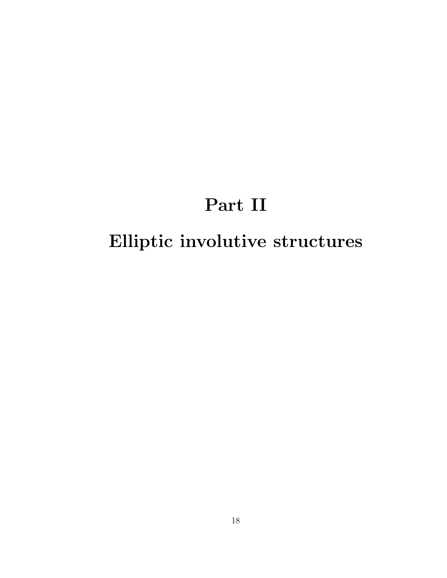## Part II

# <span id="page-22-0"></span>Elliptic involutive structures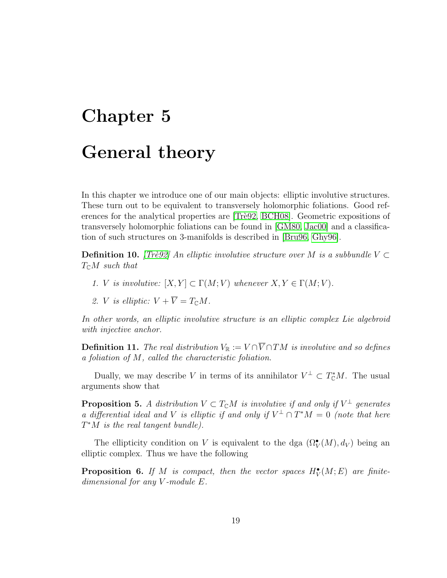# <span id="page-23-0"></span>Chapter 5 General theory

In this chapter we introduce one of our main objects: elliptic involutive structures. These turn out to be equivalent to transversely holomorphic foliations. Good ref-erences for the analytical properties are [Trè92, [BCH08\]](#page-68-1). Geometric expositions of transversely holomorphic foliations can be found in [\[GM80,](#page-69-0) [Jac00\]](#page-70-7) and a classification of such structures on 3-manifolds is described in [\[Bru96,](#page-69-6) [Ghy96\]](#page-69-7).

**Definition 10.** [Trè92] An elliptic involutive structure over M is a subbundle V  $\subset$  $T_{\mathbb{C}}M$  such that

- 1. V is involutive:  $[X, Y] \subset \Gamma(M; V)$  whenever  $X, Y \in \Gamma(M; V)$ .
- 2. *V* is elliptic:  $V + \overline{V} = T_{\mathbb{C}}M$ .

In other words, an elliptic involutive structure is an elliptic complex Lie algebroid with injective anchor.

**Definition 11.** The real distribution  $V_{\mathbb{R}} := V \cap \overline{V} \cap TM$  is involutive and so defines a foliation of M, called the characteristic foliation.

Dually, we may describe V in terms of its annihilator  $V^{\perp} \subset T_{\mathbb{C}}^*M$ . The usual arguments show that

**Proposition 5.** A distribution  $V \subset T_{\mathbb{C}}M$  is involutive if and only if  $V^{\perp}$  generates a differential ideal and V is elliptic if and only if  $V^{\perp} \cap T^*M = 0$  (note that here  $T^*M$  is the real tangent bundle).

The ellipticity condition on V is equivalent to the dga  $(\Omega_V^{\bullet}(M), d_V)$  being an elliptic complex. Thus we have the following

**Proposition 6.** If M is compact, then the vector spaces  $H_V^{\bullet}(M;E)$  are finitedimensional for any V -module E.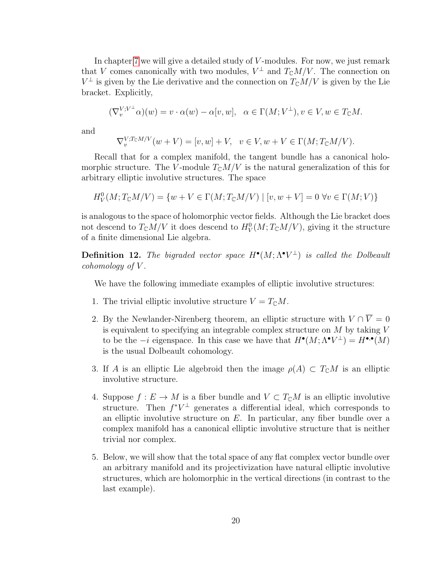In chapter [7](#page-27-0) we will give a detailed study of  $V$ -modules. For now, we just remark that V comes canonically with two modules,  $V^{\perp}$  and  $T_{\mathbb{C}}M/V$ . The connection on  $V^{\perp}$  is given by the Lie derivative and the connection on  $T_{\mathbb{C}}M/V$  is given by the Lie bracket. Explicitly,

$$
(\nabla_v^{V;V^{\perp}}\alpha)(w)=v\cdot \alpha(w)-\alpha[v,w],\quad \alpha\in \Gamma(M;V^{\perp}), v\in V, w\in T_{\mathbb C}M.
$$

and

$$
\nabla_v^{V;T_{\mathbb{C}}M/V}(w+V) = [v,w] + V, \quad v \in V, w + V \in \Gamma(M;T_{\mathbb{C}}M/V).
$$

Recall that for a complex manifold, the tangent bundle has a canonical holomorphic structure. The V-module  $T_{\mathbb{C}}M/V$  is the natural generalization of this for arbitrary elliptic involutive structures. The space

$$
H^0_V(M;T_\mathbb{C} M/V) = \{w + V \in \Gamma(M;T_\mathbb{C} M/V) \mid [v,w + V] = 0 \; \forall v \in \Gamma(M;V) \}
$$

is analogous to the space of holomorphic vector fields. Although the Lie bracket does not descend to  $T_{\mathbb{C}}M/V$  it does descend to  $H^0_V(M;T_{\mathbb{C}}M/V)$ , giving it the structure of a finite dimensional Lie algebra.

**Definition 12.** The bigraded vector space  $H^{\bullet}(M; \Lambda^{\bullet} V^{\perp})$  is called the Dolbeault cohomology of  $V$ .

We have the following immediate examples of elliptic involutive structures:

- 1. The trivial elliptic involutive structure  $V = T_{\mathbb{C}}M$ .
- 2. By the Newlander-Nirenberg theorem, an elliptic structure with  $V \cap \overline{V} = 0$ is equivalent to specifying an integrable complex structure on  $M$  by taking  $V$ to be the  $-i$  eigenspace. In this case we have that  $H^{\bullet}(M; \Lambda^{\bullet} V^{\perp}) = H^{\bullet,\bullet}(M)$ is the usual Dolbeault cohomology.
- 3. If A is an elliptic Lie algebroid then the image  $\rho(A) \subset T_{\mathbb{C}}M$  is an elliptic involutive structure.
- 4. Suppose  $f: E \to M$  is a fiber bundle and  $V \subset T_{\mathbb{C}}M$  is an elliptic involutive structure. Then  $f^*V^{\perp}$  generates a differential ideal, which corresponds to an elliptic involutive structure on  $E$ . In particular, any fiber bundle over a complex manifold has a canonical elliptic involutive structure that is neither trivial nor complex.
- 5. Below, we will show that the total space of any flat complex vector bundle over an arbitrary manifold and its projectivization have natural elliptic involutive structures, which are holomorphic in the vertical directions (in contrast to the last example).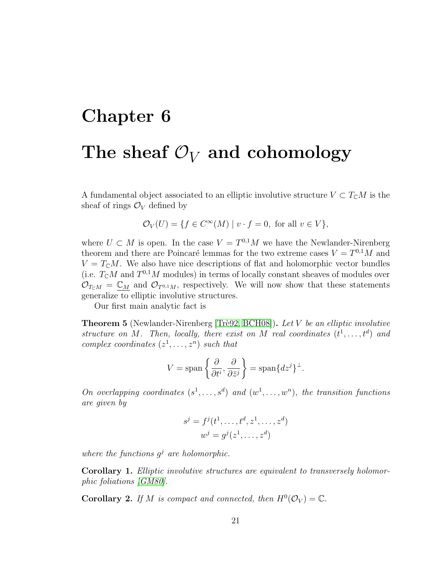# <span id="page-25-0"></span>Chapter 6 The sheaf  $\mathcal{O}_V$  and cohomology

A fundamental object associated to an elliptic involutive structure  $V \subset T_{\mathbb{C}}M$  is the sheaf of rings  $\mathcal{O}_V$  defined by

$$
\mathcal{O}_V(U) = \{ f \in C^{\infty}(M) \mid v \cdot f = 0, \text{ for all } v \in V \},
$$

where  $U \subset M$  is open. In the case  $V = T^{0,1}M$  we have the Newlander-Nirenberg theorem and there are Poincaré lemmas for the two extreme cases  $V = T^{0,1}M$  and  $V = T_{\rm C}M$ . We also have nice descriptions of flat and holomorphic vector bundles (i.e.  $T_{\mathbb{C}}M$  and  $T^{0,1}M$  modules) in terms of locally constant sheaves of modules over  $\mathcal{O}_{T\cap M} = \mathbb{C}_M$  and  $\mathcal{O}_{T^{0,1}M}$ , respectively. We will now show that these statements generalize to elliptic involutive structures.

Our first main analytic fact is

<span id="page-25-1"></span>**Theorem 5** (Newlander-Nirenberg [Trè92, [BCH08\]](#page-68-1)). Let V be an elliptic involutive structure on M. Then, locally, there exist on M real coordinates  $(t^1, \ldots, t^d)$  and complex coordinates  $(z^1, \ldots, z^n)$  such that

$$
V = \text{span}\left\{\frac{\partial}{\partial t^i}, \frac{\partial}{\partial \bar{z}^j}\right\} = \text{span}\{dz^j\}^{\perp}.
$$

On overlapping coordinates  $(s^1, \ldots, s^d)$  and  $(w^1, \ldots, w^n)$ , the transition functions are given by

$$
sj = fj(t1,..., td, z1,..., zd)
$$
  

$$
wj = gj(z1,..., zd)
$$

where the functions  $g^j$  are holomorphic.

Corollary 1. Elliptic involutive structures are equivalent to transversely holomorphic foliations [\[GM80\]](#page-69-0).

**Corollary 2.** If M is compact and connected, then  $H^0(\mathcal{O}_V) = \mathbb{C}$ .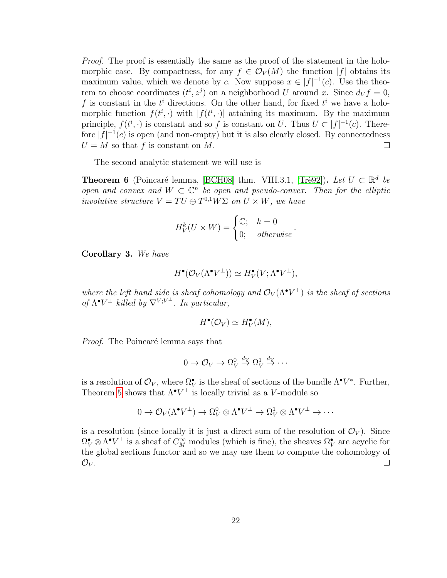Proof. The proof is essentially the same as the proof of the statement in the holomorphic case. By compactness, for any  $f \in \mathcal{O}_V(M)$  the function  $|f|$  obtains its maximum value, which we denote by c. Now suppose  $x \in |f|^{-1}(c)$ . Use the theorem to choose coordinates  $(t^i, z^j)$  on a neighborhood U around x. Since  $d_V f = 0$ , f is constant in the  $t^i$  directions. On the other hand, for fixed  $t^i$  we have a holomorphic function  $f(t^i, \cdot)$  with  $|f(t^i, \cdot)|$  attaining its maximum. By the maximum principle,  $f(t^i, \cdot)$  is constant and so f is constant on U. Thus  $U \subset |f|^{-1}(c)$ . Therefore  $|f|^{-1}(c)$  is open (and non-empty) but it is also clearly closed. By connectedness  $U = M$  so that f is constant on M.  $\Box$ 

The second analytic statement we will use is

<span id="page-26-1"></span>**Theorem 6** (Poincaré lemma, [\[BCH08\]](#page-68-1) thm. VIII.3.1, [Trè92]). Let  $U \subset \mathbb{R}^d$  be open and convex and  $W \subset \mathbb{C}^n$  be open and pseudo-convex. Then for the elliptic involutive structure  $V = TU \oplus T^{0,1} W \Sigma$  on  $U \times W$ , we have

$$
H_V^k(U \times W) = \begin{cases} \mathbb{C}; & k = 0 \\ 0; & otherwise \end{cases}.
$$

<span id="page-26-0"></span>Corollary 3. We have

$$
H^{\bullet}(\mathcal{O}_V(\Lambda^{\bullet}V^{\perp})) \simeq H^{\bullet}_V(V; \Lambda^{\bullet}V^{\perp}),
$$

where the left hand side is sheaf cohomology and  $\mathcal{O}_V(\Lambda^\bullet V^\perp)$  is the sheaf of sections of  $\Lambda^{\bullet}V^{\perp}$  killed by  $\nabla^{V;V^{\perp}}$ . In particular,

$$
H^{\bullet}(\mathcal{O}_V) \simeq H^{\bullet}_V(M),
$$

*Proof.* The Poincaré lemma says that

$$
0 \to \mathcal{O}_V \to \Omega_V^0 \overset{d_V}{\to} \Omega_V^1 \overset{d_V}{\to} \cdots
$$

is a resolution of  $\mathcal{O}_V$ , where  $\Omega_V^{\bullet}$  is the sheaf of sections of the bundle  $\Lambda^{\bullet}V^*$ . Further, Theorem [5](#page-25-1) shows that  $\Lambda^{\bullet}V^{\perp}$  is locally trivial as a V-module so

$$
0 \to \mathcal{O}_V(\Lambda^{\bullet} V^{\perp}) \to \Omega^0_V \otimes \Lambda^{\bullet} V^{\perp} \to \Omega^1_V \otimes \Lambda^{\bullet} V^{\perp} \to \cdots
$$

is a resolution (since locally it is just a direct sum of the resolution of  $\mathcal{O}_V$ ). Since  $\Omega^{\bullet}_V \otimes \Lambda^{\bullet} V^{\perp}$  is a sheaf of  $C^{\infty}_M$  modules (which is fine), the sheaves  $\Omega^{\bullet}_V$  are acyclic for the global sections functor and so we may use them to compute the cohomology of  $\mathcal{O}_V$  .  $\Box$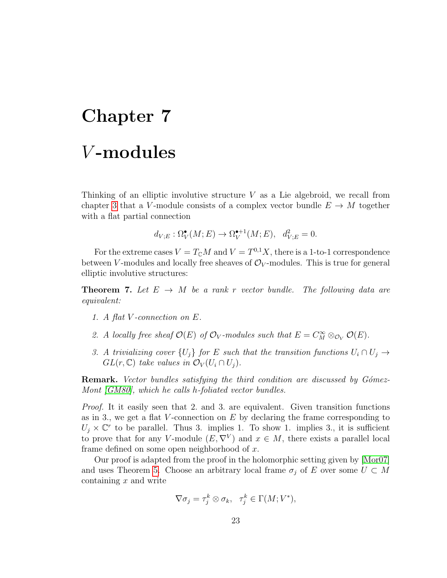# <span id="page-27-0"></span>Chapter 7 V -modules

Thinking of an elliptic involutive structure  $V$  as a Lie algebroid, we recall from chapter [3](#page-12-0) that a V-module consists of a complex vector bundle  $E \to M$  together with a flat partial connection

$$
d_{V;E} : \Omega^{\bullet}_{V}(M;E) \to \Omega^{\bullet+1}_{V}(M;E), \quad d_{V;E}^{2} = 0.
$$

For the extreme cases  $V = T_{\mathbb{C}}M$  and  $V = T^{0,1}X$ , there is a 1-to-1 correspondence between V-modules and locally free sheaves of  $\mathcal{O}_V$ -modules. This is true for general elliptic involutive structures:

**Theorem 7.** Let  $E \rightarrow M$  be a rank r vector bundle. The following data are equivalent:

- 1. A flat V -connection on E.
- 2. A locally free sheaf  $\mathcal{O}(E)$  of  $\mathcal{O}_V$ -modules such that  $E = C_M^{\infty} \otimes_{\mathcal{O}_V} \mathcal{O}(E)$ .
- 3. A trivializing cover  $\{U_i\}$  for E such that the transition functions  $U_i \cap U_j \rightarrow$  $GL(r, \mathbb{C})$  take values in  $\mathcal{O}_V(U_i \cap U_j)$ .

**Remark.** Vector bundles satisfying the third condition are discussed by Gómez-Mont [\[GM80\]](#page-69-0), which he calls h-foliated vector bundles.

Proof. It it easily seen that 2. and 3. are equivalent. Given transition functions as in 3., we get a flat V-connection on  $E$  by declaring the frame corresponding to  $U_j \times \mathbb{C}^r$  to be parallel. Thus 3. implies 1. To show 1. implies 3., it is sufficient to prove that for any V-module  $(E, \nabla^V)$  and  $x \in M$ , there exists a parallel local frame defined on some open neighborhood of  $x$ .

Our proof is adapted from the proof in the holomorphic setting given by [\[Mor07\]](#page-70-8) and uses Theorem [5.](#page-25-1) Choose an arbitrary local frame  $\sigma_j$  of E over some  $U \subset M$ containing  $x$  and write

$$
\nabla \sigma_j = \tau_j^k \otimes \sigma_k, \quad \tau_j^k \in \Gamma(M; V^*),
$$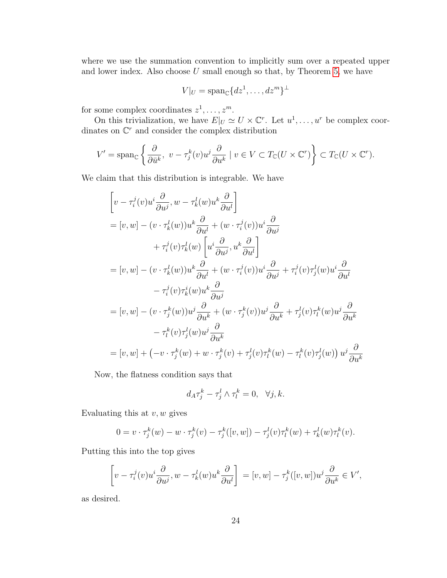where we use the summation convention to implicitly sum over a repeated upper and lower index. Also choose  $U$  small enough so that, by Theorem [5,](#page-25-1) we have

$$
V|_U = \mathrm{span}_{\mathbb{C}} \{dz^1, \dots, dz^m\}^{\perp}
$$

for some complex coordinates  $z^1, \ldots, z^m$ .

On this trivialization, we have  $E|_U \simeq U \times \mathbb{C}^r$ . Let  $u^1, \ldots, u^r$  be complex coordinates on  $\mathbb{C}^r$  and consider the complex distribution

$$
V' = \operatorname{span}_{\mathbb{C}} \left\{ \frac{\partial}{\partial \bar{u}^k}, \ v - \tau_j^k(v) u^j \frac{\partial}{\partial u^k} \mid v \in V \subset T_{\mathbb{C}}(U \times \mathbb{C}^r) \right\} \subset T_{\mathbb{C}}(U \times \mathbb{C}^r).
$$

We claim that this distribution is integrable. We have

$$
\begin{aligned}\n&\left[v - \tau_i^j(v)u^i\frac{\partial}{\partial u^j}, w - \tau_k^l(w)u^k\frac{\partial}{\partial u^l}\right] \\
&= [v, w] - (v \cdot \tau_k^l(w))u^k\frac{\partial}{\partial u^l} + (w \cdot \tau_i^j(v))u^i\frac{\partial}{\partial u^j} \\
&+ \tau_i^j(v)\tau_k^l(w)\left[u^i\frac{\partial}{\partial u^j}, u^k\frac{\partial}{\partial u^l}\right] \\
&= [v, w] - (v \cdot \tau_k^l(w))u^k\frac{\partial}{\partial u^l} + (w \cdot \tau_i^j(v))u^i\frac{\partial}{\partial u^j} + \tau_i^j(v)\tau_j^l(w)u^i\frac{\partial}{\partial u^l} \\
&- \tau_i^j(v)\tau_k^i(w)u^k\frac{\partial}{\partial u^j} \\
&= [v, w] - (v \cdot \tau_j^k(w))u^j\frac{\partial}{\partial u^k} + (w \cdot \tau_j^k(v))u^j\frac{\partial}{\partial u^k} + \tau_j^l(v)\tau_l^k(w)u^j\frac{\partial}{\partial u^k} \\
&- \tau_l^k(v)\tau_j^l(w)u^j\frac{\partial}{\partial u^k} \\
&= [v, w] + (-v \cdot \tau_j^k(w) + w \cdot \tau_j^k(v) + \tau_j^l(v)\tau_l^k(w) - \tau_l^k(v)\tau_j^l(w))u^j\frac{\partial}{\partial u^k}\n\end{aligned}
$$

Now, the flatness condition says that

$$
d_A \tau_j^k - \tau_j^l \wedge \tau_l^k = 0, \quad \forall j, k.
$$

Evaluating this at  $v, w$  gives

$$
0 = v \cdot \tau_j^k(w) - w \cdot \tau_j^k(v) - \tau_j^k([v, w]) - \tau_j^l(v)\tau_l^k(w) + \tau_k^l(w)\tau_l^k(v).
$$

Putting this into the top gives

$$
\left[v - \tau_i^j(v)u^i\frac{\partial}{\partial u^j}, w - \tau_k^l(w)u^k\frac{\partial}{\partial u^l}\right] = [v, w] - \tau_j^k([v, w])u^j\frac{\partial}{\partial u^k} \in V',
$$

as desired.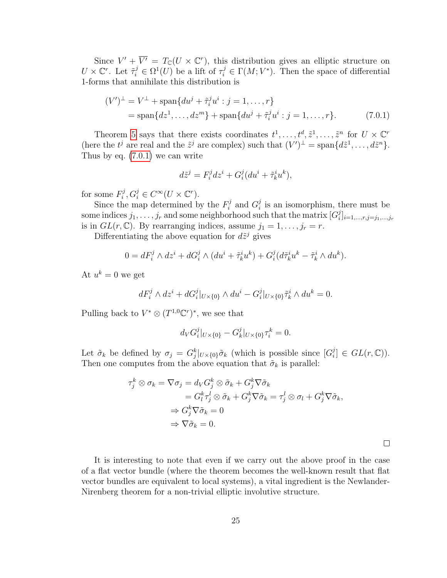Since  $V' + \overline{V'} = T_{\mathbb{C}}(U \times \mathbb{C}^r)$ , this distribution gives an elliptic structure on  $U \times \mathbb{C}^r$ . Let  $\tilde{\tau}_i^j \in \Omega^1(U)$  be a lift of  $\tau_i^j \in \Gamma(M; V^*)$ . Then the space of differential 1-forms that annihilate this distribution is

$$
(V')^{\perp} = V^{\perp} + \text{span}\{du^{j} + \tilde{\tau}_{i}^{j}u^{i} : j = 1, ..., r\}
$$
  
= span $\{dz^{1}, ..., dz^{m}\}$  + span $\{du^{j} + \tilde{\tau}_{i}^{j}u^{i} : j = 1, ..., r\}$ . (7.0.1)

Theorem [5](#page-25-1) says that there exists coordinates  $t^1, \ldots, t^d, \tilde{z}^1, \ldots, \tilde{z}^n$  for  $U \times \mathbb{C}^r$ (here the  $t^j$  are real and the  $\tilde{z}^j$  are complex) such that  $(V')^{\perp} = \text{span}\{d\tilde{z}^1,\ldots,d\tilde{z}^n\}.$ Thus by eq. [\(7.0.1\)](#page-29-0) we can write

<span id="page-29-0"></span>
$$
d\tilde{z}^j = F_i^j dz^i + G_i^j (du^i + \tilde{\tau}_k^i u^k),
$$

for some  $F_i^j$  $C_i^j, G_i^j \in C^\infty(U \times \mathbb{C}^r).$ 

Since the map determined by the  $F_i^j$  $G_i^j$  and  $G_i^j$  $i<sub>i</sub>$  is an isomorphism, there must be some indices  $j_1, \ldots, j_r$  and some neighborhood such that the matrix  $[G_i^j]$  $_{i}^{j}]_{i=1,...,r,j=j_{1},...,j_{r}}$ is in  $GL(r, \mathbb{C})$ . By rearranging indices, assume  $j_1 = 1, \ldots, j_r = r$ .

Differentiating the above equation for  $d\tilde{z}^j$  gives

$$
0 = dF_i^j \wedge dz^i + dG_i^j \wedge (du^i + \tilde{\tau}_k^i u^k) + G_i^j (d\tilde{\tau}_k^i u^k - \tilde{\tau}_k^i \wedge du^k).
$$

At  $u^k = 0$  we get

$$
dF_i^j \wedge dz^i + dG_i^j|_{U \times \{0\}} \wedge du^i - G_i^j|_{U \times \{0\}} \tilde{\tau}_k^i \wedge du^k = 0.
$$

Pulling back to  $V^* \otimes (T^{1,0}\mathbb{C}^r)^*$ , we see that

$$
d_V G_i^j|_{U \times \{0\}} - G_k^j|_{U \times \{0\}} \tau_i^k = 0.
$$

Let  $\tilde{\sigma}_k$  be defined by  $\sigma_j = G_j^k|_{U \times \{0\}} \tilde{\sigma}_k$  (which is possible since  $[G_i^j]$  $i_{i}^{j}] \in GL(r, \mathbb{C})$ ). Then one computes from the above equation that  $\tilde{\sigma}_k$  is parallel:

$$
\tau_j^k \otimes \sigma_k = \nabla \sigma_j = d_V G_j^k \otimes \tilde{\sigma}_k + G_j^k \nabla \tilde{\sigma}_k \n= G_l^k \tau_j^l \otimes \tilde{\sigma}_k + G_j^k \nabla \tilde{\sigma}_k = \tau_j^l \otimes \sigma_l + G_j^k \nabla \tilde{\sigma}_k, \n\Rightarrow G_j^k \nabla \tilde{\sigma}_k = 0 \n\Rightarrow \nabla \tilde{\sigma}_k = 0.
$$

 $\Box$ 

It is interesting to note that even if we carry out the above proof in the case of a flat vector bundle (where the theorem becomes the well-known result that flat vector bundles are equivalent to local systems), a vital ingredient is the Newlander-Nirenberg theorem for a non-trivial elliptic involutive structure.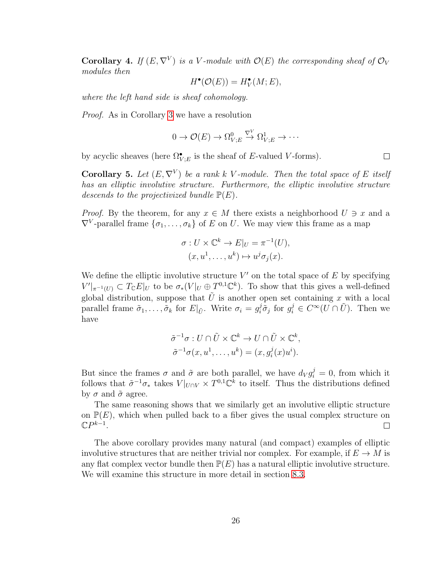<span id="page-30-0"></span>**Corollary 4.** If  $(E, \nabla^V)$  is a V-module with  $\mathcal{O}(E)$  the corresponding sheaf of  $\mathcal{O}_V$ modules then

$$
H^{\bullet}(\mathcal{O}(E)) = H^{\bullet}_V(M; E),
$$

where the left hand side is sheaf cohomology.

Proof. As in Corollary [3](#page-26-0) we have a resolution

$$
0 \to \mathcal{O}(E) \to \Omega_{V;E}^0 \overset{\nabla^V}{\to} \Omega_{V;E}^1 \to \cdots
$$

by acyclic sheaves (here  $\Omega^{\bullet}_{V;E}$  is the sheaf of E-valued V-forms).

<span id="page-30-1"></span>**Corollary 5.** Let  $(E, \nabla^V)$  be a rank k V-module. Then the total space of E itself has an elliptic involutive structure. Furthermore, the elliptic involutive structure descends to the projectivized bundle  $\mathbb{P}(E)$ .

*Proof.* By the theorem, for any  $x \in M$  there exists a neighborhood  $U \ni x$  and a  $\nabla^V$ -parallel frame  $\{\sigma_1, \ldots, \sigma_k\}$  of E on U. We may view this frame as a map

$$
\sigma: U \times \mathbb{C}^k \to E|_U = \pi^{-1}(U),
$$
  

$$
(x, u^1, \dots, u^k) \mapsto u^j \sigma_j(x).
$$

We define the elliptic involutive structure  $V'$  on the total space of  $E$  by specifying  $V'|_{\pi^{-1}(U)} \subset T_{\mathbb{C}}E|_U$  to be  $\sigma_*(V|_U \oplus T^{0,1}\mathbb{C}^k)$ . To show that this gives a well-defined global distribution, suppose that  $\tilde{U}$  is another open set containing x with a local parallel frame  $\tilde{\sigma}_1, \ldots, \tilde{\sigma}_k$  for  $E|_{\tilde{U}}$ . Write  $\sigma_i = g_i^j \tilde{\sigma}_j$  for  $g_i^j \in C^{\infty}(U \cap \tilde{U})$ . Then we have

$$
\tilde{\sigma}^{-1}\sigma: U \cap \tilde{U} \times \mathbb{C}^k \to U \cap \tilde{U} \times \mathbb{C}^k,
$$
  

$$
\tilde{\sigma}^{-1}\sigma(x, u^1, \dots, u^k) = (x, g_i^j(x)u^i).
$$

But since the frames  $\sigma$  and  $\tilde{\sigma}$  are both parallel, we have  $d_V g_i^j = 0$ , from which it follows that  $\tilde{\sigma}^{-1}\sigma_*$  takes  $V|_{U\cap V} \times T^{0,1}\mathbb{C}^{\overline{k}}$  to itself. Thus the distributions defined by  $\sigma$  and  $\tilde{\sigma}$  agree.

The same reasoning shows that we similarly get an involutive elliptic structure on  $\mathbb{P}(E)$ , which when pulled back to a fiber gives the usual complex structure on  $\mathbb{C}P^{k-1}$ .  $\Box$ 

The above corollary provides many natural (and compact) examples of elliptic involutive structures that are neither trivial nor complex. For example, if  $E \to M$  is any flat complex vector bundle then  $\mathbb{P}(E)$  has a natural elliptic involutive structure. We will examine this structure in more detail in section [8.3.](#page-44-0)

 $\Box$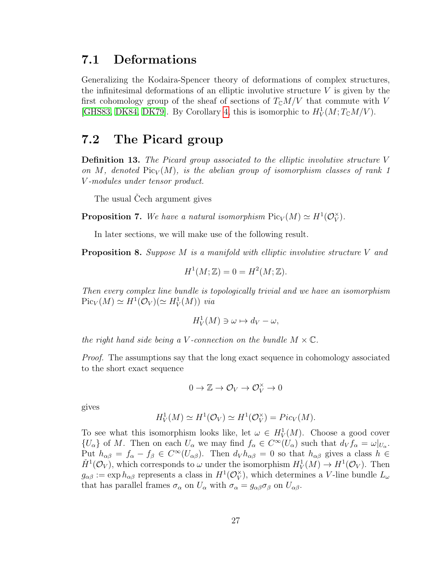### <span id="page-31-0"></span>7.1 Deformations

Generalizing the Kodaira-Spencer theory of deformations of complex structures, the infinitesimal deformations of an elliptic involutive structure  $V$  is given by the first cohomology group of the sheaf of sections of  $T_{\mathbb{C}}M/V$  that commute with V [\[GHS83,](#page-69-8) [DK84,](#page-69-9) [DK79\]](#page-69-10). By Corollary [4,](#page-30-0) this is isomorphic to  $H_V^1(M; T_\mathbb{C}M/V)$ .

### <span id="page-31-1"></span>7.2 The Picard group

Definition 13. The Picard group associated to the elliptic involutive structure V on M, denoted  $Pic_V(M)$ , is the abelian group of isomorphism classes of rank 1 V -modules under tensor product.

The usual Cech argument gives

**Proposition 7.** We have a natural isomorphism  $Pic_V(M) \simeq H^1(\mathcal{O}_V^{\times})$  $_{V}^{\times}).$ 

In later sections, we will make use of the following result.

<span id="page-31-2"></span>**Proposition 8.** Suppose  $M$  is a manifold with elliptic involutive structure  $V$  and

$$
H^1(M; \mathbb{Z}) = 0 = H^2(M; \mathbb{Z}).
$$

Then every complex line bundle is topologically trivial and we have an isomorphism  $Pic_V(M) \simeq H^1(\mathcal{O}_V) (\simeq H^1_V(M))$  via

$$
H_V^1(M) \ni \omega \mapsto d_V - \omega,
$$

the right hand side being a V-connection on the bundle  $M \times \mathbb{C}$ .

Proof. The assumptions say that the long exact sequence in cohomology associated to the short exact sequence

$$
0\to \mathbb{Z}\to \mathcal{O}_V\to \mathcal{O}_V^\times\to 0
$$

gives

$$
H_V^1(M) \simeq H^1(\mathcal{O}_V) \simeq H^1(\mathcal{O}_V^{\times}) = Pic_V(M).
$$

To see what this isomorphism looks like, let  $\omega \in H^1_V(M)$ . Choose a good cover  ${U_\alpha}$  of M. Then on each  $U_\alpha$  we may find  $f_\alpha \in C^\infty(U_\alpha)$  such that  $d_V f_\alpha = \omega|_{U_\alpha}$ . Put  $h_{\alpha\beta} = f_{\alpha} - f_{\beta} \in C^{\infty}(U_{\alpha\beta})$ . Then  $d_V h_{\alpha\beta} = 0$  so that  $h_{\alpha\beta}$  gives a class  $h \in$  $\check{H}^1(\mathcal{O}_V)$ , which corresponds to  $\omega$  under the isomorphism  $H^1_V(M) \to H^1(\mathcal{O}_V)$ . Then  $g_{\alpha\beta} := \exp h_{\alpha\beta}$  represents a class in  $H^1(\mathcal{O}_V^{\times})$  $_{V}^{\times}$ ), which determines a V-line bundle  $L_{\omega}$ that has parallel frames  $\sigma_{\alpha}$  on  $U_{\alpha}$  with  $\sigma_{\alpha} = g_{\alpha\beta}\sigma_{\beta}$  on  $U_{\alpha\beta}$ .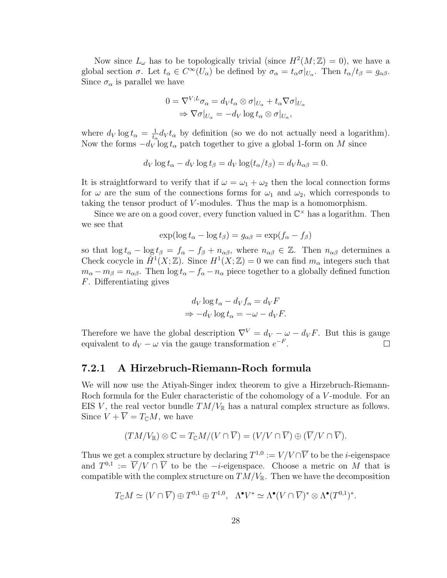Now since  $L_{\omega}$  has to be topologically trivial (since  $H^2(M; \mathbb{Z}) = 0$ ), we have a global section  $\sigma$ . Let  $t_{\alpha} \in C^{\infty}(U_{\alpha})$  be defined by  $\sigma_{\alpha} = t_{\alpha} \sigma|_{U_{\alpha}}$ . Then  $t_{\alpha}/t_{\beta} = g_{\alpha\beta}$ . Since  $\sigma_{\alpha}$  is parallel we have

$$
0 = \nabla^{V;L} \sigma_{\alpha} = d_V t_{\alpha} \otimes \sigma|_{U_{\alpha}} + t_{\alpha} \nabla \sigma|_{U_{\alpha}}
$$
  
\n
$$
\Rightarrow \nabla \sigma|_{U_{\alpha}} = -d_V \log t_{\alpha} \otimes \sigma|_{U_{\alpha}},
$$

where  $d_V \log t_\alpha = \frac{1}{t_\alpha}$  $\frac{1}{t_{\alpha}}$  d<sub>v</sub> $t_{\alpha}$  by definition (so we do not actually need a logarithm). Now the forms  $-d_V$  log  $t_\alpha$  patch together to give a global 1-form on M since

$$
d_V \log t_\alpha - d_V \log t_\beta = d_V \log(t_\alpha/t_\beta) = d_V h_{\alpha\beta} = 0.
$$

It is straightforward to verify that if  $\omega = \omega_1 + \omega_2$  then the local connection forms for  $\omega$  are the sum of the connections forms for  $\omega_1$  and  $\omega_2$ , which corresponds to taking the tensor product of V-modules. Thus the map is a homomorphism.

Since we are on a good cover, every function valued in  $\mathbb{C}^{\times}$  has a logarithm. Then we see that

$$
\exp(\log t_{\alpha} - \log t_{\beta}) = g_{\alpha\beta} = \exp(f_{\alpha} - f_{\beta})
$$

so that  $\log t_{\alpha} - \log t_{\beta} = f_{\alpha} - f_{\beta} + n_{\alpha\beta}$ , where  $n_{\alpha\beta} \in \mathbb{Z}$ . Then  $n_{\alpha\beta}$  determines a Check cocycle in  $\check{H}^1(X;\mathbb{Z})$ . Since  $H^1(X;\mathbb{Z})=0$  we can find  $m_\alpha$  integers such that  $m_{\alpha} - m_{\beta} = n_{\alpha\beta}$ . Then  $\log t_{\alpha} - f_{\alpha} - n_{\alpha}$  piece together to a globally defined function F. Differentiating gives

$$
d_V \log t_{\alpha} - d_V f_{\alpha} = d_V F
$$
  
\n
$$
\Rightarrow -d_V \log t_{\alpha} = -\omega - d_V F.
$$

Therefore we have the global description  $\nabla^{V} = d_V - \omega - d_V F$ . But this is gauge equivalent to  $d_V - \omega$  via the gauge transformation  $e^{-F}$ .  $\Box$ 

#### <span id="page-32-0"></span>7.2.1 A Hirzebruch-Riemann-Roch formula

We will now use the Atiyah-Singer index theorem to give a Hirzebruch-Riemann-Roch formula for the Euler characteristic of the cohomology of a V-module. For an EIS V, the real vector bundle  $TM/V_{\mathbb{R}}$  has a natural complex structure as follows. Since  $V + \overline{V} = T_{\mathbb{C}}M$ , we have

$$
(TM/V_{\mathbb{R}}) \otimes \mathbb{C} = T_{\mathbb{C}}M/(V \cap \overline{V}) = (V/V \cap \overline{V}) \oplus (\overline{V}/V \cap \overline{V}).
$$

Thus we get a complex structure by declaring  $T^{1,0} := V/V \cap \overline{V}$  to be the *i*-eigenspace and  $T^{0,1} := \overline{V}/V \cap \overline{V}$  to be the  $-i$ -eigenspace. Choose a metric on M that is compatible with the complex structure on  $TM/V_{\mathbb{R}}$ . Then we have the decomposition

$$
T_{\mathbb{C}}M \simeq (V \cap \overline{V}) \oplus T^{0,1} \oplus T^{1,0}, \quad \Lambda^{\bullet} V^* \simeq \Lambda^{\bullet}(V \cap \overline{V})^* \otimes \Lambda^{\bullet}(T^{0,1})^*.
$$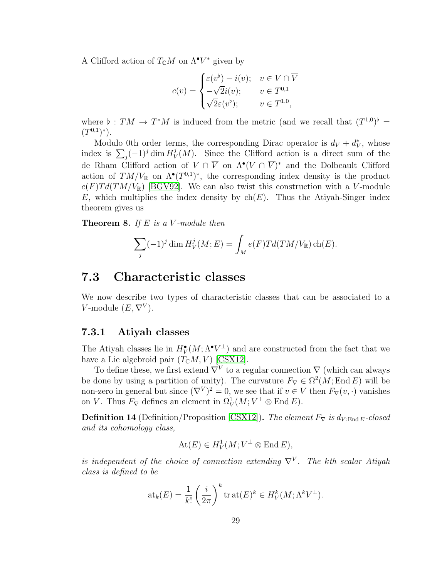A Clifford action of  $T_{\mathbb{C}}M$  on  $\Lambda^{\bullet}V^*$  given by

$$
c(v) = \begin{cases} \varepsilon(v^{\flat}) - i(v); & v \in V \cap \overline{V} \\ -\sqrt{2}i(v); & v \in T^{0,1} \\ \sqrt{2}\varepsilon(v^{\flat}); & v \in T^{1,0}, \end{cases}
$$

where  $\flat : TM \to T^*M$  is induced from the metric (and we recall that  $(T^{1,0})^{\flat}$  =  $(T^{0,1})^*$ ).

Modulo 0th order terms, the corresponding Dirac operator is  $d_V + d_V^*$ , whose index is  $\sum_j (-1)^j \dim H_V^j$  $\mathcal{V}_V(M)$ . Since the Clifford action is a direct sum of the de Rham Clifford action of  $V \cap \overline{V}$  on  $\Lambda^{\bullet}(V \cap \overline{V})^*$  and the Dolbeault Clifford action of  $TM/V_{\mathbb{R}}$  on  $\Lambda^{\bullet}(T^{0,1})^*$ , the corresponding index density is the product  $e(F)Td(TM/V_{\mathbb{R}})$  [\[BGV92\]](#page-68-6). We can also twist this construction with a V-module E, which multiplies the index density by  $ch(E)$ . Thus the Atiyah-Singer index theorem gives us

**Theorem 8.** If E is a V-module then

$$
\sum_j (-1)^j \dim H^j_V(M; E) = \int_M e(F) T d(TM/V_{\mathbb{R}}) \operatorname{ch}(E).
$$

### <span id="page-33-0"></span>7.3 Characteristic classes

We now describe two types of characteristic classes that can be associated to a V-module  $(E, \nabla^V)$ .

### <span id="page-33-1"></span>7.3.1 Atiyah classes

The Atiyah classes lie in  $H^{\bullet}_V(M; \Lambda^{\bullet} V^{\perp})$  and are constructed from the fact that we have a Lie algebroid pair  $(T_{\mathbb{C}}M, V)$  [\[CSX12\]](#page-69-3).

To define these, we first extend  $\nabla^{V}$  to a regular connection  $\nabla$  (which can always be done by using a partition of unity). The curvature  $F_{\nabla} \in \Omega^2(M; \text{End } E)$  will be non-zero in general but since  $(\nabla^V)^2 = 0$ , we see that if  $v \in V$  then  $F_{\nabla}(v, \cdot)$  vanishes on V. Thus  $F_{\nabla}$  defines an element in  $\Omega^1_V(M;V^{\perp}\otimes \text{End }E)$ .

<span id="page-33-2"></span>**Definition 14** (Definition/Proposition [\[CSX12\]](#page-69-3)). The element  $F_{\nabla}$  is  $d_{V;\text{End }E}$ -closed and its cohomology class,

$$
\text{At}(E) \in H^1_V(M; V^{\perp} \otimes \text{End } E),
$$

is independent of the choice of connection extending  $\nabla^{V}$ . The kth scalar Atiyah class is defined to be

$$
\mathrm{at}_k(E) = \frac{1}{k!} \left(\frac{i}{2\pi}\right)^k \mathrm{tr}\,\mathrm{at}(E)^k \in H^k_V(M; \Lambda^k V^{\perp}).
$$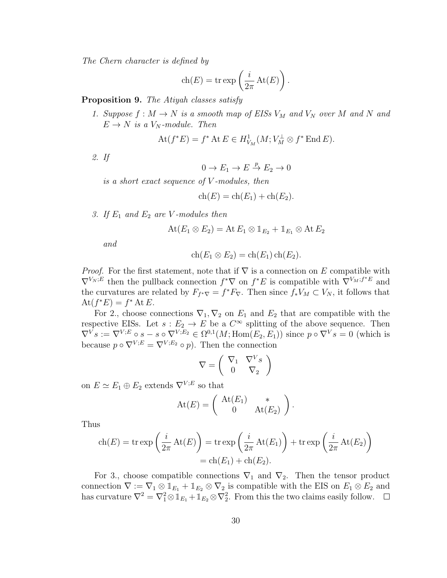The Chern character is defined by

$$
\operatorname{ch}(E) = \operatorname{tr} \exp\left(\frac{i}{2\pi} \operatorname{At}(E)\right).
$$

<span id="page-34-0"></span>Proposition 9. The Atiyah classes satisfy

1. Suppose  $f : M \to N$  is a smooth map of EISs  $V_M$  and  $V_N$  over M and N and  $E \to N$  is a  $V_N$ -module. Then

$$
\text{At}(f^*E) = f^* \text{ At } E \in H^1_{V_M}(M; V_M^{\perp} \otimes f^* \text{ End } E).
$$

2. If

$$
0 \to E_1 \to E \stackrel{p}{\to} E_2 \to 0
$$

is a short exact sequence of V -modules, then

$$
ch(E) = ch(E1) + ch(E2).
$$

3. If  $E_1$  and  $E_2$  are V-modules then

$$
\operatorname{At}(E_1\otimes E_2)=\operatorname{At} E_1\otimes \mathbb{1}_{E_2}+\mathbb{1}_{E_1}\otimes \operatorname{At} E_2
$$

and

$$
ch(E_1 \otimes E_2) = ch(E_1) ch(E_2).
$$

*Proof.* For the first statement, note that if  $\nabla$  is a connection on E compatible with  $\nabla^{V_N;E}$  then the pullback connection  $f^*\nabla$  on  $f^*E$  is compatible with  $\nabla^{V_M;f^*E}$  and the curvatures are related by  $F_{f^*\nabla} = f^*F_{\nabla}$ . Then since  $f_*V_M \subset V_N$ , it follows that  $\text{At}(f^*E) = f^* \text{At } E.$ 

For 2., choose connections  $\nabla_1$ ,  $\nabla_2$  on  $E_1$  and  $E_2$  that are compatible with the respective EISs. Let  $s : E_2 \to E$  be a  $C^{\infty}$  splitting of the above sequence. Then  $\nabla^V s := \nabla^{V;E} \circ s - s \circ \nabla^{V;E_2} \in \Omega^{0,1}(M; \text{Hom}(E_2, E_1))$  since  $p \circ \nabla^V s = 0$  (which is because  $p \circ \nabla^{V;E} = \nabla^{V;E_2} \circ p$ . Then the connection

$$
\nabla = \left(\begin{array}{cc} \nabla_1 & \nabla^V s \\ 0 & \nabla_2 \end{array}\right)
$$

on  $E \simeq E_1 \oplus E_2$  extends  $\nabla^{V;E}$  so that

$$
\mathrm{At}(E) = \left( \begin{array}{cc} \mathrm{At}(E_1) & * \\ 0 & \mathrm{At}(E_2) \end{array} \right).
$$

Thus

$$
\operatorname{ch}(E) = \operatorname{tr} \exp\left(\frac{i}{2\pi} \operatorname{At}(E)\right) = \operatorname{tr} \exp\left(\frac{i}{2\pi} \operatorname{At}(E_1)\right) + \operatorname{tr} \exp\left(\frac{i}{2\pi} \operatorname{At}(E_2)\right)
$$

$$
= \operatorname{ch}(E_1) + \operatorname{ch}(E_2).
$$

For 3., choose compatible connections  $\nabla_1$  and  $\nabla_2$ . Then the tensor product connection  $\nabla := \nabla_1 \otimes \mathbb{1}_{E_1} + \mathbb{1}_{E_2} \otimes \nabla_2$  is compatible with the EIS on  $E_1 \otimes E_2$  and has curvature  $\nabla^2 = \nabla_1^2 \otimes \mathbb{1}_{E_1} + \mathbb{1}_{E_2} \otimes \nabla_2^2$ . From this the two claims easily follow.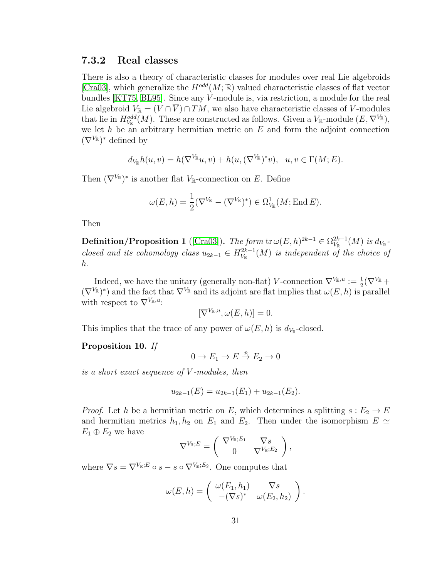### <span id="page-35-0"></span>7.3.2 Real classes

There is also a theory of characteristic classes for modules over real Lie algebroids [\[Cra03\]](#page-69-11), which generalize the  $H^{odd}(M;\mathbb{R})$  valued characteristic classes of flat vector bundles [\[KT75,](#page-70-2) [BL95\]](#page-68-0). Since any V -module is, via restriction, a module for the real Lie algebroid  $V_{\mathbb{R}} = (V \cap \overline{V}) \cap TM$ , we also have characteristic classes of V-modules that lie in  $H^{odd}_{V_{\mathbb{R}}}(M)$ . These are constructed as follows. Given a  $V_{\mathbb{R}}$ -module  $(E, \nabla^{V_{\mathbb{R}}})$ , we let  $h$  be an arbitrary hermitian metric on  $E$  and form the adjoint connection  $(\nabla^{V_{\mathbb{R}}})^*$  defined by

$$
d_{V_{\mathbb{R}}}h(u,v) = h(\nabla^{V_{\mathbb{R}}}u,v) + h(u,(\nabla^{V_{\mathbb{R}}})^*v), \quad u,v \in \Gamma(M;E).
$$

Then  $(\nabla^{V_{\mathbb{R}}})^*$  is another flat  $V_{\mathbb{R}}$ -connection on E. Define

$$
\omega(E, h) = \frac{1}{2} (\nabla^{V_{\mathbb{R}}} - (\nabla^{V_{\mathbb{R}}})^*) \in \Omega^1_{V_{\mathbb{R}}}(M; \operatorname{End} E).
$$

Then

**Definition/Proposition 1** ([\[Cra03\]](#page-69-11)). The form  $\text{tr }\omega(E, h)^{2k-1} \in \Omega_{V_n}^{2k-1}$  $\frac{2k-1}{V_{\mathbb R}}(M)$  is  $d_{V_{\mathbb R}}$  closed and its cohomology class  $u_{2k-1} \in H^{2k-1}_{V_{\mathbb{R}}}$  $\mathcal{C}_{V_{\mathbb{R}}}^{2k-1}(M)$  is independent of the choice of h.

Indeed, we have the unitary (generally non-flat) V-connection  $\nabla^{V_{\mathbb{R}},u} := \frac{1}{2}(\nabla^{V_{\mathbb{R}}} +$  $(\nabla^{V_{\mathbb{R}}})^*$  and the fact that  $\nabla^{V_{\mathbb{R}}}$  and its adjoint are flat implies that  $\omega(E, h)$  is parallel with respect to  $\nabla^{V_{\mathbb{R}},u}$ .

$$
[\nabla^{V_{\mathbb{R}},u},\omega(E,h)]=0.
$$

This implies that the trace of any power of  $\omega(E, h)$  is  $d_{V_{\mathbb{R}}}$ -closed.

#### <span id="page-35-1"></span>Proposition 10. If

$$
0 \to E_1 \to E \stackrel{p}{\to} E_2 \to 0
$$

is a short exact sequence of V -modules, then

$$
u_{2k-1}(E) = u_{2k-1}(E_1) + u_{2k-1}(E_2).
$$

*Proof.* Let h be a hermitian metric on E, which determines a splitting  $s : E_2 \to E$ and hermitian metrics  $h_1, h_2$  on  $E_1$  and  $E_2$ . Then under the isomorphism  $E \simeq$  $E_1 \oplus E_2$  we have

$$
\nabla^{V_{\mathbb{R}};E} = \begin{pmatrix} \nabla^{V_{\mathbb{R}};E_1} & \nabla s \\ 0 & \nabla^{V_{\mathbb{R}};E_2} \end{pmatrix},
$$

where  $\nabla s = \nabla^{V_{\mathbb{R}};E} \circ s - s \circ \nabla^{V_{\mathbb{R}};E_2}$ . One computes that

$$
\omega(E, h) = \begin{pmatrix} \omega(E_1, h_1) & \nabla s \\ -(\nabla s)^* & \omega(E_2, h_2) \end{pmatrix}.
$$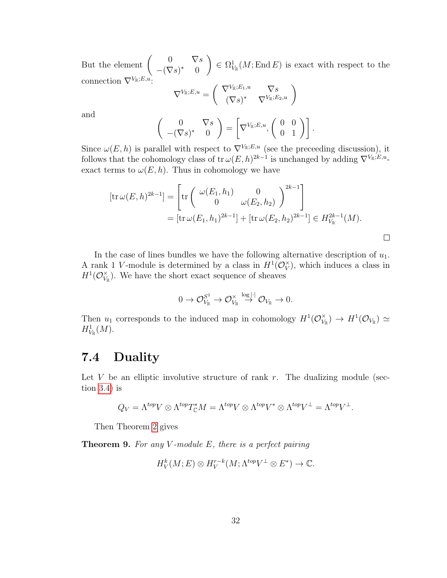But the element  $\begin{pmatrix} 0 & \nabla s \\ \nabla \Omega & \nabla \Omega \end{pmatrix}$  $-(\nabla s)^*$  0  $\setminus$  $\in \Omega^1_{V_{\mathbb{R}}}(M; \text{End } E)$  is exact with respect to the connection  $\nabla^{V_{\mathbb{R}};E,u}$ :

$$
\nabla^{V_{\mathbb{R}};E,u} = \begin{pmatrix} \nabla^{V_{\mathbb{R}};E_{1},u} & \nabla s \\ (\nabla s)^* & \nabla^{V_{\mathbb{R}};E_{2},u} \end{pmatrix}
$$

and

$$
\left(\begin{array}{cc}0&\nabla s\\-(\nabla s)^*&0\end{array}\right)=\left[\nabla^{V_{\mathbb{R}};E,u},\left(\begin{array}{cc}0&0\\0&1\end{array}\right)\right].
$$

Since  $\omega(E, h)$  is parallel with respect to  $\nabla^{V_{\mathbb{R}}; E, u}$  (see the preceeding discussion), it follows that the cohomology class of tr $\omega(E, h)^{2k-1}$  is unchanged by adding  $\nabla^{V_{\mathbb{R}};E,u}$ . exact terms to  $\omega(E, h)$ . Thus in cohomology we have

$$
[\mathrm{tr}\,\omega(E,h)^{2k-1}] = \left[\mathrm{tr}\begin{pmatrix} \omega(E_1,h_1) & 0 \\ 0 & \omega(E_2,h_2) \end{pmatrix}^{2k-1} \right]
$$
  
=  $[\mathrm{tr}\,\omega(E_1,h_1)^{2k-1}] + [\mathrm{tr}\,\omega(E_2,h_2)^{2k-1}] \in H_{V_{\mathbb{R}}}^{2k-1}(M).$ 

 $\Box$ 

In the case of lines bundles we have the following alternative description of  $u_1$ . A rank 1 V-module is determined by a class in  $H^1(\mathcal{O}_V^{\times})$  $\chi$ <sup> $\chi$ </sup>), which induces a class in  $H^1(\mathcal{O}_V^{\times})$  $V_{\mathbb{R}}^{\times}$ ). We have the short exact sequence of sheaves

$$
0 \to \mathcal{O}_{V_{\mathbb{R}}}^{S^1} \to \mathcal{O}_{V_{\mathbb{R}}}^{\times} \stackrel{\log|\cdot|}{\to} \mathcal{O}_{V_{\mathbb{R}}} \to 0.
$$

Then  $u_1$  corresponds to the induced map in cohomology  $H^1(\mathcal{O}_V^{\times})$  $V_{\mathbb{R}}^{\times})\,\rightarrow\, H^1(\mathcal{O}_{V_{\mathbb{R}}})\,\simeq\,$  $H^1_{V_{\mathbb{R}}}(M)$ .

### <span id="page-36-0"></span>7.4 Duality

Let V be an elliptic involutive structure of rank  $r$ . The dualizing module (section [3.4\)](#page-14-1) is

$$
Q_V = \Lambda^{top} V \otimes \Lambda^{top} T_{\mathbb{C}}^* M = \Lambda^{top} V \otimes \Lambda^{top} V^* \otimes \Lambda^{top} V^{\perp} = \Lambda^{top} V^{\perp}.
$$

Then Theorem [2](#page-15-0) gives

**Theorem 9.** For any V-module  $E$ , there is a perfect pairing

$$
H^k_V(M; E) \otimes H^{r-k}_V(M; \Lambda^{top} V^{\perp} \otimes E^*) \to \mathbb{C}.
$$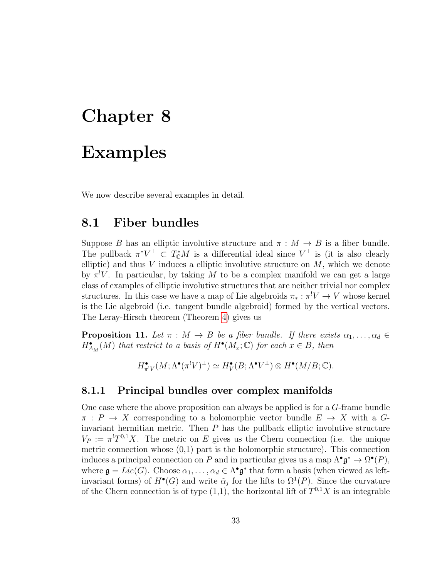## <span id="page-37-0"></span>Chapter 8

### Examples

We now describe several examples in detail.

### <span id="page-37-1"></span>8.1 Fiber bundles

Suppose B has an elliptic involutive structure and  $\pi : M \to B$  is a fiber bundle. The pullback  $\pi^*V^{\perp} \subset T^*_{\mathbb{C}}M$  is a differential ideal since  $V^{\perp}$  is (it is also clearly elliptic) and thus  $V$  induces a elliptic involutive structure on  $M$ , which we denote by  $\pi^!V$ . In particular, by taking M to be a complex manifold we can get a large class of examples of elliptic involutive structures that are neither trivial nor complex structures. In this case we have a map of Lie algebroids  $\pi_* : \pi^! V \to V$  whose kernel is the Lie algebroid (i.e. tangent bundle algebroid) formed by the vertical vectors. The Leray-Hirsch theorem (Theorem [4\)](#page-21-0) gives us

<span id="page-37-3"></span>**Proposition 11.** Let  $\pi : M \to B$  be a fiber bundle. If there exists  $\alpha_1, \ldots, \alpha_d \in$  $H_{A_M}^{\bullet}(M)$  that restrict to a basis of  $H^{\bullet}(M_x;\mathbb{C})$  for each  $x \in B$ , then

$$
H^{\bullet}_{\pi^! V}(M; \Lambda^{\bullet}(\pi^! V)^{\perp}) \simeq H^{\bullet}_V(B; \Lambda^{\bullet} V^{\perp}) \otimes H^{\bullet}(M/B; \mathbb{C}).
$$

### <span id="page-37-2"></span>8.1.1 Principal bundles over complex manifolds

One case where the above proposition can always be applied is for a G-frame bundle  $\pi : P \to X$  corresponding to a holomorphic vector bundle  $E \to X$  with a Ginvariant hermitian metric. Then  $P$  has the pullback elliptic involutive structure  $V_P := \pi^l T^{0,1} X$ . The metric on E gives us the Chern connection (i.e. the unique metric connection whose  $(0,1)$  part is the holomorphic structure). This connection induces a principal connection on P and in particular gives us a map  $\Lambda^{\bullet} \mathfrak{g}^* \to \Omega^{\bullet}(P)$ , where  $\mathfrak{g} = Lie(G)$ . Choose  $\alpha_1, \ldots, \alpha_d \in \Lambda^{\bullet} \mathfrak{g}^*$  that form a basis (when viewed as leftinvariant forms) of  $H^{\bullet}(G)$  and write  $\tilde{\alpha}_j$  for the lifts to  $\Omega^1(P)$ . Since the curvature of the Chern connection is of type  $(1,1)$ , the horizontal lift of  $T^{0,1}X$  is an integrable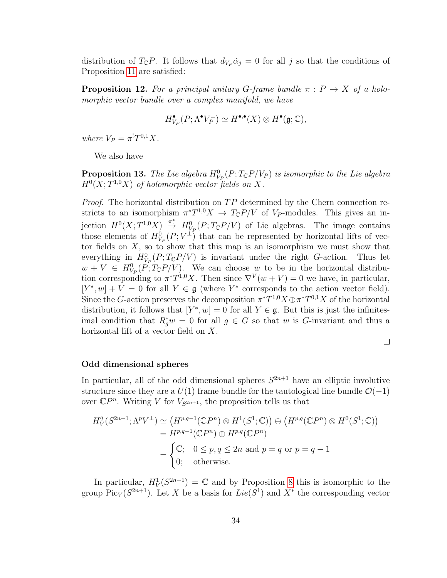distribution of  $T_{\mathbb{C}}P$ . It follows that  $d_{V_P} \tilde{\alpha}_j = 0$  for all j so that the conditions of Proposition [11](#page-37-3) are satisfied:

<span id="page-38-1"></span>**Proposition 12.** For a principal unitary G-frame bundle  $\pi$  :  $P \rightarrow X$  of a holomorphic vector bundle over a complex manifold, we have

$$
H^\bullet_{V_P}(P;\Lambda^\bullet V_P^\perp)\simeq H^{\bullet,\bullet}(X)\otimes H^\bullet(\mathfrak{g};\mathbb{C}),
$$

where  $V_P = \pi^! T^{0,1} X$ .

We also have

<span id="page-38-0"></span>**Proposition 13.** The Lie algebra  $H^0_{V_P}(P; T_{\mathbb{C}}P/V_P)$  is isomorphic to the Lie algebra  $H^0(X;T^{1,0}X)$  of holomorphic vector fields on X.

*Proof.* The horizontal distribution on  $TP$  determined by the Chern connection restricts to an isomorphism  $\pi^*T^{1,0}X \to T_{\mathbb{C}}P/V$  of  $V_P$ -modules. This gives an injection  $H^0(X;T^{1,0}X) \stackrel{\pi^*}{\to} H^0_{V_P}(P;T_{\mathbb{C}}P/V)$  of Lie algebras. The image contains those elements of  $H^0_{V_P}(P; V^{\perp})$  that can be represented by horizontal lifts of vector fields on  $X$ , so to show that this map is an isomorphism we must show that everything in  $H^0_{V_P}(P; T_{\mathbb{C}}P/V)$  is invariant under the right G-action. Thus let  $w + V \in H^0_{V_P}(P; T_{\mathbb{C}}P/V)$ . We can choose w to be in the horizontal distribution corresponding to  $\pi^*T^{1,0}X$ . Then since  $\nabla^V(w+V)=0$  we have, in particular,  $[Y^*, w] + V = 0$  for all  $Y \in \mathfrak{g}$  (where  $Y^*$  corresponds to the action vector field). Since the G-action preserves the decomposition  $\pi^*T^{1,0}X \oplus \pi^*T^{0,1}X$  of the horizontal distribution, it follows that  $[Y^*, w] = 0$  for all  $Y \in \mathfrak{g}$ . But this is just the infinitesimal condition that  $R_g^*w = 0$  for all  $g \in G$  so that w is G-invariant and thus a horizontal lift of a vector field on X.

 $\Box$ 

#### Odd dimensional spheres

In particular, all of the odd dimensional spheres  $S^{2n+1}$  have an elliptic involutive structure since they are a  $U(1)$  frame bundle for the tautological line bundle  $\mathcal{O}(-1)$ over  $\mathbb{C}P^n$ . Writing V for  $V_{S^{2n+1}}$ , the proposition tells us that

$$
H_V^q(S^{2n+1}; \Lambda^p V^{\perp}) \simeq (H^{p,q-1}(\mathbb{C}P^n) \otimes H^1(S^1; \mathbb{C})) \oplus (H^{p,q}(\mathbb{C}P^n) \otimes H^0(S^1; \mathbb{C}))
$$
  
=  $H^{p,q-1}(\mathbb{C}P^n) \oplus H^{p,q}(\mathbb{C}P^n)$   
= 
$$
\begin{cases} \mathbb{C}; & 0 \le p, q \le 2n \text{ and } p = q \text{ or } p = q - 1 \\ 0; & \text{otherwise.} \end{cases}
$$

In particular,  $H_V^1(S^{2n+1}) = \mathbb{C}$  and by Proposition [8](#page-31-2) this is isomorphic to the group  $Pic_V(S^{2n+1})$ . Let X be a basis for  $Lie(S^1)$  and  $X^*$  the corresponding vector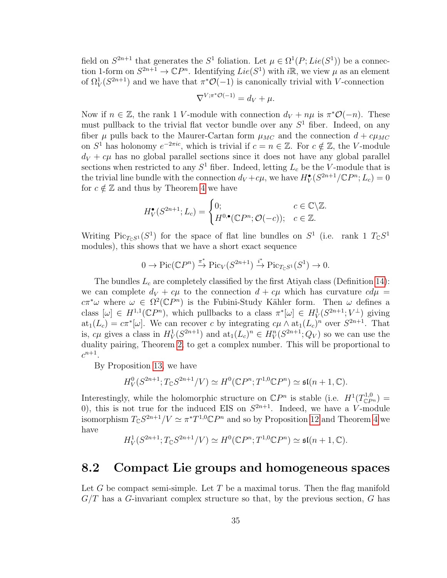field on  $S^{2n+1}$  that generates the  $S^1$  foliation. Let  $\mu \in \Omega^1(P; Lie(S^1))$  be a connection 1-form on  $S^{2n+1} \to \mathbb{C}P^n$ . Identifying  $Lie(S^1)$  with  $i\mathbb{R}$ , we view  $\mu$  as an element of  $\Omega^1_V(S^{2n+1})$  and we have that  $\pi^*{\cal O}(-1)$  is canonically trivial with V-connection

$$
\nabla^{V;\pi^*{\mathcal O}(-1)} = d_V + \mu.
$$

Now if  $n \in \mathbb{Z}$ , the rank 1 V-module with connection  $d_V + n\mu$  is  $\pi^* \mathcal{O}(-n)$ . These must pullback to the trivial flat vector bundle over any  $S<sup>1</sup>$  fiber. Indeed, on any fiber  $\mu$  pulls back to the Maurer-Cartan form  $\mu_{MC}$  and the connection  $d + c\mu_{MC}$ on  $S^1$  has holonomy  $e^{-2\pi i c}$ , which is trivial if  $c = n \in \mathbb{Z}$ . For  $c \notin \mathbb{Z}$ , the V-module  $d_V + c\mu$  has no global parallel sections since it does not have any global parallel sections when restricted to any  $S^1$  fiber. Indeed, letting  $L_c$  be the V-module that is the trivial line bundle with the connection  $d_V + c\mu$ , we have  $H_V^{\bullet}(S^{2n+1}/\mathbb{C}P^n; L_c) = 0$ for  $c \notin \mathbb{Z}$  and thus by Theorem [4](#page-21-0) we have

$$
H_V^{\bullet}(S^{2n+1}; L_c) = \begin{cases} 0; & c \in \mathbb{C} \backslash \mathbb{Z}. \\ H^{0,\bullet}(\mathbb{C}P^n; \mathcal{O}(-c)); & c \in \mathbb{Z}. \end{cases}
$$

Writing  $Pic_{T_{\mathbb{C}}S^1}(S^1)$  for the space of flat line bundles on  $S^1$  (i.e. rank 1  $T_{\mathbb{C}}S^1$ modules), this shows that we have a short exact sequence

$$
0 \to Pic(\mathbb{C}P^n) \stackrel{\pi^*}{\to} Pic_V(S^{2n+1}) \stackrel{i^*}{\to} Pic_{T_{\mathbb{C}}S^1}(S^1) \to 0.
$$

The bundles  $L_c$  are completely classified by the first Atiyah class (Definition [14\)](#page-33-2): we can complete  $d_V + c\mu$  to the connection  $d + c\mu$  which has curvature  $c d\mu =$ c $\pi^*\omega$  where  $\omega \in \Omega^2(\mathbb{C}P^n)$  is the Fubini-Study Kähler form. Then  $\omega$  defines a class  $[\omega] \in H^{1,1}(\mathbb{C}P^n)$ , which pullbacks to a class  $\pi^*[\omega] \in H^1_V(S^{2n+1}; V^{\perp})$  giving  $\text{at}_1(L_c) = c\pi^*[\omega]$ . We can recover c by integrating  $c\mu \wedge \text{at}_1(L_c)^n$  over  $S^{2n+1}$ . That is,  $c\mu$  gives a class in  $H_V^1(S^{2n+1})$  and  $\text{at}_1(L_c)^n \in H_V^n(S^{2n+1}; Q_V)$  so we can use the duality pairing, Theorem [2,](#page-15-0) to get a complex number. This will be proportional to  $c^{n+1}$ .

By Proposition [13,](#page-38-0) we have

$$
H_V^0(S^{2n+1};T_{\mathbb{C}}S^{2n+1}/V) \simeq H^0(\mathbb{C}P^n;T^{1,0}\mathbb{C}P^n) \simeq \mathfrak{sl}(n+1,\mathbb{C}).
$$

Interestingly, while the holomorphic structure on  $\mathbb{C}P^n$  is stable (i.e.  $H^1(T^{1,0}_{\mathbb{C}P^n})=$ 0), this is not true for the induced EIS on  $S^{2n+1}$ . Indeed, we have a V-module isomorphism  $T_{\mathbb{C}}S^{2n+1}/V \simeq \pi^*T^{1,0}\mathbb{C}P^n$  and so by Proposition [12](#page-38-1) and Theorem [4](#page-21-0) we have

$$
H^1_V(S^{2n+1};T_{\mathbb{C}}S^{2n+1}/V) \simeq H^0(\mathbb{C}P^n;T^{1,0}\mathbb{C}P^n) \simeq \mathfrak{sl}(n+1,\mathbb{C}).
$$

### <span id="page-39-0"></span>8.2 Compact Lie groups and homogeneous spaces

Let G be compact semi-simple. Let T be a maximal torus. Then the flag manifold  $G/T$  has a G-invariant complex structure so that, by the previous section, G has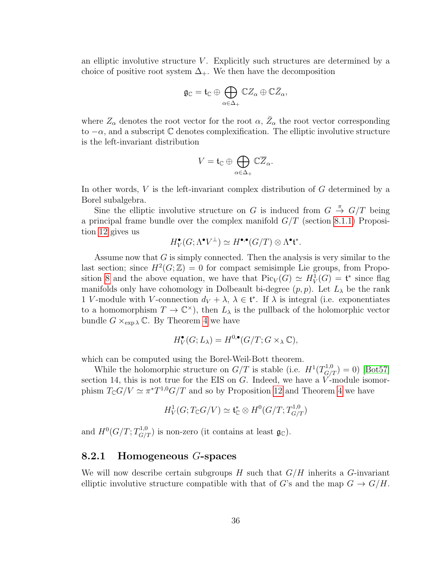an elliptic involutive structure  $V$ . Explicitly such structures are determined by a choice of positive root system  $\Delta_{+}$ . We then have the decomposition

$$
\mathfrak{g}_\mathbb{C}=\mathfrak{t}_\mathbb{C}\oplus\bigoplus_{\alpha\in\Delta_+}\mathbb{C} Z_\alpha\oplus\mathbb{C}\bar{Z}_\alpha,
$$

where  $Z_{\alpha}$  denotes the root vector for the root  $\alpha$ ,  $\bar{Z}_{\alpha}$  the root vector corresponding to  $-\alpha$ , and a subscript  $\mathbb C$  denotes complexification. The elliptic involutive structure is the left-invariant distribution

$$
V=\mathfrak{t}_{\mathbb{C}}\oplus\bigoplus_{\alpha\in\Delta_{+}}\mathbb{C}\overline{Z}_{\alpha}.
$$

In other words, V is the left-invariant complex distribution of G determined by a Borel subalgebra.

Sine the elliptic involutive structure on G is induced from  $G \stackrel{\pi}{\rightarrow} G/T$  being a principal frame bundle over the complex manifold  $G/T$  (section [8.1.1\)](#page-37-2) Proposition [12](#page-38-1) gives us

$$
H^{\bullet}_V(G; \Lambda^{\bullet} V^{\perp}) \simeq H^{\bullet,\bullet}(G/T) \otimes \Lambda^{\bullet} \mathfrak{t}^*.
$$

Assume now that  $G$  is simply connected. Then the analysis is very similar to the last section; since  $H^2(G;\mathbb{Z})=0$  for compact semisimple Lie groups, from Propo-sition [8](#page-31-2) and the above equation, we have that  $Pic_V(G) \simeq H_V^1(G) = \mathfrak{t}^*$  since flag manifolds only have cohomology in Dolbeault bi-degree  $(p, p)$ . Let  $L_{\lambda}$  be the rank 1 V-module with V-connection  $d_V + \lambda$ ,  $\lambda \in \mathfrak{t}^*$ . If  $\lambda$  is integral (i.e. exponentiates to a homomorphism  $T \to \mathbb{C}^{\times}$ , then  $L_{\lambda}$  is the pullback of the holomorphic vector bundle  $G \times_{\exp \lambda} \mathbb{C}$ . By Theorem [4](#page-21-0) we have

$$
H^{\bullet}_{V}(G;L_{\lambda}) = H^{0,\bullet}(G/T;G \times_{\lambda} \mathbb{C}),
$$

which can be computed using the Borel-Weil-Bott theorem.

While the holomorphic structure on  $G/T$  is stable (i.e.  $H^1(T_{G/T}^{1,0}) = 0$ ) [\[Bot57\]](#page-68-7) section 14, this is not true for the EIS on  $G$ . Indeed, we have a  $V$ -module isomorphism  $T_{\mathbb{C}}G/V \simeq \pi^*T^{1,0}G/T$  and so by Proposition [12](#page-38-1) and Theorem [4](#page-21-0) we have

$$
H^1_V(G;T_{\mathbb{C}}G/V) \simeq \mathfrak{t}_{\mathbb{C}}^* \otimes H^0(G/T;T^{1,0}_{G/T})
$$

and  $H^0(G/T; T^{1,0}_{G/T})$  is non-zero (it contains at least  $\mathfrak{g}_{\mathbb{C}}$ ).

#### <span id="page-40-0"></span>8.2.1 Homogeneous G-spaces

We will now describe certain subgroups H such that  $G/H$  inherits a G-invariant elliptic involutive structure compatible with that of G's and the map  $G \to G/H$ .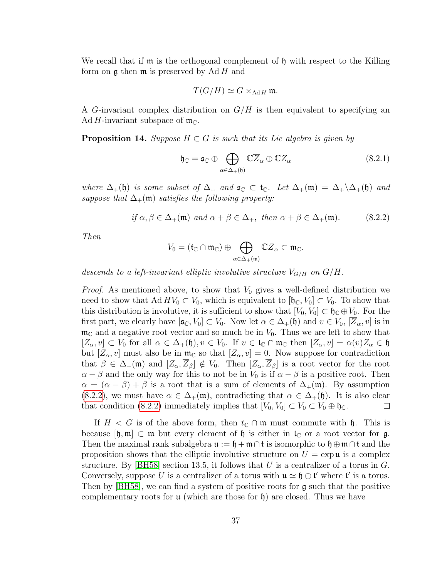We recall that if  $\mathfrak m$  is the orthogonal complement of  $\mathfrak h$  with respect to the Killing form on  $\mathfrak g$  then  $\mathfrak m$  is preserved by Ad H and

$$
T(G/H) \simeq G \times_{\text{Ad}H} \mathfrak{m}.
$$

A G-invariant complex distribution on  $G/H$  is then equivalent to specifying an Ad H-invariant subspace of  $\mathfrak{m}_{\mathbb{C}}$ .

<span id="page-41-1"></span>**Proposition 14.** Suppose  $H \subset G$  is such that its Lie algebra is given by

$$
\mathfrak{h}_{\mathbb{C}} = \mathfrak{s}_{\mathbb{C}} \oplus \bigoplus_{\alpha \in \Delta_{+}(\mathfrak{h})} \mathbb{C}\overline{Z}_{\alpha} \oplus \mathbb{C}Z_{\alpha}
$$
(8.2.1)

where  $\Delta_+(\mathfrak{h})$  is some subset of  $\Delta_+$  and  $\mathfrak{s}_\mathbb{C} \subset \mathfrak{t}_\mathbb{C}$ . Let  $\Delta_+(\mathfrak{m}) = \Delta_+\backslash \Delta_+(\mathfrak{h})$  and suppose that  $\Delta_+(\mathfrak{m})$  satisfies the following property:

<span id="page-41-0"></span>if 
$$
\alpha, \beta \in \Delta_+(\mathfrak{m})
$$
 and  $\alpha + \beta \in \Delta_+$ , then  $\alpha + \beta \in \Delta_+(\mathfrak{m})$ . (8.2.2)

Then

$$
V_0=(\frak{t}_\mathbb{C}\cap\frak{m}_\mathbb{C})\oplus\bigoplus_{\alpha\in\Delta_+(\frak{m})}\mathbb{C}\overline{Z}_\alpha\subset\frak{m}_\mathbb{C}.
$$

descends to a left-invariant elliptic involutive structure  $V_{G/H}$  on  $G/H$ .

*Proof.* As mentioned above, to show that  $V_0$  gives a well-defined distribution we need to show that Ad  $HV_0 \subset V_0$ , which is equivalent to  $[\mathfrak{h}_{\mathbb{C}}, V_0] \subset V_0$ . To show that this distribution is involutive, it is sufficient to show that  $[V_0, V_0] \subset \mathfrak{h}_\mathbb{C} \oplus V_0$ . For the first part, we clearly have  $[\mathfrak{s}_{\mathbb{C}}, V_0] \subset V_0$ . Now let  $\alpha \in \Delta_+(\mathfrak{h})$  and  $v \in V_0$ ,  $[Z_\alpha, v]$  is in  $\mathfrak{m}_{\mathbb{C}}$  and a negative root vector and so much be in  $V_0$ . Thus we are left to show that  $[Z_\alpha, v] \subset V_0$  for all  $\alpha \in \Delta_+(\mathfrak{h}), v \in V_0$ . If  $v \in \mathfrak{t}_\mathbb{C} \cap \mathfrak{m}_\mathbb{C}$  then  $[Z_\alpha, v] = \alpha(v)Z_\alpha \in \mathfrak{h}$ but  $[Z_\alpha, v]$  must also be in  $\mathfrak{m}_{\mathbb{C}}$  so that  $[Z_\alpha, v] = 0$ . Now suppose for contradiction that  $\beta \in \Delta_+(\mathfrak{m})$  and  $[Z_\alpha, \overline{Z}_\beta] \notin V_0$ . Then  $[Z_\alpha, \overline{Z}_\beta]$  is a root vector for the root  $\alpha - \beta$  and the only way for this to not be in  $V_0$  is if  $\alpha - \beta$  is a positive root. Then  $\alpha = (\alpha - \beta) + \beta$  is a root that is a sum of elements of  $\Delta_{+}(\mathfrak{m})$ . By assumption [\(8.2.2\)](#page-41-0), we must have  $\alpha \in \Delta_+(\mathfrak{m})$ , contradicting that  $\alpha \in \Delta_+(\mathfrak{h})$ . It is also clear that condition [\(8.2.2\)](#page-41-0) immediately implies that  $[V_0, V_0] \subset V_0 \subset V_0 \oplus \mathfrak{h}_{\mathbb{C}}$ .  $\Box$ 

If  $H < G$  is of the above form, then  $t_{\mathbb{C}} \cap \mathfrak{m}$  must commute with  $\mathfrak{h}$ . This is because  $[\mathfrak{h},\mathfrak{m}]\subset \mathfrak{m}$  but every element of  $\mathfrak{h}$  is either in  $\mathfrak{t}_\mathbb{C}$  or a root vector for g. Then the maximal rank subalgebra  $\mathfrak{u} := \mathfrak{h} + \mathfrak{m} \cap \mathfrak{t}$  is isomorphic to  $\mathfrak{h} \oplus \mathfrak{m} \cap \mathfrak{t}$  and the proposition shows that the elliptic involutive structure on  $U = \exp \mathfrak{u}$  is a complex structure. By [\[BH58\]](#page-68-8) section 13.5, it follows that U is a centralizer of a torus in  $G$ . Conversely, suppose U is a centralizer of a torus with  $\mathfrak{u} \simeq \mathfrak{h} \oplus \mathfrak{t}'$  where  $\mathfrak{t}'$  is a torus. Then by  $[BH58]$ , we can find a system of positive roots for  $\mathfrak g$  such that the positive complementary roots for  $\mu$  (which are those for  $\mathfrak{h}$ ) are closed. Thus we have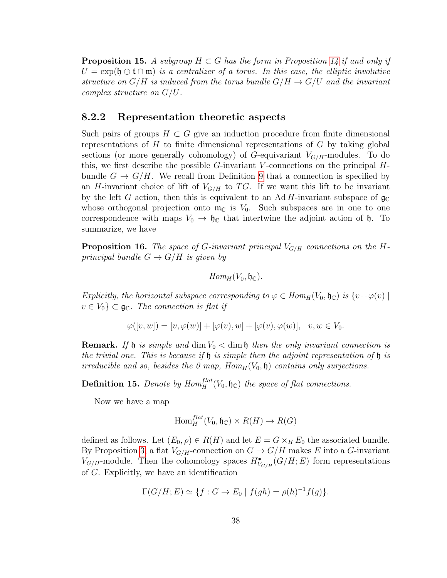**Proposition 15.** A subgroup  $H \subset G$  has the form in Proposition [14](#page-41-1) if and only if  $U = \exp(\mathfrak{h} \oplus \mathfrak{t} \cap \mathfrak{m})$  is a centralizer of a torus. In this case, the elliptic involutive structure on  $G/H$  is induced from the torus bundle  $G/H \to G/U$  and the invariant complex structure on G/U.

### <span id="page-42-0"></span>8.2.2 Representation theoretic aspects

Such pairs of groups  $H \subset G$  give an induction procedure from finite dimensional representations of  $H$  to finite dimensional representations of  $G$  by taking global sections (or more generally cohomology) of  $G$ -equivariant  $V_{G/H}$ -modules. To do this, we first describe the possible  $G$ -invariant V-connections on the principal  $H$ bundle  $G \to G/H$ . We recall from Definition [9](#page-14-2) that a connection is specified by an H-invariant choice of lift of  $V_{G/H}$  to TG. If we want this lift to be invariant by the left G action, then this is equivalent to an Ad H-invariant subspace of  $\mathfrak{g}_{\mathbb{C}}$ whose orthogonal projection onto  $\mathfrak{m}_{\mathbb{C}}$  is  $V_0$ . Such subspaces are in one to one correspondence with maps  $V_0 \rightarrow \mathfrak{h}_\mathbb{C}$  that intertwine the adjoint action of  $\mathfrak{h}$ . To summarize, we have

<span id="page-42-1"></span>**Proposition 16.** The space of G-invariant principal  $V_{G/H}$  connections on the Hprincipal bundle  $G \to G/H$  is given by

$$
Hom_H(V_0, \mathfrak{h}_\mathbb{C}).
$$

Explicitly, the horizontal subspace corresponding to  $\varphi \in Hom_H(V_0, \mathfrak{h}_\mathbb{C})$  is  $\{v + \varphi(v) \mid$  $v \in V_0$   $\subset \mathfrak{g}_\mathbb{C}$ . The connection is flat if

$$
\varphi([v, w]) = [v, \varphi(w)] + [\varphi(v), w] + [\varphi(v), \varphi(w)], \quad v, w \in V_0.
$$

**Remark.** If  $\mathfrak{h}$  is simple and dim  $V_0 <$  dim  $\mathfrak{h}$  then the only invariant connection is the trivial one. This is because if  $\mathfrak h$  is simple then the adjoint representation of  $\mathfrak h$  is irreducible and so, besides the 0 map,  $Hom_H(V_0, \mathfrak{h})$  contains only surjections.

**Definition 15.** Denote by  $Hom_H^{flat}(V_0, \mathfrak{h}_\mathbb{C})$  the space of flat connections.

Now we have a map

$$
\text{Hom}_H^{flat}(V_0, \mathfrak{h}_\mathbb{C}) \times R(H) \to R(G)
$$

defined as follows. Let  $(E_0, \rho) \in R(H)$  and let  $E = G \times_H E_0$  the associated bundle. By Proposition [3,](#page-14-3) a flat  $V_{G/H}$ -connection on  $G \to G/H$  makes E into a G-invariant  $V_{G/H}$ -module. Then the cohomology spaces  $H^{\bullet}_{V_{G/H}}(G/H; E)$  form representations of G. Explicitly, we have an identification

$$
\Gamma(G/H; E) \simeq \{ f : G \to E_0 \mid f(gh) = \rho(h)^{-1}f(g) \}.
$$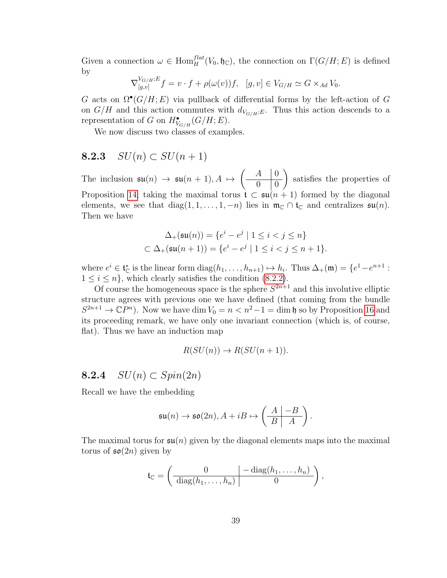Given a connection  $\omega \in \text{Hom}_H^{flat}(V_0, \mathfrak{h}_{\mathbb{C}})$ , the connection on  $\Gamma(G/H; E)$  is defined by

$$
\nabla_{[g,v]}^{V_{G/H};E} f = v \cdot f + \rho(\omega(v))f, \quad [g,v] \in V_{G/H} \simeq G \times_{Ad} V_0.
$$

G acts on  $\Omega^{\bullet}(G/H; E)$  via pullback of differential forms by the left-action of G on  $G/H$  and this action commutes with  $d_{V_{G/H};E}$ . Thus this action descends to a representation of G on  $H^{\bullet}_{V_{G/H}}(G/H; E)$ .

We now discuss two classes of examples.

### <span id="page-43-0"></span>8.2.3  $SU(n) \subset SU(n+1)$

The inclusion  $\mathfrak{su}(n) \to \mathfrak{su}(n+1), A \mapsto$  $\left( \begin{array}{c|c} A & 0 \\ \end{array} \right)$  $0 \mid 0$  $\setminus$ satisfies the properties of Proposition [14;](#page-41-1) taking the maximal torus  $\mathfrak{t} \subset \mathfrak{su}(n+1)$  formed by the diagonal elements, we see that diag(1, 1, ..., 1, -n) lies in  $\mathfrak{m}_{\mathbb{C}} \cap \mathfrak{t}_{\mathbb{C}}$  and centralizes  $\mathfrak{su}(n)$ . Then we have

$$
\Delta_{+}(\mathfrak{su}(n)) = \{ e^{i} - e^{j} \mid 1 \leq i < j \leq n \}
$$
  

$$
\subset \Delta_{+}(\mathfrak{su}(n+1)) = \{ e^{i} - e^{j} \mid 1 \leq i < j \leq n+1 \}.
$$

where  $e^i \in \mathfrak{t}_{\mathbb{C}}^*$  is the linear form  $\text{diag}(h_1, \ldots, h_{n+1}) \mapsto h_i$ . Thus  $\Delta_+(\mathfrak{m}) = \{e^1 - e^{n+1} :$  $1 \leq i \leq n$ , which clearly satisfies the condition [\(8.2.2\)](#page-41-0).

Of course the homogeneous space is the sphere  $S^{2n+1}$  and this involutive elliptic structure agrees with previous one we have defined (that coming from the bundle  $S^{2n+1} \to \mathbb{C}P^n$ ). Now we have dim  $V_0 = n < n^2 - 1 = \dim \mathfrak{h}$  so by Proposition [16](#page-42-1) and its proceeding remark, we have only one invariant connection (which is, of course, flat). Thus we have an induction map

$$
R(SU(n)) \to R(SU(n+1)).
$$

### <span id="page-43-1"></span>8.2.4  $SU(n) \subset Spin(2n)$

Recall we have the embedding

$$
\mathfrak{su}(n)\to\mathfrak{so}(2n), A+iB\mapsto\left(\begin{array}{c|c}A & -B \\ \hline B & A \end{array}\right).
$$

The maximal torus for  $\mathfrak{su}(n)$  given by the diagonal elements maps into the maximal torus of  $\mathfrak{so}(2n)$  given by

$$
\mathfrak{t}_{\mathbb{C}} = \left( \frac{0}{\text{diag}(h_1, \ldots, h_n)} \middle| \frac{-\text{diag}(h_1, \ldots, h_n)}{0} \right),
$$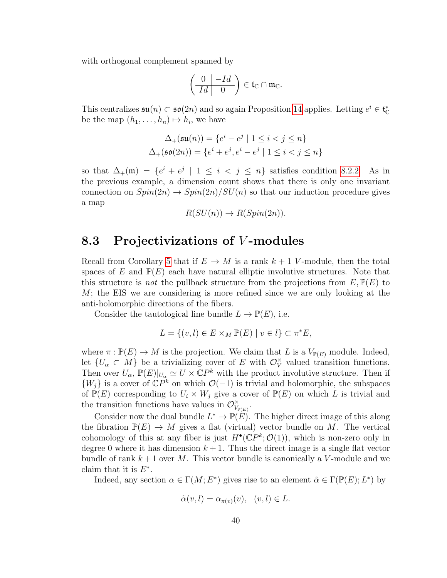with orthogonal complement spanned by

$$
\left(\begin{array}{c|c} 0 & -Id \\ \hline Id & 0 \end{array}\right) \in \mathfrak{t}_{\mathbb{C}} \cap \mathfrak{m}_{\mathbb{C}}.
$$

This centralizes  $\mathfrak{su}(n) \subset \mathfrak{so}(2n)$  and so again Proposition [14](#page-41-1) applies. Letting  $e^i \in \mathfrak{t}_{\mathbb{C}}^*$ be the map  $(h_1, \ldots, h_n) \mapsto h_i$ , we have

$$
\Delta_{+}(\mathfrak{su}(n)) = \{ e^{i} - e^{j} \mid 1 \le i < j \le n \}
$$
  

$$
\Delta_{+}(\mathfrak{so}(2n)) = \{ e^{i} + e^{j}, e^{i} - e^{j} \mid 1 \le i < j \le n \}
$$

so that  $\Delta_+(\mathfrak{m}) = \{e^i + e^j \mid 1 \leq i < j \leq n\}$  satisfies condition [8.2.2.](#page-41-0) As in the previous example, a dimension count shows that there is only one invariant connection on  $Spin(2n) \rightarrow Spin(2n)/SU(n)$  so that our induction procedure gives a map

$$
R(SU(n)) \to R(Spin(2n)).
$$

### <span id="page-44-0"></span>8.3 Projectivizations of *V*-modules

Recall from Corollary [5](#page-30-1) that if  $E \to M$  is a rank  $k+1$  V-module, then the total spaces of E and  $\mathbb{P}(E)$  each have natural elliptic involutive structures. Note that this structure is *not* the pullback structure from the projections from  $E, \mathbb{P}(E)$  to  $M$ ; the EIS we are considering is more refined since we are only looking at the anti-holomorphic directions of the fibers.

Consider the tautological line bundle  $L \to \mathbb{P}(E)$ , i.e.

$$
L = \{(v, l) \in E \times_M \mathbb{P}(E) \mid v \in l\} \subset \pi^*E,
$$

where  $\pi : \mathbb{P}(E) \to M$  is the projection. We claim that L is a  $V_{\mathbb{P}(E)}$  module. Indeed, let  $\{U_{\alpha} \subset M\}$  be a trivializing cover of E with  $\mathcal{O}_V^{\times}$  $\check{V}$  valued transition functions. Then over  $U_{\alpha}$ ,  $\mathbb{P}(E)|_{U_{\alpha}} \simeq U \times \mathbb{C}P^k$  with the product involutive structure. Then if  $\{W_j\}$  is a cover of  $\mathbb{C}P^k$  on which  $\mathcal{O}(-1)$  is trivial and holomorphic, the subspaces of  $\mathbb{P}(E)$  corresponding to  $U_i \times W_j$  give a cover of  $\mathbb{P}(E)$  on which L is trivial and the transition functions have values in  $\mathcal{O}_V^{\times}$  $\overset{\times}{V}_{\mathbb{P}(E)}$  .

Consider now the dual bundle  $L^* \to \mathbb{P}(E)$ . The higher direct image of this along the fibration  $\mathbb{P}(E) \to M$  gives a flat (virtual) vector bundle on M. The vertical cohomology of this at any fiber is just  $H^{\bullet}(\mathbb{C}P^k;\mathcal{O}(1))$ , which is non-zero only in degree 0 where it has dimension  $k+1$ . Thus the direct image is a single flat vector bundle of rank  $k+1$  over M. This vector bundle is canonically a V-module and we claim that it is  $E^*$ .

Indeed, any section  $\alpha \in \Gamma(M; E^*)$  gives rise to an element  $\tilde{\alpha} \in \Gamma(\mathbb{P}(E); L^*)$  by

$$
\tilde{\alpha}(v,l) = \alpha_{\pi(v)}(v), \quad (v,l) \in L.
$$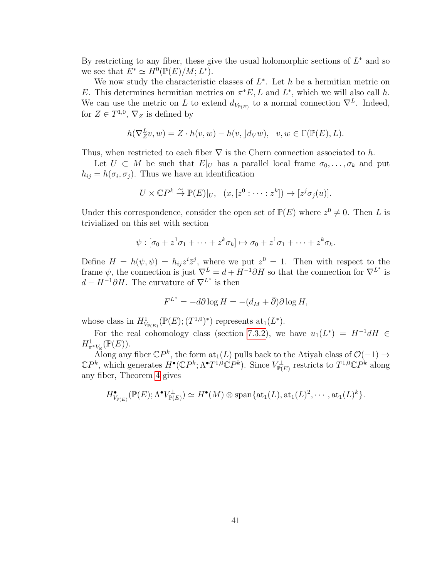By restricting to any fiber, these give the usual holomorphic sections of  $L^*$  and so we see that  $E^* \simeq H^0(\mathbb{P}(E)/M; L^*).$ 

We now study the characteristic classes of  $L^*$ . Let h be a hermitian metric on E. This determines hermitian metrics on  $\pi^*E$ , L and L<sup>\*</sup>, which we will also call h. We can use the metric on L to extend  $d_{V_{\mathbb{P}(E)}}$  to a normal connection  $\nabla^L$ . Indeed, for  $Z \in T^{1,0}, \nabla_Z$  is defined by

$$
h(\nabla_Z^L v, w) = Z \cdot h(v, w) - h(v, \,] d_V w), \quad v, w \in \Gamma(\mathbb{P}(E), L).
$$

Thus, when restricted to each fiber  $\nabla$  is the Chern connection associated to h.

Let  $U \subset M$  be such that  $E|_U$  has a parallel local frame  $\sigma_0, \ldots, \sigma_k$  and put  $h_{ij} = h(\sigma_i, \sigma_j)$ . Thus we have an identification

$$
U \times \mathbb{C}P^k \stackrel{\sim}{\to} \mathbb{P}(E)|_U, \quad (x, [z^0 : \dots : z^k]) \mapsto [z^j \sigma_j(u)].
$$

Under this correspondence, consider the open set of  $\mathbb{P}(E)$  where  $z^0 \neq 0$ . Then L is trivialized on this set with section

$$
\psi : [\sigma_0 + z^1 \sigma_1 + \dots + z^k \sigma_k] \mapsto \sigma_0 + z^1 \sigma_1 + \dots + z^k \sigma_k.
$$

Define  $H = h(\psi, \psi) = h_{ij} z^i \overline{z}^j$ , where we put  $z^0 = 1$ . Then with respect to the frame  $\psi$ , the connection is just  $\nabla^L = d + H^{-1}\partial H$  so that the connection for  $\nabla^{L^*}$  is  $d - H^{-1}\partial H$ . The curvature of  $\nabla^{L^*}$  is then

$$
F^{L^*} = -d\partial \log H = -(d_M + \bar{\partial})\partial \log H,
$$

whose class in  $H^1_{V_{\mathbb{P}(E)}}(\mathbb{P}(E); (T^{1,0})^*)$  represents  $\text{at}_1(L^*)$ .

For the real cohomology class (section [7.3.2\)](#page-35-0), we have  $u_1(L^*) = H^{-1}dH \in$  $H^1_{\pi^*V_{\mathbb{R}}}(\mathbb{P}(E)).$ 

Along any fiber  $\mathbb{C}P^k$ , the form  $\text{at}_1(L)$  pulls back to the Atiyah class of  $\mathcal{O}(-1) \rightarrow$  $\mathbb{C}P^k$ , which generates  $H^{\bullet}(\mathbb{C}P^k;\Lambda^{\bullet}T^{1,0}\mathbb{C}P^k)$ . Since  $V^{\perp}_{\mathbb{P}(E)}$  restricts to  $T^{1,0}\mathbb{C}P^k$  along any fiber, Theorem [4](#page-21-0) gives

$$
H^{\bullet}_{V_{\mathbb{P}(E)}}(\mathbb{P}(E);\Lambda^{\bullet}V_{\mathbb{P}(E)}^{\perp})\simeq H^{\bullet}(M)\otimes \text{span}\{\text{at}_1(L),\text{at}_1(L)^2,\cdots,\text{at}_1(L)^k\}.
$$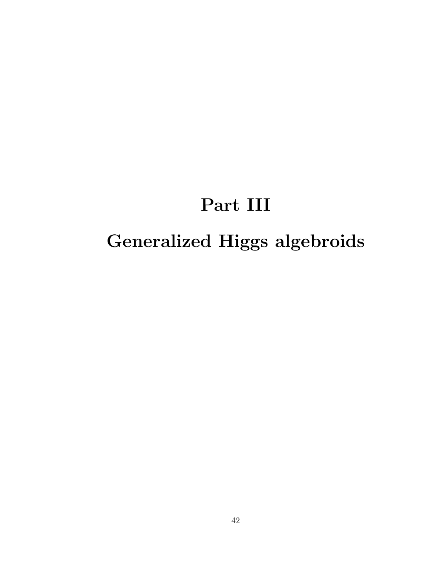## Part III

## <span id="page-46-0"></span>Generalized Higgs algebroids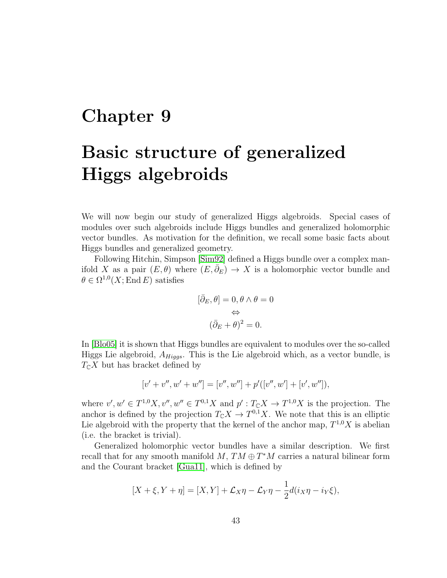### <span id="page-47-0"></span>Chapter 9

## Basic structure of generalized Higgs algebroids

We will now begin our study of generalized Higgs algebroids. Special cases of modules over such algebroids include Higgs bundles and generalized holomorphic vector bundles. As motivation for the definition, we recall some basic facts about Higgs bundles and generalized geometry.

Following Hitchin, Simpson [\[Sim92\]](#page-70-4) defined a Higgs bundle over a complex manifold X as a pair  $(E, \theta)$  where  $(E, \bar{\partial}_E) \rightarrow X$  is a holomorphic vector bundle and  $\theta \in \Omega^{1,0}(X; \text{End } E)$  satisfies

$$
[\bar{\partial}_E, \theta] = 0, \theta \wedge \theta = 0
$$

$$
\Leftrightarrow
$$

$$
(\bar{\partial}_E + \theta)^2 = 0.
$$

In [\[Blo05\]](#page-68-4) it is shown that Higgs bundles are equivalent to modules over the so-called Higgs Lie algebroid,  $A_{Higgs}$ . This is the Lie algebroid which, as a vector bundle, is  $T_{\mathbb{C}}X$  but has bracket defined by

$$
[v' + v'', w' + w''] = [v'', w''] + p'([v'', w'] + [v', w'']),
$$

where  $v', w' \in T^{1,0}X, v'', w'' \in T^{0,1}X$  and  $p' : T_{\mathbb{C}}X \to T^{1,0}X$  is the projection. The anchor is defined by the projection  $T_{\mathbb{C}}X \to T^{0,1}X$ . We note that this is an elliptic Lie algebroid with the property that the kernel of the anchor map,  $T^{1,0}X$  is abelian (i.e. the bracket is trivial).

Generalized holomorphic vector bundles have a similar description. We first recall that for any smooth manifold  $M$ ,  $TM \oplus T^*M$  carries a natural bilinear form and the Courant bracket [\[Gua11\]](#page-69-1), which is defined by

$$
[X+\xi, Y+\eta] = [X,Y] + \mathcal{L}_X \eta - \mathcal{L}_Y \eta - \frac{1}{2} d(i_X \eta - i_Y \xi),
$$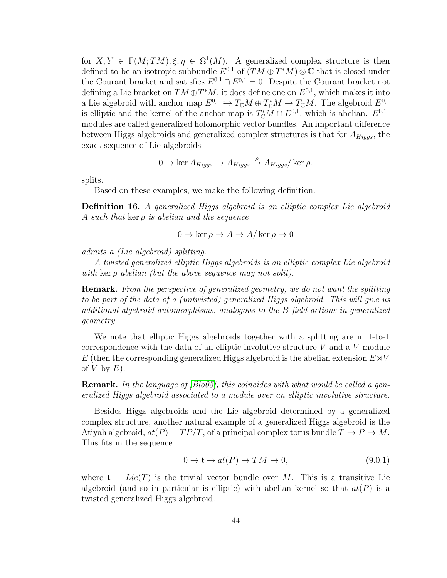for  $X, Y \in \Gamma(M; TM), \xi, \eta \in \Omega^1(M)$ . A generalized complex structure is then defined to be an isotropic subbundle  $E^{0,1}$  of  $(TM \oplus T^*M) \otimes \mathbb{C}$  that is closed under the Courant bracket and satisfies  $E^{0,1} \cap \overline{E^{0,1}} = 0$ . Despite the Courant bracket not defining a Lie bracket on  $TM \oplus T^*M$ , it does define one on  $E^{0,1}$ , which makes it into a Lie algebroid with anchor map  $E^{0,1} \hookrightarrow T_{\mathbb{C}}M \oplus T_{\mathbb{C}}^*M \to T_{\mathbb{C}}M$ . The algebroid  $E^{0,1}$ is elliptic and the kernel of the anchor map is  $T_{\mathbb{C}}^*M \cap E^{0,1}$ , which is abelian.  $E^{0,1}$ modules are called generalized holomorphic vector bundles. An important difference between Higgs algebroids and generalized complex structures is that for  $A_{Higgs}$ , the exact sequence of Lie algebroids

$$
0 \to \ker A_{Higgs} \to A_{Higgs} \stackrel{\rho}{\to} A_{Higgs}/\ker \rho.
$$

splits.

Based on these examples, we make the following definition.

Definition 16. A generalized Higgs algebroid is an elliptic complex Lie algebroid A such that ker  $\rho$  is abelian and the sequence

$$
0 \to \ker \rho \to A \to A/\ker \rho \to 0
$$

admits a (Lie algebroid) splitting.

A twisted generalized elliptic Higgs algebroids is an elliptic complex Lie algebroid with ker  $\rho$  abelian (but the above sequence may not split).

Remark. From the perspective of generalized geometry, we do not want the splitting to be part of the data of a (untwisted) generalized Higgs algebroid. This will give us additional algebroid automorphisms, analogous to the B-field actions in generalized geometry.

We note that elliptic Higgs algebroids together with a splitting are in 1-to-1 correspondence with the data of an elliptic involutive structure  $V$  and a  $V$ -module E (then the corresponding generalized Higgs algebroid is the abelian extension  $E\rtimes V$ of  $V$  by  $E$ ).

Remark. In the language of [\[Blo05\]](#page-68-4), this coincides with what would be called a generalized Higgs algebroid associated to a module over an elliptic involutive structure.

Besides Higgs algebroids and the Lie algebroid determined by a generalized complex structure, another natural example of a generalized Higgs algebroid is the Atiyah algebroid,  $at(P) = TP/T$ , of a principal complex torus bundle  $T \to P \to M$ . This fits in the sequence

<span id="page-48-0"></span>
$$
0 \to \mathfrak{t} \to at(P) \to TM \to 0,\tag{9.0.1}
$$

where  $\mathfrak{t} = Lie(T)$  is the trivial vector bundle over M. This is a transitive Lie algebroid (and so in particular is elliptic) with abelian kernel so that  $at(P)$  is a twisted generalized Higgs algebroid.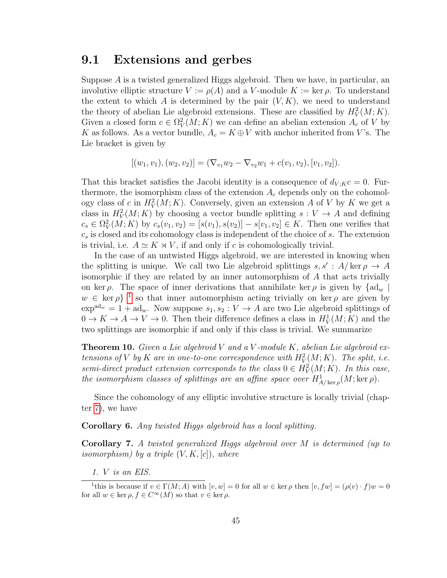### <span id="page-49-0"></span>9.1 Extensions and gerbes

Suppose A is a twisted generalized Higgs algebroid. Then we have, in particular, an involutive elliptic structure  $V := \rho(A)$  and a V-module  $K := \text{ker }\rho$ . To understand the extent to which A is determined by the pair  $(V, K)$ , we need to understand the theory of abelian Lie algebroid extensions. These are classified by  $H_V^2(M; K)$ . Given a closed form  $c \in \Omega^2_V(M; K)$  we can define an abelian extension  $A_c$  of V by K as follows. As a vector bundle,  $A_c = K \oplus V$  with anchor inherited from V's. The Lie bracket is given by

$$
[(w_1, v_1), (w_2, v_2)] = (\nabla_{v_1} w_2 - \nabla_{v_2} w_1 + c(v_1, v_2), [v_1, v_2]).
$$

That this bracket satisfies the Jacobi identity is a consequence of  $d_{V;K}c = 0$ . Furthermore, the isomorphism class of the extension  $A_c$  depends only on the cohomology class of c in  $H_V^2(M; K)$ . Conversely, given an extension A of V by K we get a class in  $H_V^2(M; K)$  by choosing a vector bundle splitting  $s: V \to A$  and defining  $c_s \in \Omega^2_V(M; K)$  by  $c_s(v_1, v_2) = [s(v_1), s(v_2)] - s[v_1, v_2] \in K$ . Then one verifies that  $c_s$  is closed and its cohomology class is independent of the choice of  $s$ . The extension is trivial, i.e.  $A \simeq K \rtimes V$ , if and only if c is cohomologically trivial.

In the case of an untwisted Higgs algebroid, we are interested in knowing when the splitting is unique. We call two Lie algebroid splittings  $s, s' : A/\ker \rho \to A$ isomorphic if they are related by an inner automorphism of A that acts trivially on ker  $\rho$ . The space of inner derivations that annihilate ker  $\rho$  is given by  $\{ad_w\}$  $w \in \text{ker } \rho$  <sup>[1](#page-49-1)</sup> so that inner automorphism acting trivially on ker  $\rho$  are given by  $\exp^{ad_w} = 1 + ad_w$ . Now suppose  $s_1, s_2 : V \to A$  are two Lie algebroid splittings of  $0 \to K \to A \to V \to 0$ . Then their difference defines a class in  $H_V^1(M; K)$  and the two splittings are isomorphic if and only if this class is trivial. We summarize

**Theorem 10.** Given a Lie algebroid V and a V-module K, abelian Lie algebroid extensions of V by K are in one-to-one correspondence with  $H_V^2(M; K)$ . The split, i.e. semi-direct product extension corresponds to the class  $0 \in H_V^2(M; K)$ . In this case, the isomorphism classes of splittings are an affine space over  $H^1_{A/\ker \rho}(M; \ker \rho)$ .

Since the cohomology of any elliptic involutive structure is locally trivial (chapter [7\)](#page-27-0), we have

<span id="page-49-2"></span>Corollary 6. Any twisted Higgs algebroid has a local splitting.

Corollary 7. A twisted generalized Higgs algebroid over M is determined (up to isomorphism) by a triple  $(V, K, [c])$ , where

<span id="page-49-1"></span>1. V is an EIS.

<sup>&</sup>lt;sup>1</sup>this is because if  $v \in \Gamma(M; A)$  with  $[v, w] = 0$  for all  $w \in \text{ker } \rho$  then  $[v, fw] = (\rho(v) \cdot f)w = 0$ for all  $w \in \ker \rho, f \in C^{\infty}(M)$  so that  $v \in \ker \rho$ .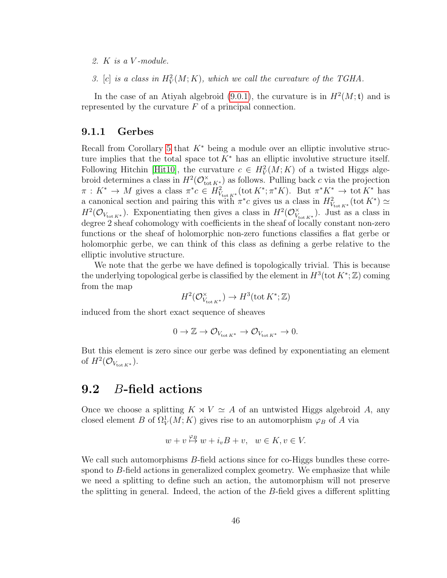- 2. K is a V -module.
- 3. [c] is a class in  $H_V^2(M; K)$ , which we call the curvature of the TGHA.

In the case of an Atiyah algebroid [\(9.0.1\)](#page-48-0), the curvature is in  $H^2(M; t)$  and is represented by the curvature  $F$  of a principal connection.

### <span id="page-50-0"></span>9.1.1 Gerbes

Recall from Corollary [5](#page-30-1) that  $K^*$  being a module over an elliptic involutive structure implies that the total space tot  $K^*$  has an elliptic involutive structure itself. Following Hitchin [\[Hit10\]](#page-70-3), the curvature  $c \in H_V^2(M; K)$  of a twisted Higgs algebroid determines a class in  $H^2(\mathcal{O}_{\text{tot }K^*}^{\times})$  as follows. Pulling back c via the projection  $\pi: K^* \to M$  gives a class  $\pi^*c \in H^2_{V_{\text{tot}} K^*}(\text{tot } K^*; \pi^*K)$ . But  $\pi^*K^* \to \text{tot } K^*$  has a canonical section and pairing this with  $\pi^*c$  gives us a class in  $H^2_{V_{\text{tot }K^*}}(\text{tot }K^*) \simeq$  $H^2(\mathcal{O}_{V_{\text{tot }K^*}})$ . Exponentiating then gives a class in  $H^2(\mathcal{O}_{V_+}^{\times})$  $\chi^{\times}_{\text{tot } K^*}$ ). Just as a class in degree 2 sheaf cohomology with coefficients in the sheaf of locally constant non-zero functions or the sheaf of holomorphic non-zero functions classifies a flat gerbe or holomorphic gerbe, we can think of this class as defining a gerbe relative to the elliptic involutive structure.

We note that the gerbe we have defined is topologically trivial. This is because the underlying topological gerbe is classified by the element in  $H^3(\text{tot } K^*; \mathbb{Z})$  coming from the map

$$
H^2({\mathcal O}_{{V_{\text{tot}}}{K}^*}^\times)\to H^3(\text{tot}\, K^*;{\mathbb Z})
$$

induced from the short exact sequence of sheaves

$$
0\to \mathbb{Z}\to \mathcal{O}_{V_{\text{tot}\,K^*}}\to \mathcal{O}_{V_{\text{tot}\,K^*}}\to 0.
$$

But this element is zero since our gerbe was defined by exponentiating an element of  $H^2(\mathcal{O}_{V_{\text{tot }K^*}})$ .

### <span id="page-50-1"></span>9.2 B-field actions

Once we choose a splitting  $K \rtimes V \simeq A$  of an untwisted Higgs algebroid A, any closed element B of  $\Omega^1_V(M;K)$  gives rise to an automorphism  $\varphi_B$  of A via

$$
w + v \stackrel{\varphi_B}{\mapsto} w + i_v B + v, \ \ w \in K, v \in V.
$$

We call such automorphisms B-field actions since for co-Higgs bundles these correspond to B-field actions in generalized complex geometry. We emphasize that while we need a splitting to define such an action, the automorphism will not preserve the splitting in general. Indeed, the action of the B-field gives a different splitting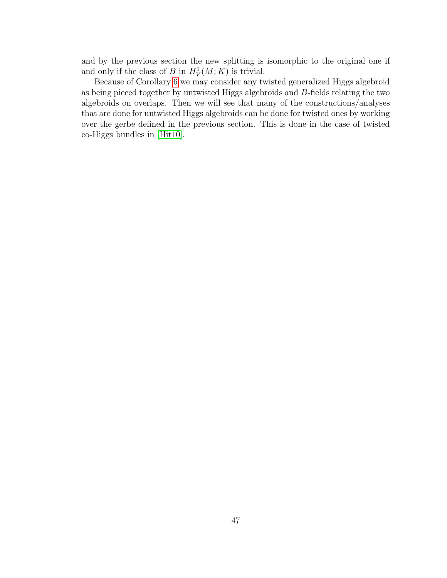and by the previous section the new splitting is isomorphic to the original one if and only if the class of B in  $H_V^1(M; K)$  is trivial.

Because of Corollary [6](#page-49-2) we may consider any twisted generalized Higgs algebroid as being pieced together by untwisted Higgs algebroids and B-fields relating the two algebroids on overlaps. Then we will see that many of the constructions/analyses that are done for untwisted Higgs algebroids can be done for twisted ones by working over the gerbe defined in the previous section. This is done in the case of twisted co-Higgs bundles in [\[Hit10\]](#page-70-3).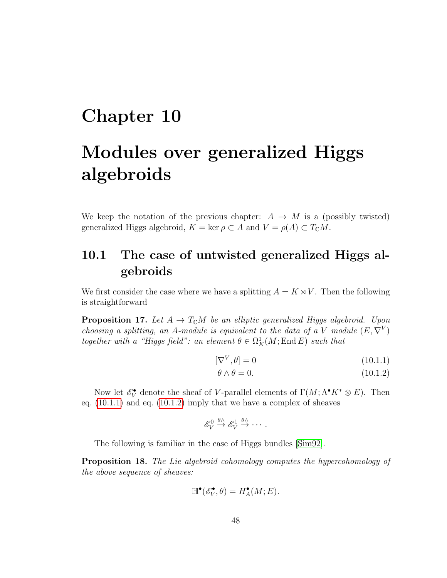### <span id="page-52-0"></span>Chapter 10

## Modules over generalized Higgs algebroids

We keep the notation of the previous chapter:  $A \rightarrow M$  is a (possibly twisted) generalized Higgs algebroid,  $K = \ker \rho \subset A$  and  $V = \rho(A) \subset T_{\mathbb{C}}M$ .

### <span id="page-52-1"></span>10.1 The case of untwisted generalized Higgs algebroids

We first consider the case where we have a splitting  $A = K \rtimes V$ . Then the following is straightforward

**Proposition 17.** Let  $A \to T_{\mathbb{C}}M$  be an elliptic generalized Higgs algebroid. Upon choosing a splitting, an A-module is equivalent to the data of a V module  $(E, \nabla^V)$ together with a "Higgs field": an element  $\theta \in \Omega_K^1(M;\operatorname{End} E)$  such that

$$
[\nabla^V, \theta] = 0 \tag{10.1.1}
$$

<span id="page-52-3"></span><span id="page-52-2"></span>
$$
\theta \wedge \theta = 0. \tag{10.1.2}
$$

Now let  $\mathscr{E}_V^{\bullet}$  denote the sheaf of V-parallel elements of  $\Gamma(M; \Lambda^{\bullet} K^* \otimes E)$ . Then eq. [\(10.1.1\)](#page-52-2) and eq. [\(10.1.2\)](#page-52-3) imply that we have a complex of sheaves

$$
\mathscr{E}_V^0 \stackrel{\theta \wedge}{\rightarrow} \mathscr{E}_V^1 \stackrel{\theta \wedge}{\rightarrow} \cdots.
$$

The following is familiar in the case of Higgs bundles [\[Sim92\]](#page-70-4).

Proposition 18. The Lie algebroid cohomology computes the hypercohomology of the above sequence of sheaves:

$$
\mathbb{H}^\bullet(\mathscr{E}_V^\bullet,\theta)=H^\bullet_A(M;E).
$$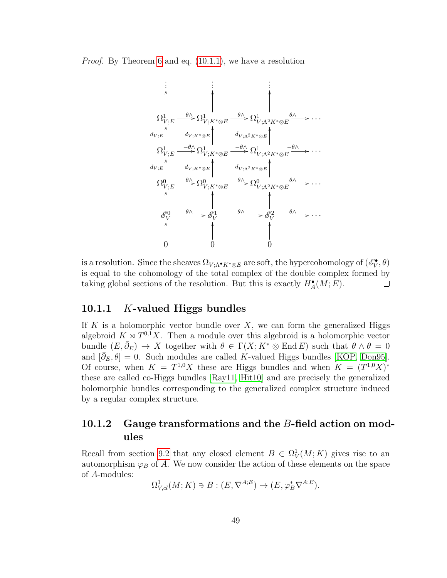Proof. By Theorem [6](#page-26-1) and eq. [\(10.1.1\)](#page-52-2), we have a resolution

. . . . . . . . . Ω 1 V ;E <sup>θ</sup><sup>∧</sup> / OO Ω 1 V ;K∗⊗E <sup>θ</sup><sup>∧</sup> / OO Ω 1 V ;Λ2K∗⊗E <sup>θ</sup><sup>∧</sup> / OO · · · Ω 1 V ;E <sup>−</sup>θ∧/ d<sup>V</sup> ;<sup>E</sup> OO Ω 1 V ;K∗⊗E <sup>−</sup>θ<sup>∧</sup> / d<sup>V</sup> ;K∗⊗<sup>E</sup> OO Ω 1 V ;Λ2K∗⊗E <sup>−</sup>θ<sup>∧</sup> / d<sup>V</sup> ;Λ2K∗⊗<sup>E</sup> OO · · · Ω 0 V ;E <sup>θ</sup><sup>∧</sup> / d<sup>V</sup> ;<sup>E</sup> OO Ω 0 V ;K∗⊗E <sup>θ</sup><sup>∧</sup> / d<sup>V</sup> ;K∗⊗<sup>E</sup> OO Ω 0 V ;Λ2K∗⊗E <sup>θ</sup><sup>∧</sup> / d<sup>V</sup> ;Λ2K∗⊗<sup>E</sup> OO · · · E 0 V <sup>θ</sup><sup>∧</sup> / OO E 1 V <sup>θ</sup><sup>∧</sup> / OO E 2 V <sup>θ</sup><sup>∧</sup> / OO · · · 0 OO 0 OO 0 OO

is a resolution. Since the sheaves  $\Omega_{V;\Lambda^{\bullet} K^*\otimes E}$  are soft, the hypercohomology of  $(\mathscr{E}_V^{\bullet}, \theta)$ is equal to the cohomology of the total complex of the double complex formed by taking global sections of the resolution. But this is exactly  $H^{\bullet}_{A}(M;E)$ .  $\Box$ 

### <span id="page-53-0"></span>10.1.1 K-valued Higgs bundles

If  $K$  is a holomorphic vector bundle over  $X$ , we can form the generalized Higgs algebroid  $K \rtimes T^{0,1}X$ . Then a module over this algebroid is a holomorphic vector bundle  $(E, \bar{\partial}_E) \to X$  together with  $\theta \in \Gamma(X; K^* \otimes \text{End } E)$  such that  $\theta \wedge \theta = 0$ and  $[\bar{\partial}_E, \theta] = 0$ . Such modules are called K-valued Higgs bundles [\[KOP,](#page-70-9) [Don95\]](#page-69-12). Of course, when  $K = T^{1,0}X$  these are Higgs bundles and when  $K = (T^{1,0}X)^*$ these are called co-Higgs bundles [\[Ray11,](#page-70-10) [Hit10\]](#page-70-3) and are precisely the generalized holomorphic bundles corresponding to the generalized complex structure induced by a regular complex structure.

### <span id="page-53-1"></span>10.1.2 Gauge transformations and the B-field action on modules

Recall from section [9.2](#page-50-1) that any closed element  $B \in \Omega^1_V(M; K)$  gives rise to an automorphism  $\varphi_B$  of A. We now consider the action of these elements on the space of A-modules:

 $\Omega_{V,cl}^1(M;K) \ni B : (E, \nabla^{A;E}) \mapsto (E, \varphi_B^* \nabla^{A;E}).$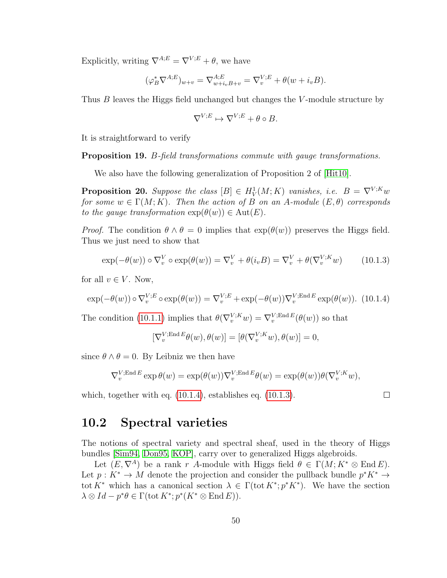Explicitly, writing  $\nabla^{A;E} = \nabla^{V;E} + \theta$ , we have

$$
(\varphi_B^* \nabla^{A;E})_{w+v} = \nabla_{w+i_v}^{A;E} B_{+v} = \nabla_v^{V;E} + \theta(w+i_v B).
$$

Thus B leaves the Higgs field unchanged but changes the V-module structure by

$$
\nabla^{V;E} \mapsto \nabla^{V;E} + \theta \circ B.
$$

It is straightforward to verify

Proposition 19. B-field transformations commute with gauge transformations.

We also have the following generalization of Proposition 2 of [\[Hit10\]](#page-70-3).

**Proposition 20.** Suppose the class  $[B] \in H^1_V(M; K)$  vanishes, i.e.  $B = \nabla^{V;K} w$ for some  $w \in \Gamma(M; K)$ . Then the action of B on an A-module  $(E, \theta)$  corresponds to the gauge transformation  $\exp(\theta(w)) \in \text{Aut}(E)$ .

*Proof.* The condition  $\theta \wedge \theta = 0$  implies that  $\exp(\theta(w))$  preserves the Higgs field. Thus we just need to show that

<span id="page-54-2"></span>
$$
\exp(-\theta(w)) \circ \nabla_v^V \circ \exp(\theta(w)) = \nabla_v^V + \theta(i_v B) = \nabla_v^V + \theta(\nabla_v^{V;K} w)
$$
 (10.1.3)

for all  $v \in V$ . Now,

<span id="page-54-1"></span>
$$
\exp(-\theta(w)) \circ \nabla_v^{V;E} \circ \exp(\theta(w)) = \nabla_v^{V;E} + \exp(-\theta(w)) \nabla_v^{V;\text{End }E} \exp(\theta(w)). \tag{10.1.4}
$$

The condition [\(10.1.1\)](#page-52-2) implies that  $\theta(\nabla_v^{V;K}w) = \nabla_v^{V;\text{End }E}(\theta(w))$  so that

$$
[\nabla_v^{V;\text{End }E}\theta(w),\theta(w)] = [\theta(\nabla_v^{V;K}w),\theta(w)] = 0,
$$

since  $\theta \wedge \theta = 0$ . By Leibniz we then have

$$
\nabla_v^{V;\text{End }E} \exp \theta(w) = \exp(\theta(w)) \nabla_v^{V;\text{End }E} \theta(w) = \exp(\theta(w)) \theta(\nabla_v^{V;K} w),
$$

which, together with eq. [\(10.1.4\)](#page-54-1), establishes eq. [\(10.1.3\)](#page-54-2).

$$
\Box
$$

### <span id="page-54-0"></span>10.2 Spectral varieties

The notions of spectral variety and spectral sheaf, used in the theory of Higgs bundles [\[Sim94,](#page-70-11) [Don95,](#page-69-12) [KOP\]](#page-70-9), carry over to generalized Higgs algebroids.

Let  $(E, \nabla^A)$  be a rank r A-module with Higgs field  $\theta \in \Gamma(M; K^* \otimes \text{End } E)$ . Let  $p: K^* \to M$  denote the projection and consider the pullback bundle  $p^*K^* \to$ tot K<sup>\*</sup> which has a canonical section  $\lambda \in \Gamma(\text{tot } K^*; p^*K^*)$ . We have the section  $\lambda \otimes Id - p^* \theta \in \Gamma(\text{tot } K^*; p^*(K^* \otimes \text{End } E)).$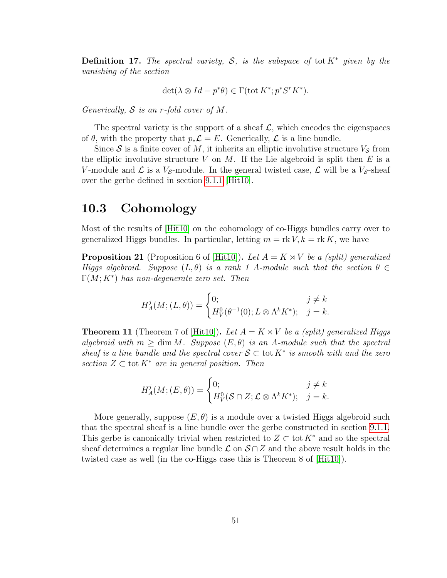**Definition 17.** The spectral variety, S, is the subspace of tot  $K^*$  given by the vanishing of the section

$$
\det(\lambda \otimes Id - p^*\theta) \in \Gamma(\operatorname{tot} K^*; p^* S^r K^*).
$$

Generically,  $S$  is an r-fold cover of M.

The spectral variety is the support of a sheaf  $\mathcal{L}$ , which encodes the eigenspaces of  $\theta$ , with the property that  $p_*\mathcal{L} = E$ . Generically,  $\mathcal{L}$  is a line bundle.

Since S is a finite cover of M, it inherits an elliptic involutive structure  $V_{\mathcal{S}}$  from the elliptic involutive structure  $V$  on  $M$ . If the Lie algebroid is split then  $E$  is a V-module and  $\mathcal L$  is a  $V_{\mathcal S}$ -module. In the general twisted case,  $\mathcal L$  will be a  $V_{\mathcal S}$ -sheaf over the gerbe defined in section [9.1.1](#page-50-0) [\[Hit10\]](#page-70-3).

### <span id="page-55-0"></span>10.3 Cohomology

Most of the results of [\[Hit10\]](#page-70-3) on the cohomology of co-Higgs bundles carry over to generalized Higgs bundles. In particular, letting  $m = \text{rk } V, k = \text{rk } K$ , we have

**Proposition 21** (Proposition 6 of [\[Hit10\]](#page-70-3)). Let  $A = K \rtimes V$  be a (split) generalized Higgs algebroid. Suppose  $(L, \theta)$  is a rank 1 A-module such that the section  $\theta \in$  $\Gamma(M;K^*)$  has non-degenerate zero set. Then

$$
H_A^j(M;(L,\theta)) = \begin{cases} 0; & j \neq k \\ H_V^0(\theta^{-1}(0); L \otimes \Lambda^k K^*); & j = k. \end{cases}
$$

**Theorem 11** (Theorem 7 of  $[Hit10]$ ). Let  $A = K \rtimes V$  be a (split) generalized Higgs algebroid with  $m \geq \dim M$ . Suppose  $(E, \theta)$  is an A-module such that the spectral sheaf is a line bundle and the spectral cover  $S \subset \text{tot } K^*$  is smooth with and the zero section  $Z \subset \text{tot } K^*$  are in general position. Then

$$
H_A^j(M; (E, \theta)) = \begin{cases} 0; & j \neq k \\ H_V^0(\mathcal{S} \cap Z; \mathcal{L} \otimes \Lambda^k K^*); & j = k. \end{cases}
$$

More generally, suppose  $(E, \theta)$  is a module over a twisted Higgs algebroid such that the spectral sheaf is a line bundle over the gerbe constructed in section [9.1.1.](#page-50-0) This gerbe is canonically trivial when restricted to  $Z \subset \text{tot } K^*$  and so the spectral sheaf determines a regular line bundle  $\mathcal L$  on  $\mathcal S \cap \mathcal Z$  and the above result holds in the twisted case as well (in the co-Higgs case this is Theorem 8 of [\[Hit10\]](#page-70-3)).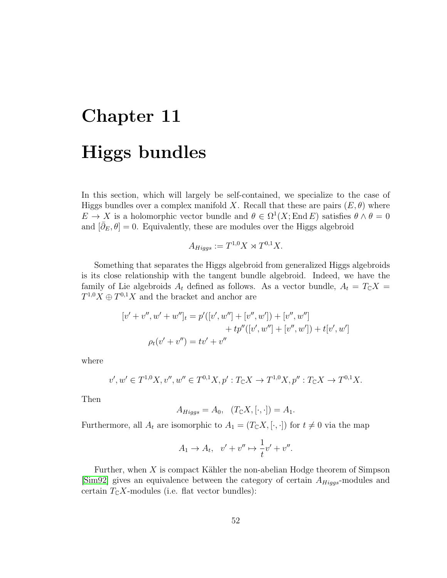# <span id="page-56-0"></span>Chapter 11 Higgs bundles

In this section, which will largely be self-contained, we specialize to the case of Higgs bundles over a complex manifold X. Recall that these are pairs  $(E, \theta)$  where  $E \to X$  is a holomorphic vector bundle and  $\theta \in \Omega^1(X; \text{End } E)$  satisfies  $\theta \wedge \theta = 0$ and  $[\bar{\partial}_E, \theta] = 0$ . Equivalently, these are modules over the Higgs algebroid

$$
A_{Higgs} := T^{1,0}X \rtimes T^{0,1}X.
$$

Something that separates the Higgs algebroid from generalized Higgs algebroids is its close relationship with the tangent bundle algebroid. Indeed, we have the family of Lie algebroids  $A_t$  defined as follows. As a vector bundle,  $A_t = T_{\mathbb{C}}X =$  $T^{1,0}X \oplus T^{0,1}X$  and the bracket and anchor are

$$
[v' + v'', w' + w'']_t = p'([v', w''] + [v'', w']) + [v'', w'']
$$

$$
+ tp''([v', w''] + [v'', w']) + t[v', w']
$$

$$
\rho_t(v' + v'') = tv' + v''
$$

where

$$
v', w' \in T^{1,0}X, v'', w'' \in T^{0,1}X, p': T_{\mathbb{C}}X \to T^{1,0}X, p'': T_{\mathbb{C}}X \to T^{0,1}X.
$$

Then

$$
A_{Higgs} = A_0, \quad (T_{\mathbb{C}}X, [\cdot, \cdot]) = A_1.
$$

Furthermore, all  $A_t$  are isomorphic to  $A_1 = (T_{\mathbb{C}}X, [\cdot, \cdot])$  for  $t \neq 0$  via the map

$$
A_1 \to A_t, \quad v' + v'' \mapsto \frac{1}{t}v' + v''.
$$

Further, when  $X$  is compact Kähler the non-abelian Hodge theorem of Simpson [\[Sim92\]](#page-70-4) gives an equivalence between the category of certain  $A_{Higgs}$ -modules and certain  $T_{\mathbb{C}}X$ -modules (i.e. flat vector bundles):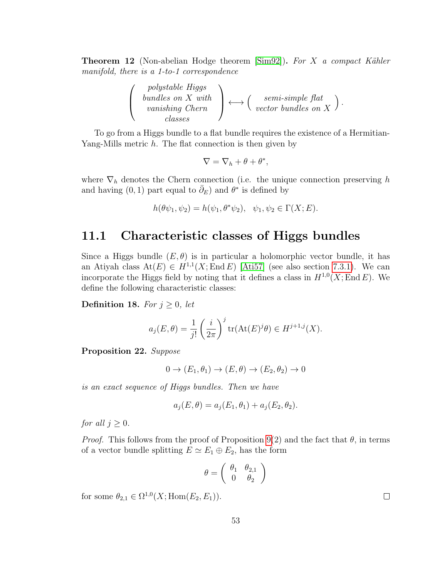<span id="page-57-1"></span>**Theorem 12** (Non-abelian Hodge theorem  $[\text{Sim}92]$ ). For X a compact Kähler manifold, there is a 1-to-1 correspondence

$$
\left(\begin{array}{c} \text{polystable Higgs} \\ \text{bundles on } X \text{ with} \\ \text{vanishing Chern} \\ \text{classes} \end{array}\right) \longleftrightarrow \left(\begin{array}{c} semi-simple flat \\ \text{vector bundles on } X \end{array}\right)
$$

.

To go from a Higgs bundle to a flat bundle requires the existence of a Hermitian-Yang-Mills metric h. The flat connection is then given by

$$
\nabla = \nabla_h + \theta + \theta^*,
$$

where  $\nabla_h$  denotes the Chern connection (i.e. the unique connection preserving h and having  $(0, 1)$  part equal to  $\bar{\partial}_E$ ) and  $\theta^*$  is defined by

$$
h(\theta \psi_1, \psi_2) = h(\psi_1, \theta^* \psi_2), \quad \psi_1, \psi_2 \in \Gamma(X; E).
$$

### <span id="page-57-0"></span>11.1 Characteristic classes of Higgs bundles

Since a Higgs bundle  $(E, \theta)$  is in particular a holomorphic vector bundle, it has an Atiyah class  $At(E) \in H^{1,1}(X;\text{End }E)$  [\[Ati57\]](#page-68-3) (see also section [7.3.1\)](#page-33-1). We can incorporate the Higgs field by noting that it defines a class in  $H^{1,0}(X; \text{End } E)$ . We define the following characteristic classes:

**Definition 18.** For  $j \geq 0$ , let

$$
a_j(E,\theta) = \frac{1}{j!} \left(\frac{i}{2\pi}\right)^j \text{tr}(\text{At}(E)^j \theta) \in H^{j+1,j}(X).
$$

Proposition 22. Suppose

$$
0 \to (E_1, \theta_1) \to (E, \theta) \to (E_2, \theta_2) \to 0
$$

is an exact sequence of Higgs bundles. Then we have

$$
a_j(E, \theta) = a_j(E_1, \theta_1) + a_j(E_2, \theta_2).
$$

for all  $j \geq 0$ .

*Proof.* This follows from the proof of Proposition [9\(](#page-34-0)2) and the fact that  $\theta$ , in terms of a vector bundle splitting  $E \simeq E_1 \oplus E_2$ , has the form

$$
\theta = \left(\begin{array}{cc} \theta_1 & \theta_{2,1} \\ 0 & \theta_2 \end{array}\right)
$$

for some  $\theta_{2,1} \in \Omega^{1,0}(X; \text{Hom}(E_2, E_1)).$ 

 $\Box$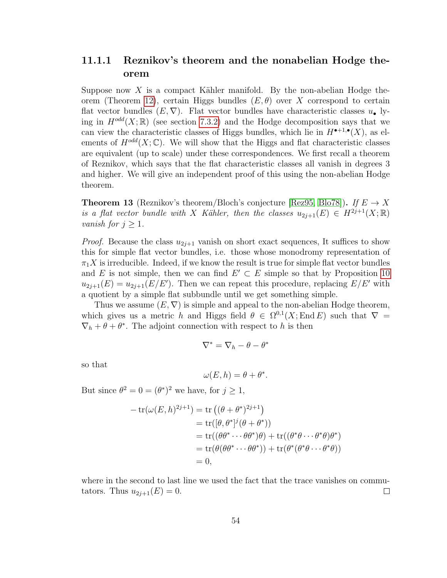### <span id="page-58-0"></span>11.1.1 Reznikov's theorem and the nonabelian Hodge theorem

Suppose now X is a compact Kähler manifold. By the non-abelian Hodge the-orem (Theorem [12\)](#page-57-1), certain Higgs bundles  $(E, \theta)$  over X correspond to certain flat vector bundles  $(E, \nabla)$ . Flat vector bundles have characteristic classes  $u_{\bullet}$  lying in  $H^{odd}(X;\mathbb{R})$  (see section [7.3.2\)](#page-35-0) and the Hodge decomposition says that we can view the characteristic classes of Higgs bundles, which lie in  $H^{\bullet+1,\bullet}(X)$ , as elements of  $H^{odd}(X;\mathbb{C})$ . We will show that the Higgs and flat characteristic classes are equivalent (up to scale) under these correspondences. We first recall a theorem of Reznikov, which says that the flat characteristic classes all vanish in degrees 3 and higher. We will give an independent proof of this using the non-abelian Hodge theorem.

<span id="page-58-1"></span>**Theorem 13** (Reznikov's theorem/Bloch's conjecture [\[Rez95,](#page-70-12) [Blo78\]](#page-68-9)). If  $E \to X$ is a flat vector bundle with X Kähler, then the classes  $u_{2i+1}(E) \in H^{2i+1}(X;\mathbb{R})$ *vanish for*  $j \geq 1$ .

*Proof.* Because the class  $u_{2j+1}$  vanish on short exact sequences, It suffices to show this for simple flat vector bundles, i.e. those whose monodromy representation of  $\pi_1 X$  is irreducible. Indeed, if we know the result is true for simple flat vector bundles and E is not simple, then we can find  $E' \subset E$  simple so that by Proposition [10](#page-35-1)  $u_{2j+1}(E) = u_{2j+1}(E/E')$ . Then we can repeat this procedure, replacing  $E/E'$  with a quotient by a simple flat subbundle until we get something simple.

Thus we assume  $(E, \nabla)$  is simple and appeal to the non-abelian Hodge theorem, which gives us a metric h and Higgs field  $\theta \in \Omega^{0,1}(X;\text{End }E)$  such that  $\nabla =$  $\nabla_h + \theta + \theta^*$ . The adjoint connection with respect to h is then

$$
\nabla^* = \nabla_h - \theta - \theta^*
$$

so that

$$
\omega(E, h) = \theta + \theta^*.
$$

But since  $\theta^2 = 0 = (\theta^*)^2$  we have, for  $j \ge 1$ ,

$$
- tr(\omega(E, h)^{2j+1}) = tr ((\theta + \theta^*)^{2j+1})
$$
  
= tr( $[\theta, \theta^*]^j (\theta + \theta^*)$ )  
= tr( $(\theta\theta^* \cdots \theta\theta^*)\theta$ ) + tr( $(\theta^*\theta \cdots \theta^*\theta)\theta^*$ )  
= tr( $\theta(\theta\theta^* \cdots \theta\theta^*)$ ) + tr( $\theta^*(\theta^*\theta \cdots \theta^*\theta)$ )  
= 0,

where in the second to last line we used the fact that the trace vanishes on commutators. Thus  $u_{2j+1}(E) = 0$ .  $\Box$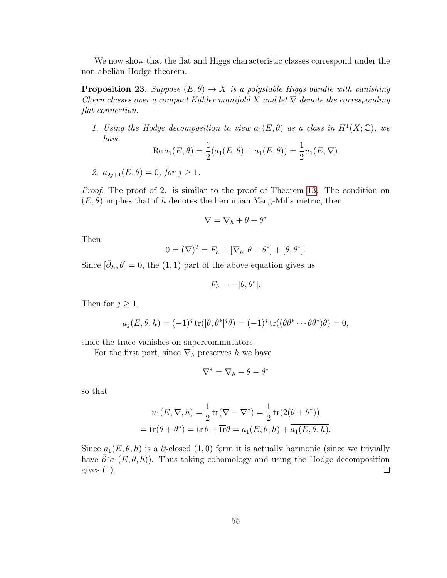We now show that the flat and Higgs characteristic classes correspond under the non-abelian Hodge theorem.

**Proposition 23.** Suppose  $(E, \theta) \rightarrow X$  is a polystable Higgs bundle with vanishing Chern classes over a compact Kähler manifold X and let  $\nabla$  denote the corresponding flat connection.

1. Using the Hodge decomposition to view  $a_1(E, \theta)$  as a class in  $H^1(X; \mathbb{C})$ , we have

Re 
$$
a_1(E, \theta) = \frac{1}{2}(a_1(E, \theta) + \overline{a_1(E, \theta)}) = \frac{1}{2}u_1(E, \nabla).
$$

2.  $a_{2i+1}(E, \theta) = 0$ , for  $i > 1$ .

Proof. The proof of 2. is similar to the proof of Theorem [13.](#page-58-1) The condition on  $(E, \theta)$  implies that if h denotes the hermitian Yang-Mills metric, then

$$
\nabla = \nabla_h + \theta + \theta^*
$$

Then

$$
0 = (\nabla)^2 = F_h + [\nabla_h, \theta + \theta^*] + [\theta, \theta^*].
$$

Since  $[\bar{\partial}_E, \theta] = 0$ , the (1, 1) part of the above equation gives us

$$
F_h = -[\theta, \theta^*].
$$

Then for  $j \geq 1$ ,

$$
a_j(E, \theta, h) = (-1)^j \operatorname{tr}([\theta, \theta^*]^j \theta) = (-1)^j \operatorname{tr}((\theta \theta^* \cdots \theta \theta^*) \theta) = 0,
$$

since the trace vanishes on supercommutators.

For the first part, since  $\nabla_h$  preserves h we have

$$
\nabla^*=\nabla_h-\theta-\theta^*
$$

so that

$$
u_1(E, \nabla, h) = \frac{1}{2} \operatorname{tr}(\nabla - \nabla^*) = \frac{1}{2} \operatorname{tr}(2(\theta + \theta^*))
$$
  
=  $\operatorname{tr}(\theta + \theta^*) = \operatorname{tr} \theta + \overline{\operatorname{tr}} \theta = a_1(E, \theta, h) + \overline{a_1(E, \theta, h)}.$ 

Since  $a_1(E, \theta, h)$  is a  $\bar{\partial}$ -closed (1,0) form it is actually harmonic (since we trivially have  $\bar{\partial}^* a_1(E, \theta, h)$ . Thus taking cohomology and using the Hodge decomposition gives  $(1)$ .  $\Box$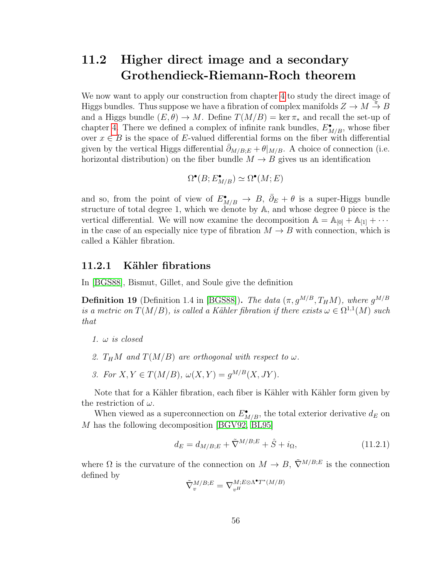### <span id="page-60-0"></span>11.2 Higher direct image and a secondary Grothendieck-Riemann-Roch theorem

We now want to apply our construction from chapter [4](#page-16-0) to study the direct image of Higgs bundles. Thus suppose we have a fibration of complex manifolds  $Z \to M \stackrel{\pi}{\to} B$ and a Higgs bundle  $(E, \theta) \to M$ . Define  $T(M/B) = \ker \pi_*$  and recall the set-up of chapter [4.](#page-16-0) There we defined a complex of infinite rank bundles,  $E_{M/B}^{\bullet}$ , whose fiber over  $x \in B$  is the space of E-valued differential forms on the fiber with differential given by the vertical Higgs differential  $\partial_{M/B:E} + \theta|_{M/B}$ . A choice of connection (i.e. horizontal distribution) on the fiber bundle  $M \to B$  gives us an identification

$$
\Omega^{\bullet}(B; E^{\bullet}_{M/B}) \simeq \Omega^{\bullet}(M; E)
$$

and so, from the point of view of  $E_{M/B}^{\bullet} \to B$ ,  $\bar{\partial}_E + \theta$  is a super-Higgs bundle structure of total degree 1, which we denote by A, and whose degree 0 piece is the vertical differential. We will now examine the decomposition  $A = A_{[0]} + A_{[1]} + \cdots$ in the case of an especially nice type of fibration  $M \to B$  with connection, which is called a Kähler fibration.

### <span id="page-60-1"></span>11.2.1 Kähler fibrations

In [\[BGS88\]](#page-68-5), Bismut, Gillet, and Soule give the definition

**Definition 19** (Definition 1.4 in [\[BGS88\]](#page-68-5)). The data  $(\pi, g^{M/B}, T_H M)$ , where  $g^{M/B}$ is a metric on  $T(M/B)$ , is called a Kähler fibration if there exists  $\omega \in \Omega^{1,1}(M)$  such that

- 2.  $T_H M$  and  $T(M/B)$  are orthogonal with respect to  $\omega$ .
- 3. For  $X, Y \in T(M/B)$ ,  $\omega(X, Y) = g^{M/B}(X, JY)$ .

Note that for a Kähler fibration, each fiber is Kähler with Kähler form given by the restriction of  $\omega$ .

When viewed as a superconnection on  $E_{M/B}^{\bullet}$ , the total exterior derivative  $d_E$  on M has the following decomposition [\[BGV92,](#page-68-6) [BL95\]](#page-68-0)

<span id="page-60-2"></span>
$$
d_E = d_{M/B;E} + \tilde{\nabla}^{M/B;E} + \hat{S} + i_{\Omega},
$$
\n(11.2.1)

where  $\Omega$  is the curvature of the connection on  $M \to B$ ,  $\tilde{\nabla}^{M/B;E}$  is the connection defined by

$$
\tilde{\nabla}_{v}^{M/B;E} = \nabla_{v^H}^{M;E \otimes \Lambda^\bullet T^\ast(M/B)}
$$

<sup>1.</sup>  $\omega$  is closed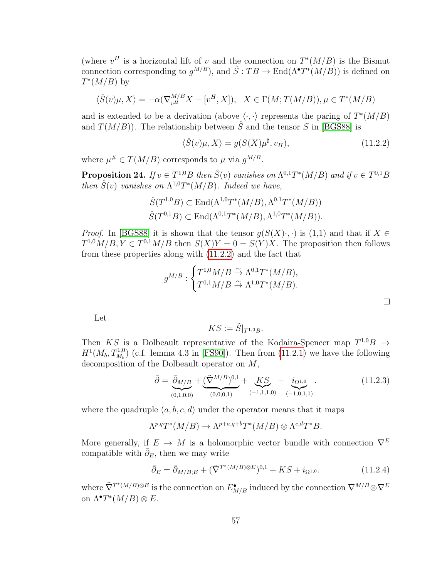(where  $v^H$  is a horizontal lift of v and the connection on  $T^*(M/B)$  is the Bismut connection corresponding to  $g^{M/B}$ , and  $\hat{S}: TB \to \text{End}(\Lambda^{\bullet} T^{*}(M/B))$  is defined on  $T^*(M/B)$  by

$$
\langle \hat{S}(v)\mu, X \rangle = -\alpha(\nabla_{v^H}^{M/B} X - [v^H, X]), \quad X \in \Gamma(M; T(M/B)), \mu \in T^*(M/B)
$$

and is extended to be a derivation (above  $\langle \cdot, \cdot \rangle$  represents the paring of  $T^*(M/B)$ and  $T(M/B)$ . The relationship between  $\hat{S}$  and the tensor S in [\[BGS88\]](#page-68-5) is

<span id="page-61-0"></span>
$$
\langle \hat{S}(v)\mu, X \rangle = g(S(X)\mu^{\sharp}, v_H), \qquad (11.2.2)
$$

where  $\mu^{\#} \in T(M/B)$  corresponds to  $\mu$  via  $g^{M/B}$ .

**Proposition 24.** If  $v \in T^{1,0}B$  then  $\hat{S}(v)$  vanishes on  $\Lambda^{0,1}T^*(M/B)$  and if  $v \in T^{0,1}B$ then  $\hat{S}(v)$  vanishes on  $\Lambda^{1,0}T^*(M/B)$ . Indeed we have,

$$
\hat{S}(T^{1,0}B) \subset \text{End}(\Lambda^{1,0}T^*(M/B), \Lambda^{0,1}T^*(M/B))
$$
  

$$
\hat{S}(T^{0,1}B) \subset \text{End}(\Lambda^{0,1}T^*(M/B), \Lambda^{1,0}T^*(M/B)).
$$

*Proof.* In [\[BGS88\]](#page-68-5) it is shown that the tensor  $g(S(X)\cdot, \cdot)$  is (1,1) and that if  $X \in$  $T^{1,0}M/B, Y \in T^{0,1}M/B$  then  $S(X)Y = 0 = S(Y)X$ . The proposition then follows from these properties along with [\(11.2.2\)](#page-61-0) and the fact that

$$
g^{M/B}: \begin{cases} T^{1,0}M/B \stackrel{\sim}{\rightarrow} \Lambda^{0,1}T^*(M/B), \\ T^{0,1}M/B \stackrel{\sim}{\rightarrow} \Lambda^{1,0}T^*(M/B). \end{cases}
$$

Let

$$
KS:=\hat{S}|_{T^{1,0}B}.
$$

Then KS is a Dolbeault representative of the Kodaira-Spencer map  $T^{1,0}B \rightarrow$  $H^1(M_b, T_{M_b}^{1,0})$  (c.f. lemma 4.3 in [\[FS90\]](#page-69-13)). Then from [\(11.2.1\)](#page-60-2) we have the following decomposition of the Dolbeault operator on M,

<span id="page-61-2"></span>
$$
\bar{\partial} = \underbrace{\bar{\partial}_{M/B}}_{(0,1,0,0)} + \underbrace{(\tilde{\nabla}^{M/B})^{0,1}}_{(0,0,0,1)} + \underbrace{KS}_{(-1,1,1,0)} + \underbrace{i_{\Omega^{1,0}}}_{(-1,0,1,1)}.
$$
\n(11.2.3)

where the quadruple  $(a, b, c, d)$  under the operator means that it maps

$$
\Lambda^{p,q}T^*(M/B) \to \Lambda^{p+a,q+b}T^*(M/B) \otimes \Lambda^{c,d}T^*B.
$$

More generally, if  $E \to M$  is a holomorphic vector bundle with connection  $\nabla^E$ compatible with  $\bar{\partial}_E$ , then we may write

<span id="page-61-1"></span>
$$
\bar{\partial}_E = \bar{\partial}_{M/B;E} + (\tilde{\nabla}^{T^*(M/B)\otimes E})^{0,1} + KS + i_{\Omega^{1,0}}.
$$
\n(11.2.4)

where  $\tilde{\nabla}^{T^*(M/B)\otimes E}$  is the connection on  $E_{M/B}^{\bullet}$  induced by the connection  $\nabla^{M/B}\otimes\nabla^E$ on  $\Lambda^{\bullet}T^{*}(M/B)\otimes E$ .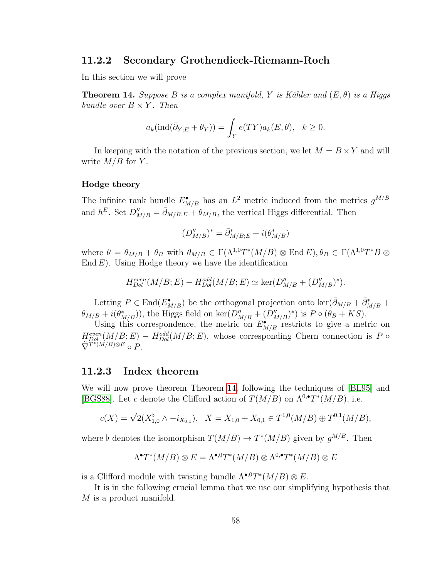### <span id="page-62-0"></span>11.2.2 Secondary Grothendieck-Riemann-Roch

In this section we will prove

<span id="page-62-2"></span>**Theorem 14.** Suppose B is a complex manifold, Y is Kähler and  $(E, \theta)$  is a Higgs bundle over  $B \times Y$ . Then

$$
a_k(\text{ind}(\bar{\partial}_{Y;E} + \theta_Y)) = \int_Y e(TY)a_k(E, \theta), \quad k \ge 0.
$$

In keeping with the notation of the previous section, we let  $M = B \times Y$  and will write  $M/B$  for Y.

#### Hodge theory

The infinite rank bundle  $E_{M/B}^{\bullet}$  has an  $L^2$  metric induced from the metrics  $g^{M/B}$ and  $h^E$ . Set  $D''_{M/B} = \bar{\partial}_{M/B;E} + \theta_{M/B}$ , the vertical Higgs differential. Then

$$
(D''_{M/B})^* = \bar{\partial}^*_{M/B;E} + i(\theta^*_{M/B})
$$

where  $\theta = \theta_{M/B} + \theta_B$  with  $\theta_{M/B} \in \Gamma(\Lambda^{1,0}T^*(M/B) \otimes \text{End } E), \theta_B \in \Gamma(\Lambda^{1,0}T^*B \otimes E)$ End  $E$ ). Using Hodge theory we have the identification

$$
H_{Dol}^{even}(M/B; E) - H_{Dol}^{odd}(M/B; E) \simeq \ker(D''_{M/B} + (D''_{M/B})^*).
$$

Letting  $P \in \text{End}(E_{M/B}^{\bullet})$  be the orthogonal projection onto ker $(\bar{\partial}_{M/B} + \bar{\partial}_{M/B}^* +$  $\theta_{M/B} + i(\theta^*_{M/B}))$ , the Higgs field on ker $(D''_{M/B} + (D''_{M/B})^*)$  is  $P \circ (\theta_B + KS)$ .

Using this correspondence, the metric on  $E_{M/B}^{\bullet}$  restricts to give a metric on  $H_{Dol}^{even}(M/B; E) - H_{Dol}^{odd}(M/B; E)$ , whose corresponding Chern connection is P  $\circ$  $\tilde{\nabla}^{\widetilde{T}^{*}(M/B)\otimes E} \circ P.$ 

### <span id="page-62-1"></span>11.2.3 Index theorem

We will now prove theorem Theorem [14,](#page-62-2) following the techniques of [\[BL95\]](#page-68-0) and [\[BGS88\]](#page-68-5). Let c denote the Clifford action of  $T(M/B)$  on  $\Lambda^{0,\bullet}T^*(M/B)$ , i.e.

$$
c(X) = \sqrt{2}(X_{1,0}^{\flat} \wedge -i_{X_{0,1}}), \quad X = X_{1,0} + X_{0,1} \in T^{1,0}(M/B) \oplus T^{0,1}(M/B),
$$

where b denotes the isomorphism  $T(M/B) \to T^*(M/B)$  given by  $g^{M/B}$ . Then

$$
\Lambda^{\bullet}T^{*}(M/B)\otimes E=\Lambda^{\bullet,0}T^{*}(M/B)\otimes \Lambda^{0,\bullet}T^{*}(M/B)\otimes E
$$

is a Clifford module with twisting bundle  $\Lambda^{\bullet,0}T^*(M/B)\otimes E$ .

It is in the following crucial lemma that we use our simplifying hypothesis that M is a product manifold.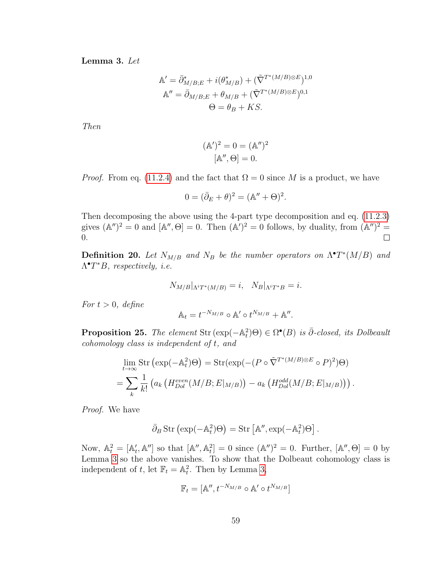<span id="page-63-0"></span>Lemma 3. Let

$$
\mathbb{A}' = \bar{\partial}_{M/B;E}^* + i(\theta_{M/B}^*) + (\tilde{\nabla}^{T^*(M/B)\otimes E})^{1,0}
$$

$$
\mathbb{A}'' = \bar{\partial}_{M/B;E} + \theta_{M/B} + (\tilde{\nabla}^{T^*(M/B)\otimes E})^{0,1}
$$

$$
\Theta = \theta_B + KS.
$$

Then

$$
(\mathbb{A}')^2 = 0 = (\mathbb{A}'')^2
$$
  
 $[\mathbb{A}'', \Theta] = 0.$ 

*Proof.* From eq. [\(11.2.4\)](#page-61-1) and the fact that  $\Omega = 0$  since M is a product, we have

$$
0 = (\bar{\partial}_E + \theta)^2 = (\mathbb{A}'' + \Theta)^2.
$$

Then decomposing the above using the 4-part type decomposition and eq. [\(11.2.3\)](#page-61-2) gives  $(\mathbb{A}'')^2 = 0$  and  $[\mathbb{A}'', \Theta] = 0$ . Then  $(\mathbb{A}')^2 = 0$  follows, by duality, from  $(\mathbb{A}'')^2 =$ 0.  $\Box$ 

**Definition 20.** Let  $N_{M/B}$  and  $N_B$  be the number operators on  $\Lambda^{\bullet}T^*(M/B)$  and  $\Lambda^{\bullet}T^*B$ , respectively, i.e.

$$
N_{M/B}|_{\Lambda^{i}T^{*}(M/B)} = i, \quad N_{B}|_{\Lambda^{i}T^{*}B} = i.
$$

For  $t > 0$ , define

$$
\mathbb{A}_t = t^{-N_{M/B}} \circ \mathbb{A}' \circ t^{N_{M/B}} + \mathbb{A}''.
$$

<span id="page-63-1"></span>**Proposition 25.** The element Str  $(\exp(-\mathbb{A}_t^2)\Theta) \in \Omega^{\bullet}(B)$  is  $\overline{\partial}$ -closed, its Dolbeault cohomology class is independent of t, and

$$
\lim_{t \to \infty} \text{Str} \left( \exp(-\mathbb{A}_t^2) \Theta \right) = \text{Str} \left( \exp(-(P \circ \tilde{\nabla}^{T^*(M/B) \otimes E} \circ P)^2) \Theta \right)
$$

$$
= \sum_k \frac{1}{k!} \left( a_k \left( H_{Dol}^{even}(M/B; E|_{M/B}) \right) - a_k \left( H_{Dol}^{odd}(M/B; E|_{M/B}) \right) \right).
$$

Proof. We have

$$
\bar{\partial}_B \operatorname{Str} \left( \exp(-\mathbb{A}_t^2) \Theta \right) = \operatorname{Str} \left[ \mathbb{A}^{\prime \prime}, \exp(-\mathbb{A}_t^2) \Theta \right].
$$

Now,  $\mathbb{A}_t^2 = [\mathbb{A}'_t, \mathbb{A}'']$  so that  $[\mathbb{A}'', \mathbb{A}_t^2] = 0$  since  $(\mathbb{A}'')^2 = 0$ . Further,  $[\mathbb{A}'', \Theta] = 0$  by Lemma [3](#page-63-0) so the above vanishes. To show that the Dolbeaut cohomology class is independent of t, let  $\mathbb{F}_t = \mathbb{A}_t^2$ . Then by Lemma [3,](#page-63-0)

$$
\mathbb{F}_t = [\mathbb{A}'', t^{-N_{M/B}} \circ \mathbb{A}' \circ t^{N_{M/B}}]
$$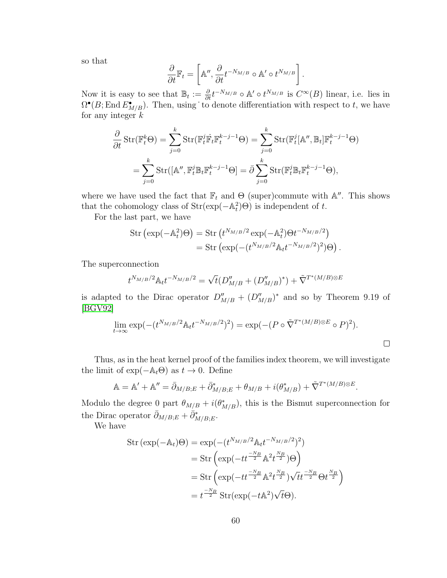so that

$$
\frac{\partial}{\partial t}\mathbb{F}_t = \left[\mathbb{A}'', \frac{\partial}{\partial t}t^{-N_{M/B}} \circ \mathbb{A}' \circ t^{N_{M/B}}\right].
$$

Now it is easy to see that  $\mathbb{B}_t := \frac{\partial}{\partial t} t^{-N_{M/B}} \circ \mathbb{A}' \circ t^{N_{M/B}}$  is  $C^{\infty}(B)$  linear, i.e. lies in  $\Omega^{\bullet}(B; \text{End } E^{\bullet}_{M/B})$ . Then, using to denote differentiation with respect to t, we have for any integer  $k$ 

$$
\frac{\partial}{\partial t} \operatorname{Str}(\mathbb{F}_t^k \Theta) = \sum_{j=0}^k \operatorname{Str}(\mathbb{F}_t^j \dot{\mathbb{F}}_t \mathbb{F}_t^{k-j-1} \Theta) = \sum_{j=0}^k \operatorname{Str}(\mathbb{F}_t^j [\mathbb{A}'', \mathbb{B}_t] \mathbb{F}_t^{k-j-1} \Theta)
$$

$$
= \sum_{j=0}^k \operatorname{Str}([\mathbb{A}'', \mathbb{F}_t^j \mathbb{B}_t \mathbb{F}_t^{k-j-1} \Theta] = \bar{\partial} \sum_{j=0}^k \operatorname{Str}(\mathbb{F}_t^j \mathbb{B}_t \mathbb{F}_t^{k-j-1} \Theta),
$$

where we have used the fact that  $\mathbb{F}_t$  and  $\Theta$  (super)commute with  $\mathbb{A}''$ . This shows that the cohomology class of  $Str(exp(-\mathbb{A}_t^2)\Theta)$  is independent of t.

For the last part, we have

$$
\begin{split} \text{Str} \left( \exp(-\mathbb{A}_t^2) \Theta \right) &= \text{Str} \left( t^{N_{M/B}/2} \exp(-\mathbb{A}_t^2) \Theta t^{-N_{M/B}/2} \right) \\ &= \text{Str} \left( \exp(- (t^{N_{M/B}/2} \mathbb{A}_t t^{-N_{M/B}/2})^2) \Theta \right). \end{split}
$$

The superconnection

$$
t^{N_{M/B}/2} \mathbb{A}_t t^{-N_{M/B}/2} = \sqrt{t} (D''_{M/B} + (D''_{M/B})^*) + \tilde{\nabla}^{T^*(M/B) \otimes E}
$$

is adapted to the Dirac operator  $D''_{M/B} + (D''_{M/B})^*$  and so by Theorem 9.19 of [\[BGV92\]](#page-68-6)

$$
\lim_{t \to \infty} \exp(-(t^{N_{M/B}/2} \mathbb{A}_t t^{-N_{M/B}/2})^2) = \exp(-(P \circ \tilde{\nabla}^{T^*(M/B) \otimes E} \circ P)^2).
$$

Thus, as in the heat kernel proof of the families index theorem, we will investigate the limit of  $\exp(-\mathbb{A}_t\Theta)$  as  $t \to 0$ . Define

$$
\mathbb{A} = \mathbb{A}' + \mathbb{A}'' = \bar{\partial}_{M/B;E} + \bar{\partial}_{M/B;E}^* + \theta_{M/B} + i(\theta_{M/B}^*) + \tilde{\nabla}^{T^*(M/B)\otimes E}.
$$

Modulo the degree 0 part  $\theta_{M/B} + i(\theta_{M/B}^*)$ , this is the Bismut superconnection for the Dirac operator  $\bar{\partial}_{M/B;E} + \bar{\partial}_{M/B;E}^*$ .

We have

$$
\begin{split} \text{Str}\left(\exp(-\mathbb{A}_{t})\Theta\right) &= \exp(-(t^{N_{M/B}/2}\mathbb{A}_{t}t^{-N_{M/B}/2})^{2}) \\ &= \text{Str}\left(\exp(-tt^{\frac{-N_{B}}{2}}\mathbb{A}^{2}t^{\frac{N_{B}}{2}})\Theta\right) \\ &= \text{Str}\left(\exp(-tt^{\frac{-N_{B}}{2}}\mathbb{A}^{2}t^{\frac{N_{B}}{2}})\sqrt{t}t^{\frac{-N_{B}}{2}}\Theta t^{\frac{N_{B}}{2}}\right) \\ &= t^{\frac{-N_{B}}{2}}\text{Str}(\exp(-t\mathbb{A}^{2})\sqrt{t}\Theta). \end{split}
$$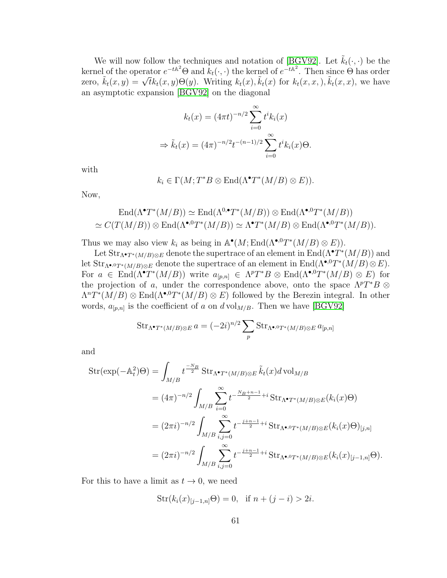We will now follow the techniques and notation of [\[BGV92\]](#page-68-6). Let  $\tilde{k}_t(\cdot, \cdot)$  be the kernel of the operator  $e^{-t\mathbb{A}^2}\Theta$  and  $k_t(\cdot,\cdot)$  the kernel of  $e^{-t\mathbb{A}^2}$ . Then since  $\Theta$  has order  $\tilde{k}_t(x, y) = \sqrt{t}k_t(x, y)\Theta(y)$ . Writing  $k_t(x), \tilde{k}_t(x)$  for  $k_t(x, x), \tilde{k}_t(x, x)$ , we have an asymptotic expansion [\[BGV92\]](#page-68-6) on the diagonal

$$
k_t(x) = (4\pi t)^{-n/2} \sum_{i=0}^{\infty} t^i k_i(x)
$$
  
\n
$$
\Rightarrow \tilde{k}_t(x) = (4\pi)^{-n/2} t^{-(n-1)/2} \sum_{i=0}^{\infty} t^i k_i(x) \Theta.
$$

with

$$
k_i \in \Gamma(M; T^*B \otimes \text{End}(\Lambda^\bullet T^*(M/B) \otimes E)).
$$

Now,

$$
\operatorname{End}(\Lambda^{\bullet}T^*(M/B)) \simeq \operatorname{End}(\Lambda^{0,\bullet}T^*(M/B)) \otimes \operatorname{End}(\Lambda^{\bullet,0}T^*(M/B))
$$
  

$$
\simeq C(T(M/B)) \otimes \operatorname{End}(\Lambda^{\bullet,0}T^*(M/B)) \simeq \Lambda^{\bullet}T^*(M/B) \otimes \operatorname{End}(\Lambda^{\bullet,0}T^*(M/B)).
$$

Thus we may also view  $k_i$  as being in  $\mathbb{A}^{\bullet}(M; \text{End}(\Lambda^{\bullet,0}T^*(M/B) \otimes E)).$ 

Let  $\text{Str}_{\Lambda^{\bullet}T^{*}(M/B)\otimes E}$  denote the supertrace of an element in  $\text{End}(\Lambda^{\bullet}T^{*}(M/B))$  and let  $\text{Str}_{\Lambda^{\bullet,0}T^*(M/B)\otimes E}$  denote the supertrace of an element in  $\text{End}(\Lambda^{\bullet,0}T^*(M/B)\otimes E)$ . For  $a \in \text{End}(\Lambda^{\bullet}T^*(M/B))$  write  $a_{[p,n]} \in \Lambda^pT^*B \otimes \text{End}(\Lambda^{\bullet,0}T^*(M/B) \otimes E)$  for the projection of a, under the correspondence above, onto the space  $\Lambda^pT^*B$  ⊗  $\Lambda^n T^*(M/B) \otimes \text{End}(\Lambda^{\bullet,0} T^*(M/B) \otimes E)$  followed by the Berezin integral. In other words,  $a_{[p,n]}$  is the coefficient of a on  $d \text{vol}_{M/B}$ . Then we have [\[BGV92\]](#page-68-6)

$$
\operatorname{Str}_{\Lambda^{\bullet}T^*(M/B)\otimes E}a = (-2i)^{n/2} \sum_{p} \operatorname{Str}_{\Lambda^{\bullet,0}T^*(M/B)\otimes E} a_{[p,n]}
$$

and

$$
\begin{split} \text{Str}(\exp(-\mathbb{A}_{t}^{2})\Theta) &= \int_{M/B} t^{\frac{-N_{B}}{2}} \text{Str}_{\Lambda^{\bullet}T^{*}(M/B)\otimes E} \, \tilde{k}_{t}(x) d \, \text{vol}_{M/B} \\ &= (4\pi)^{-n/2} \int_{M/B} \sum_{i=0}^{\infty} t^{-\frac{N_{B}+n-1}{2}+i} \, \text{Str}_{\Lambda^{\bullet}T^{*}(M/B)\otimes E}(k_{i}(x)\Theta) \\ &= (2\pi i)^{-n/2} \int_{M/B} \sum_{i,j=0}^{\infty} t^{-\frac{j+n-1}{2}+i} \, \text{Str}_{\Lambda^{\bullet,0}T^{*}(M/B)\otimes E}(k_{i}(x)\Theta)_{[j,n]} \\ &= (2\pi i)^{-n/2} \int_{M/B} \sum_{i,j=0}^{\infty} t^{-\frac{j+n-1}{2}+i} \, \text{Str}_{\Lambda^{\bullet,0}T^{*}(M/B)\otimes E}(k_{i}(x)_{[j-1,n]}\Theta). \end{split}
$$

For this to have a limit as  $t \to 0$ , we need

$$
Str(k_i(x)_{[j-1,n]}\Theta) = 0, \text{ if } n + (j - i) > 2i.
$$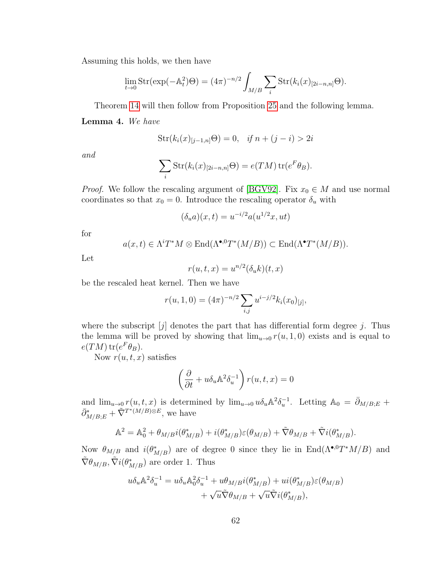Assuming this holds, we then have

$$
\lim_{t \to 0} \operatorname{Str}(\exp(-\mathbb{A}_t^2)\Theta) = (4\pi)^{-n/2} \int_{M/B} \sum_i \operatorname{Str}(k_i(x)_{[2i-n,n]} \Theta).
$$

Theorem [14](#page-62-2) will then follow from Proposition [25](#page-63-1) and the following lemma.

Lemma 4. We have

$$
Str(k_i(x)_{[j-1,n]}\Theta) = 0, \quad if \ n + (j - i) > 2i
$$

and

$$
\sum_{i} Str(k_i(x)_{[2i-n,n]}\Theta) = e(TM) tr(e^F \theta_B).
$$

*Proof.* We follow the rescaling argument of [\[BGV92\]](#page-68-6). Fix  $x_0 \in M$  and use normal coordinates so that  $x_0 = 0$ . Introduce the rescaling operator  $\delta_u$  with

$$
(\delta_u a)(x,t) = u^{-i/2} a(u^{1/2}x, ut)
$$

for

$$
a(x,t) \in \Lambda^i T^*M \otimes \text{End}(\Lambda^{\bullet,0} T^*(M/B)) \subset \text{End}(\Lambda^{\bullet} T^*(M/B)).
$$

Let

$$
r(u, t, x) = u^{n/2}(\delta_u k)(t, x)
$$

be the rescaled heat kernel. Then we have

$$
r(u, 1, 0) = (4\pi)^{-n/2} \sum_{i,j} u^{i-j/2} k_i(x_0)_{[j]},
$$

where the subscript  $[j]$  denotes the part that has differential form degree j. Thus the lemma will be proved by showing that  $\lim_{u\to 0} r(u, 1, 0)$  exists and is equal to  $e(TM) \operatorname{tr}(e^F \theta_B).$ 

Now  $r(u, t, x)$  satisfies

$$
\left(\frac{\partial}{\partial t} + u \delta_u \mathbb{A}^2 \delta_u^{-1}\right) r(u, t, x) = 0
$$

and  $\lim_{u\to 0} r(u, t, x)$  is determined by  $\lim_{u\to 0} u \delta_u \mathbb{A}^2 \delta_u^{-1}$ . Letting  $\mathbb{A}_0 = \overline{\partial}_{M/B;E}$  +  $\bar{\partial}_{M/B;\bar{E}}^* + \tilde{\nabla}^{T^*(M/B)\otimes E}$ , we have

$$
\mathbb{A}^2 = \mathbb{A}_0^2 + \theta_{M/B} i(\theta_{M/B}^*) + i(\theta_{M/B}^*) \varepsilon(\theta_{M/B}) + \tilde{\nabla}\theta_{M/B} + \tilde{\nabla}i(\theta_{M/B}^*).
$$

Now  $\theta_{M/B}$  and  $i(\theta^*_{M/B})$  are of degree 0 since they lie in End( $\Lambda^{\bullet,0}T^*M/B$ ) and  $\tilde{\nabla} \theta_{M/B}, \tilde{\nabla} i(\theta^*_{M/B})$  are order 1. Thus

$$
u\delta_u\mathbb{A}^2\delta_u^{-1} = u\delta_u\mathbb{A}_0^2\delta_u^{-1} + u\theta_{M/B}i(\theta_{M/B}^*) + ui(\theta_{M/B}^*)\varepsilon(\theta_{M/B})
$$
  
+  $\sqrt{u}\tilde{\nabla}\theta_{M/B} + \sqrt{u}\tilde{\nabla}i(\theta_{M/B}^*),$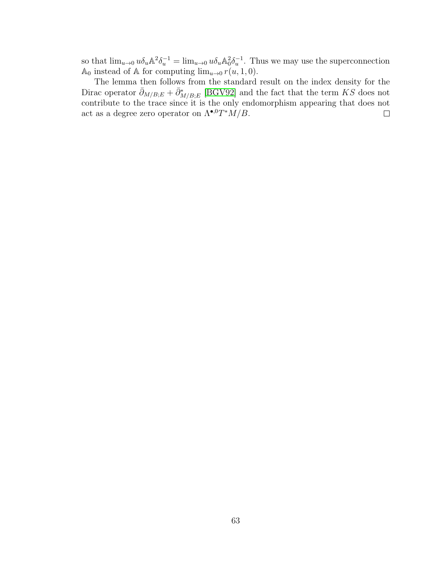so that  $\lim_{u\to 0} u \delta_u \mathbb{A}^2 \delta_u^{-1} = \lim_{u\to 0} u \delta_u \mathbb{A}^2 \delta_u^{-1}$ . Thus we may use the superconnection A<sub>0</sub> instead of A for computing  $\lim_{u\to 0} r(u, 1, 0)$ .

The lemma then follows from the standard result on the index density for the Dirac operator  $\bar{\partial}_{M/B;E} + \bar{\partial}_{M/B;E}^*$  [\[BGV92\]](#page-68-6) and the fact that the term KS does not contribute to the trace since it is the only endomorphism appearing that does not act as a degree zero operator on  $\Lambda^{\bullet,0}T^*M/B$ .  $\Box$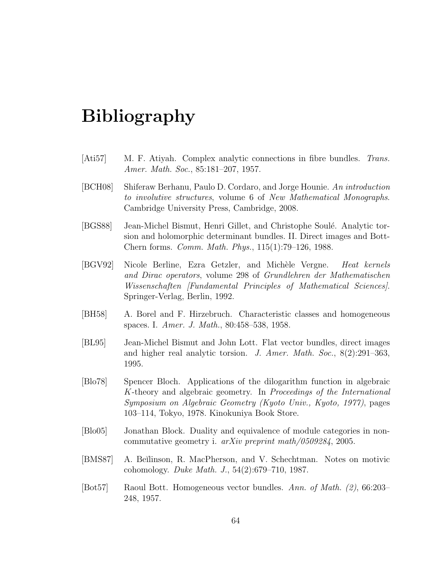### Bibliography

- <span id="page-68-3"></span>[Ati57] M. F. Atiyah. Complex analytic connections in fibre bundles. Trans. Amer. Math. Soc., 85:181–207, 1957.
- <span id="page-68-1"></span>[BCH08] Shiferaw Berhanu, Paulo D. Cordaro, and Jorge Hounie. An introduction to involutive structures, volume 6 of New Mathematical Monographs. Cambridge University Press, Cambridge, 2008.
- <span id="page-68-5"></span>[BGS88] Jean-Michel Bismut, Henri Gillet, and Christophe Soulé. Analytic torsion and holomorphic determinant bundles. II. Direct images and Bott-Chern forms. Comm. Math. Phys., 115(1):79–126, 1988.
- <span id="page-68-6"></span>[BGV92] Nicole Berline, Ezra Getzler, and Michèle Vergne. Heat kernels and Dirac operators, volume 298 of Grundlehren der Mathematischen Wissenschaften [Fundamental Principles of Mathematical Sciences]. Springer-Verlag, Berlin, 1992.
- <span id="page-68-8"></span>[BH58] A. Borel and F. Hirzebruch. Characteristic classes and homogeneous spaces. I. Amer. J. Math., 80:458–538, 1958.
- <span id="page-68-0"></span>[BL95] Jean-Michel Bismut and John Lott. Flat vector bundles, direct images and higher real analytic torsion. J. Amer. Math. Soc., 8(2):291–363, 1995.
- <span id="page-68-9"></span>[Blo78] Spencer Bloch. Applications of the dilogarithm function in algebraic K-theory and algebraic geometry. In Proceedings of the International Symposium on Algebraic Geometry (Kyoto Univ., Kyoto, 1977), pages 103–114, Tokyo, 1978. Kinokuniya Book Store.
- <span id="page-68-4"></span>[Blo05] Jonathan Block. Duality and equivalence of module categories in noncommutative geometry i. arXiv preprint math/0509284, 2005.
- <span id="page-68-2"></span>[BMS87] A. Be˘ılinson, R. MacPherson, and V. Schechtman. Notes on motivic cohomology. Duke Math. J., 54(2):679–710, 1987.
- <span id="page-68-7"></span>[Bot57] Raoul Bott. Homogeneous vector bundles. Ann. of Math. (2), 66:203– 248, 1957.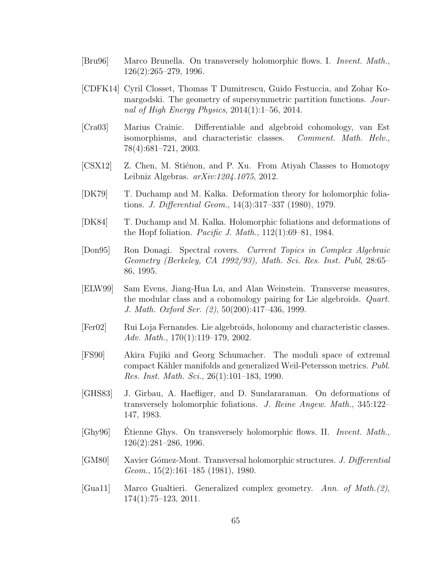- <span id="page-69-6"></span>[Bru96] Marco Brunella. On transversely holomorphic flows. I. Invent. Math., 126(2):265–279, 1996.
- <span id="page-69-2"></span>[CDFK14] Cyril Closset, Thomas T Dumitrescu, Guido Festuccia, and Zohar Komargodski. The geometry of supersymmetric partition functions. Journal of High Energy Physics,  $2014(1):1-56$ ,  $2014$ .
- <span id="page-69-11"></span>[Cra03] Marius Crainic. Differentiable and algebroid cohomology, van Est isomorphisms, and characteristic classes. Comment. Math. Helv., 78(4):681–721, 2003.
- <span id="page-69-3"></span>[CSX12] Z. Chen, M. Stiénon, and P. Xu. From Atiyah Classes to Homotopy Leibniz Algebras. arXiv:1204.1075, 2012.
- <span id="page-69-10"></span>[DK79] T. Duchamp and M. Kalka. Deformation theory for holomorphic foliations. J. Differential Geom., 14(3):317–337 (1980), 1979.
- <span id="page-69-9"></span>[DK84] T. Duchamp and M. Kalka. Holomorphic foliations and deformations of the Hopf foliation. *Pacific J. Math.*,  $112(1):69-81$ , 1984.
- <span id="page-69-12"></span>[Don95] Ron Donagi. Spectral covers. Current Topics in Complex Algebraic Geometry (Berkeley, CA 1992/93), Math. Sci. Res. Inst. Publ, 28:65– 86, 1995.
- <span id="page-69-5"></span>[ELW99] Sam Evens, Jiang-Hua Lu, and Alan Weinstein. Transverse measures, the modular class and a cohomology pairing for Lie algebroids. Quart. J. Math. Oxford Ser. (2), 50(200):417–436, 1999.
- <span id="page-69-4"></span>[Fer02] Rui Loja Fernandes. Lie algebroids, holonomy and characteristic classes. Adv. Math., 170(1):119–179, 2002.
- <span id="page-69-13"></span>[FS90] Akira Fujiki and Georg Schumacher. The moduli space of extremal compact Kähler manifolds and generalized Weil-Petersson metrics. Publ. Res. Inst. Math. Sci., 26(1):101–183, 1990.
- <span id="page-69-8"></span>[GHS83] J. Girbau, A. Haefliger, and D. Sundararaman. On deformations of transversely holomorphic foliations. J. Reine Angew. Math., 345:122– 147, 1983.
- <span id="page-69-7"></span>[Ghy96] Etienne Ghys. On transversely holomorphic flows. II. *Invent. Math.*, 126(2):281–286, 1996.
- <span id="page-69-0"></span>[GM80] Xavier G´omez-Mont. Transversal holomorphic structures. J. Differential Geom., 15(2):161–185 (1981), 1980.
- <span id="page-69-1"></span>[Gua11] Marco Gualtieri. Generalized complex geometry. Ann. of Math.(2), 174(1):75–123, 2011.